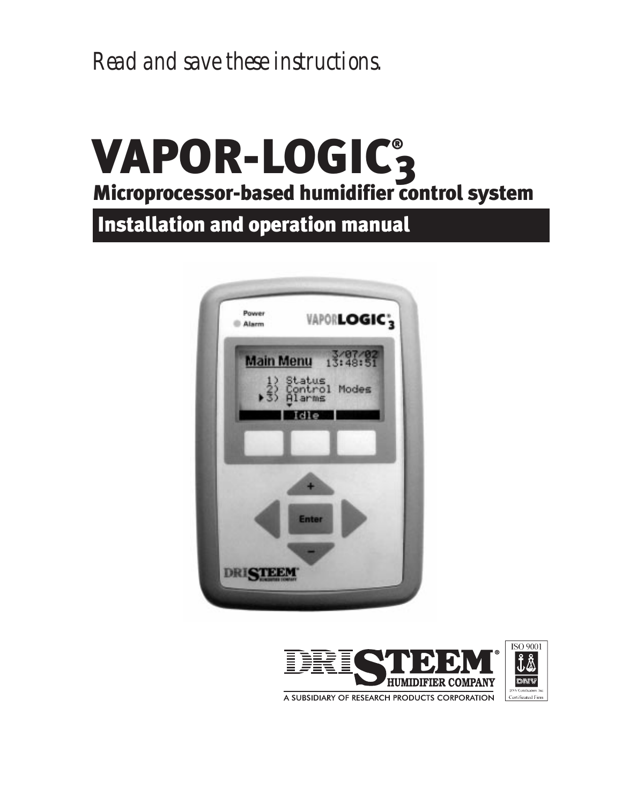*Read and save these instructions.*

## VAPOR-LOGIC® 3 Microprocessor-based humidifier control system

Installation and operation manual



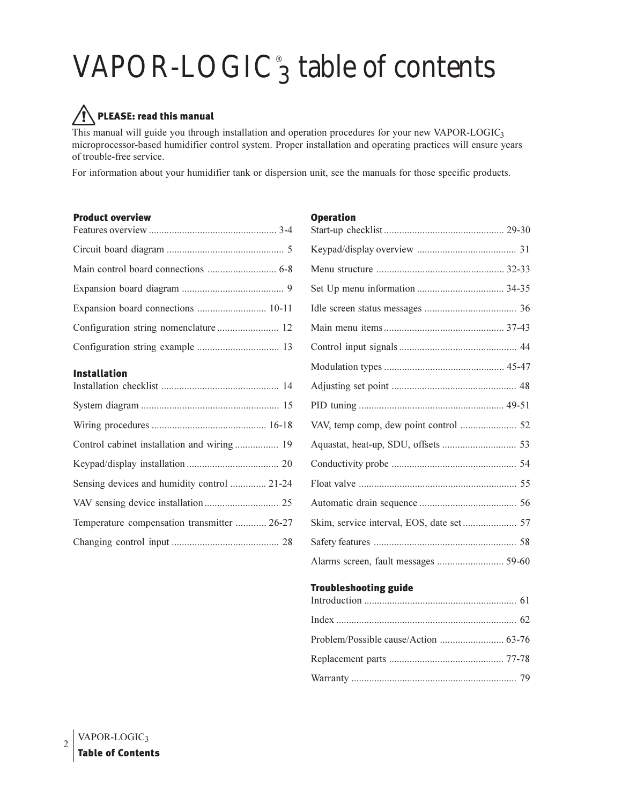## VAPOR-LOGIC<sup>®</sup><sub>3</sub> table of contents

### **PLEASE: read this manual**

This manual will guide you through installation and operation procedures for your new VAPOR-LOGIC3 microprocessor-based humidifier control system. Proper installation and operating practices will ensure years of trouble-free service.

For information about your humidifier tank or dispersion unit, see the manuals for those specific products.

#### **Product overview**

| Expansion board connections  10-11 |  |
|------------------------------------|--|
|                                    |  |
|                                    |  |
|                                    |  |

#### **Installation**

| Control cabinet installation and wiring  19 |  |
|---------------------------------------------|--|
|                                             |  |
| Sensing devices and humidity control  21-24 |  |
|                                             |  |
| Temperature compensation transmitter  26-27 |  |
|                                             |  |

| <b>Operation</b>                     |  |
|--------------------------------------|--|
|                                      |  |
|                                      |  |
|                                      |  |
|                                      |  |
|                                      |  |
|                                      |  |
|                                      |  |
|                                      |  |
|                                      |  |
|                                      |  |
|                                      |  |
|                                      |  |
|                                      |  |
|                                      |  |
|                                      |  |
|                                      |  |
|                                      |  |
| Alarms screen, fault messages  59-60 |  |
| <b>Troubleshooting guide</b>         |  |
|                                      |  |
|                                      |  |

| Problem/Possible cause/Action  63-76 |  |
|--------------------------------------|--|
|                                      |  |
|                                      |  |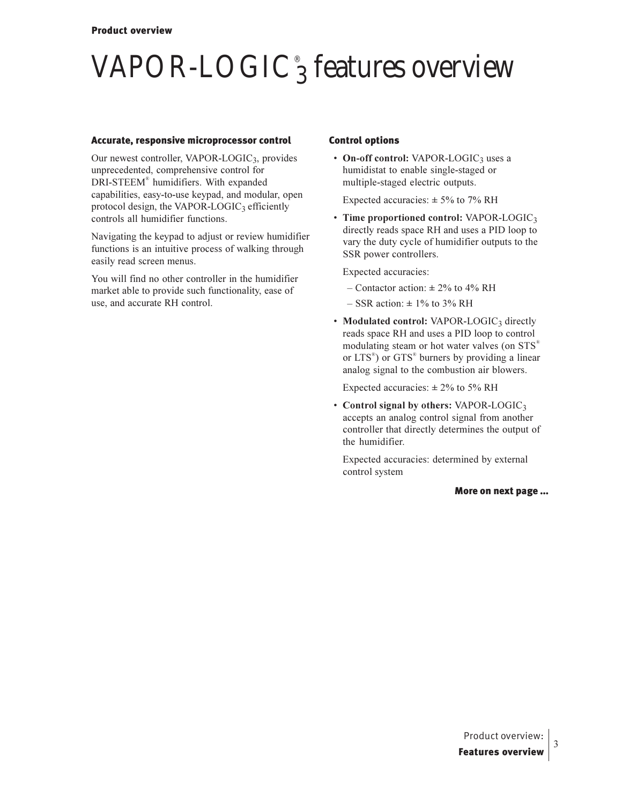## $\mathrm{VAPOR\text{-}LOGIC}^\circ_3$  features overview

#### Accurate, responsive microprocessor control

Our newest controller, VAPOR-LOGIC3, provides unprecedented, comprehensive control for DRI-STEEM® humidifiers. With expanded capabilities, easy-to-use keypad, and modular, open protocol design, the VAPOR-LOGIC3 efficiently controls all humidifier functions.

Navigating the keypad to adjust or review humidifier functions is an intuitive process of walking through easily read screen menus.

You will find no other controller in the humidifier market able to provide such functionality, ease of use, and accurate RH control.

#### Control options

• On-off control: VAPOR-LOGIC<sub>3</sub> uses a humidistat to enable single-staged or multiple-staged electric outputs.

Expected accuracies:  $\pm$  5% to 7% RH

• Time proportioned control: VAPOR-LOGIC3 directly reads space RH and uses a PID loop to vary the duty cycle of humidifier outputs to the SSR power controllers.

Expected accuracies:

- $-$  Contactor action:  $\pm$  2% to 4% RH
- $-$  SSR action:  $\pm$  1% to 3% RH
- Modulated control: VAPOR-LOGIC<sub>3</sub> directly reads space RH and uses a PID loop to control modulating steam or hot water valves (on STS® or LTS®) or GTS® burners by providing a linear analog signal to the combustion air blowers.

Expected accuracies:  $\pm 2\%$  to 5% RH

• Control signal by others: VAPOR-LOGIC<sub>3</sub> accepts an analog control signal from another controller that directly determines the output of the humidifier.

Expected accuracies: determined by external control system

More on next page ...

3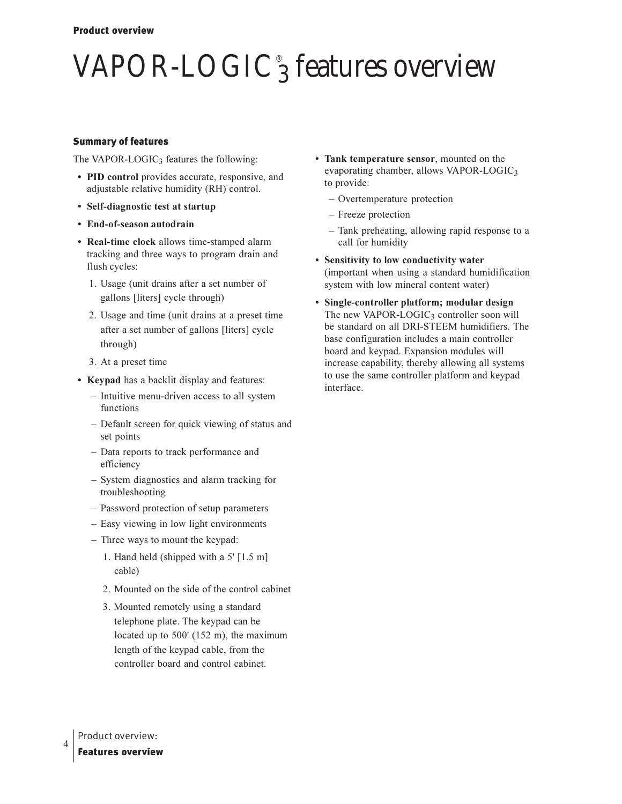# $\mathrm{VAPOR\text{-}LOGIC}^\circ_3$  features overview

#### Summary of features

The VAPOR-LOGIC<sub>3</sub> features the following:

- PID control provides accurate, responsive, and adjustable relative humidity (RH) control.
- **•** Self-diagnostic test at startup
- End-of-season autodrain
- Real-time clock allows time-stamped alarm tracking and three ways to program drain and flush cycles:
	- 1. Usage (unit drains after a set number of gallons [liters] cycle through)
	- 2. Usage and time (unit drains at a preset time after a set number of gallons [liters] cycle through)
	- 3. At a preset time
- Keypad has a backlit display and features:
	- Intuitive menu-driven access to all system functions
	- Default screen for quick viewing of status and set points
	- Data reports to track performance and efficiency
	- System diagnostics and alarm tracking for troubleshooting
	- Password protection of setup parameters
	- Easy viewing in low light environments
	- Three ways to mount the keypad:
		- 1. Hand held (shipped with a  $5'$  [1.5 m] cable)
		- 2. Mounted on the side of the control cabinet
		- 3. Mounted remotely using a standard telephone plate. The keypad can be located up to  $500'$  (152 m), the maximum length of the keypad cable, from the controller board and control cabinet.
- Tank temperature sensor, mounted on the evaporating chamber, allows VAPOR-LOGIC3 to provide:
	- Overtemperature protection
	- Freeze protection
	- Tank preheating, allowing rapid response to a call for humidity
- **Sensitivity to low conductivity water** (important when using a standard humidification system with low mineral content water)
- **•** Single-controller platform; modular design The new VAPOR-LOGIC<sub>3</sub> controller soon will be standard on all DRI-STEEM humidifiers. The base configuration includes a main controller board and keypad. Expansion modules will increase capability, thereby allowing all systems to use the same controller platform and keypad interface.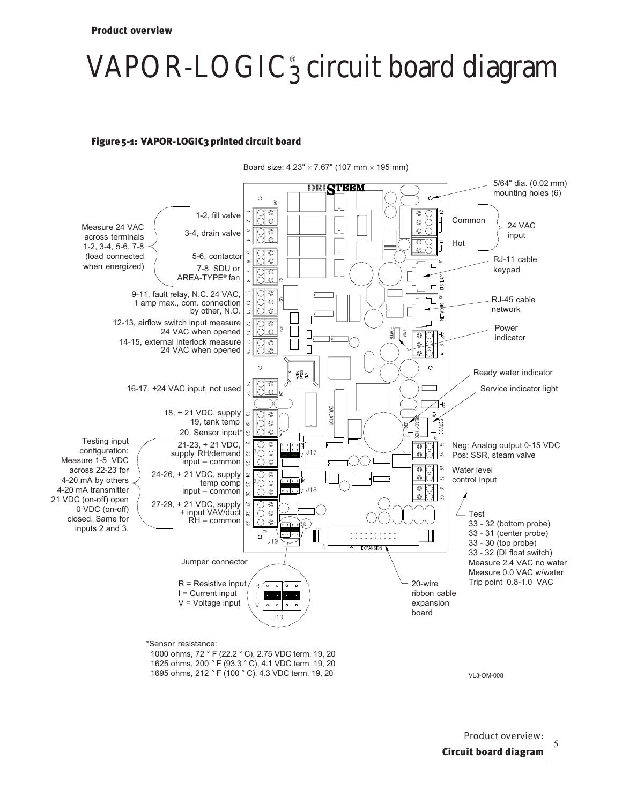## VAPOR-LOGIC® <sup>3</sup> circuit board diagram

#### Figure 5-1: VAPOR-LOGIC3 printed circuit board



VL3-OM-008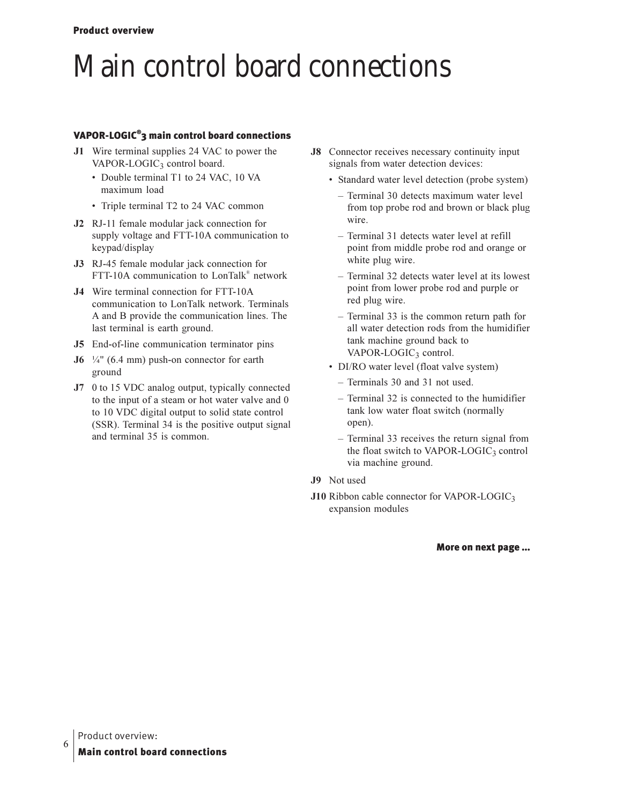### Main control board connections

#### VAPOR-LOGIC<sup>®</sup>3 main control board connections

- J1 Wire terminal supplies 24 VAC to power the VAPOR-LOGIC<sub>3</sub> control board.
	- Double terminal T1 to 24 VAC, 10 VA maximum load
	- Triple terminal T2 to 24 VAC common
- J2 RJ-11 female modular jack connection for supply voltage and FTT-10A communication to keypad/display
- J3 RJ-45 female modular jack connection for FTT-10A communication to  $LonTalk^{\omega}$  network
- J4 Wire terminal connection for FTT-10A communication to LonTalk network. Terminals A and B provide the communication lines. The last terminal is earth ground.
- J5 End-of-line communication terminator pins
- **J6**  $\frac{1}{4}$ " (6.4 mm) push-on connector for earth ground
- **J7** 0 to 15 VDC analog output, typically connected to the input of a steam or hot water valve and 0 to 10 VDC digital output to solid state control (SSR). Terminal 34 is the positive output signal and terminal 35 is common.
- **J8** Connector receives necessary continuity input signals from water detection devices:
	- Standard water level detection (probe system)
		- Terminal 30 detects maximum water level from top probe rod and brown or black plug wire.
		- Terminal 31 detects water level at refill point from middle probe rod and orange or white plug wire.
		- Terminal 32 detects water level at its lowest point from lower probe rod and purple or red plug wire.
		- Terminal 33 is the common return path for all water detection rods from the humidifier tank machine ground back to  $VAPOR-LOGIC<sub>3</sub> control.$
	- DI/RO water level (float valve system)
		- Terminals 30 and 31 not used.
		- Terminal 32 is connected to the humidifier tank low water float switch (normally open).
		- Terminal 33 receives the return signal from the float switch to VAPOR-LOGIC3 control via machine ground.
- J9 Not used
- J10 Ribbon cable connector for VAPOR-LOGIC3 expansion modules

More on next page ...

6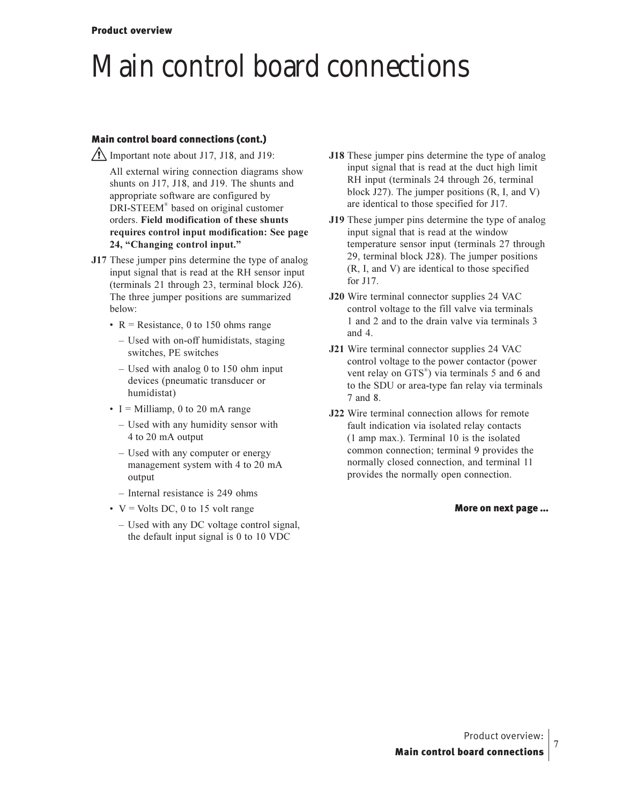### Main control board connections

#### Main control board connections (cont.)

 $\sqrt{!}$  Important note about J17, J18, and J19:

- All external wiring connection diagrams show shunts on J17, J18, and J19. The shunts and appropriate software are configured by DRI-STEEM® based on original customer orders. Field modification of these shunts requires control input modification: See page 24, "Changing control input."
- J17 These jumper pins determine the type of analog input signal that is read at the RH sensor input (terminals 21 through 23, terminal block J26). The three jumper positions are summarized below:
	- $R$  = Resistance, 0 to 150 ohms range
		- Used with on-off humidistats, staging switches, PE switches
		- $-$  Used with analog 0 to 150 ohm input devices (pneumatic transducer or humidistat)
	- I = Milliamp, 0 to 20 mA range
		- Used with any humidity sensor with 4 to 20 mA output
		- Used with any computer or energy management system with 4 to 20 mA output
		- $-$  Internal resistance is 249 ohms
	- $V = Volts DC$ , 0 to 15 volt range
		- Used with any DC voltage control signal, the default input signal is 0 to 10 VDC
- J18 These jumper pins determine the type of analog input signal that is read at the duct high limit RH input (terminals 24 through 26, terminal block  $J27$ ). The jumper positions  $(R, I, and V)$ are identical to those specified for J17.
- J19 These jumper pins determine the type of analog input signal that is read at the window temperature sensor input (terminals 27 through 29, terminal block J28). The jumper positions (R, I, and V) are identical to those specified for J17.
- J20 Wire terminal connector supplies 24 VAC control voltage to the fill valve via terminals 1 and 2 and to the drain valve via terminals 3 and  $4$ .
- J21 Wire terminal connector supplies 24 VAC control voltage to the power contactor (power vent relay on GTS<sup>®</sup>) via terminals 5 and 6 and to the SDU or area-type fan relay via terminals 7 and 8.
- J22 Wire terminal connection allows for remote fault indication via isolated relay contacts  $(1 \text{ amp max.})$ . Terminal 10 is the isolated common connection; terminal 9 provides the normally closed connection, and terminal 11 provides the normally open connection.

#### More on next page ...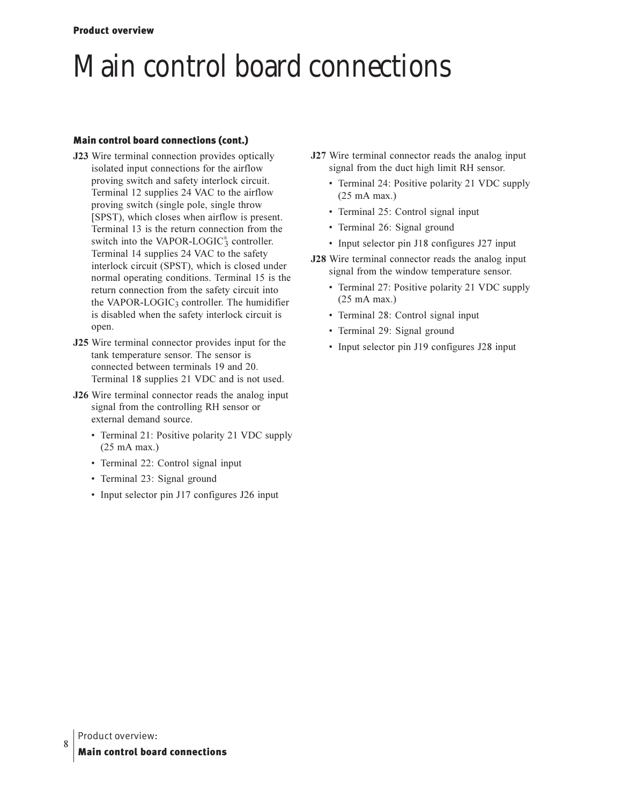### Main control board connections

#### Main control board connections (cont.)

- J23 Wire terminal connection provides optically isolated input connections for the airflow proving switch and safety interlock circuit. Terminal 12 supplies 24 VAC to the airflow proving switch (single pole, single throw [SPST), which closes when airflow is present. Terminal 13 is the return connection from the switch into the VAPOR-LOGIC $_3^{\circ}$  controller. Terminal 14 supplies 24 VAC to the safety interlock circuit (SPST), which is closed under normal operating conditions. Terminal 15 is the return connection from the safety circuit into the VAPOR-LOGIC<sub>3</sub> controller. The humidifier is disabled when the safety interlock circuit is open.
- **J25** Wire terminal connector provides input for the tank temperature sensor. The sensor is connected between terminals 19 and 20. Terminal 18 supplies 21 VDC and is not used.
- **J26** Wire terminal connector reads the analog input signal from the controlling RH sensor or external demand source.
	- Terminal 21: Positive polarity 21 VDC supply  $(25 \text{ mA max.})$
	- Terminal 22: Control signal input
	- · Terminal 23: Signal ground
	- Input selector pin J17 configures J26 input
- J27 Wire terminal connector reads the analog input signal from the duct high limit RH sensor.
	- Terminal 24: Positive polarity 21 VDC supply  $(25 \text{ mA max.})$
	- · Terminal 25: Control signal input
	- · Terminal 26: Signal ground
	- Input selector pin J18 configures J27 input
- J28 Wire terminal connector reads the analog input signal from the window temperature sensor.
	- Terminal 27: Positive polarity 21 VDC supply  $(25 \text{ mA max.})$
	- · Terminal 28: Control signal input
	- · Terminal 29: Signal ground
	- Input selector pin J19 configures J28 input

8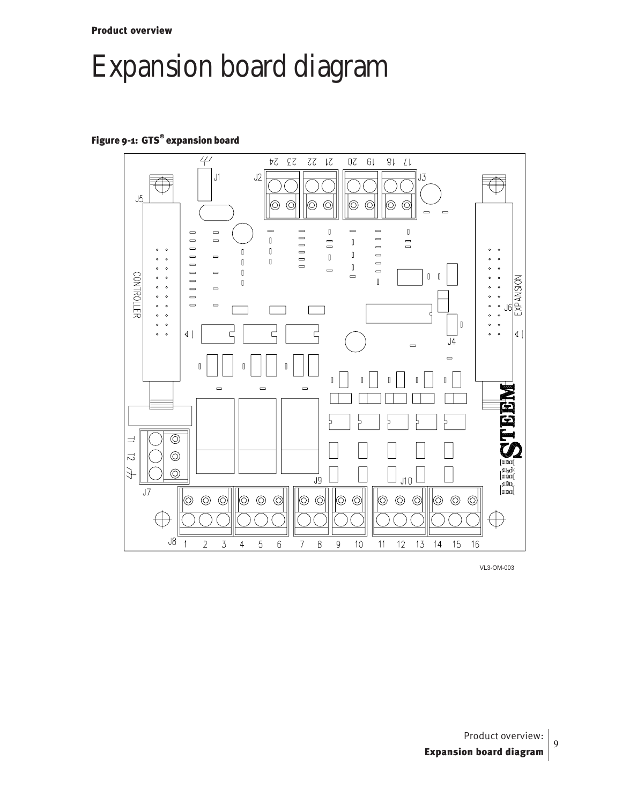Product overview

### Expansion board diagram

#### Figure 9-1: GTS® expansion board



VL3-OM-003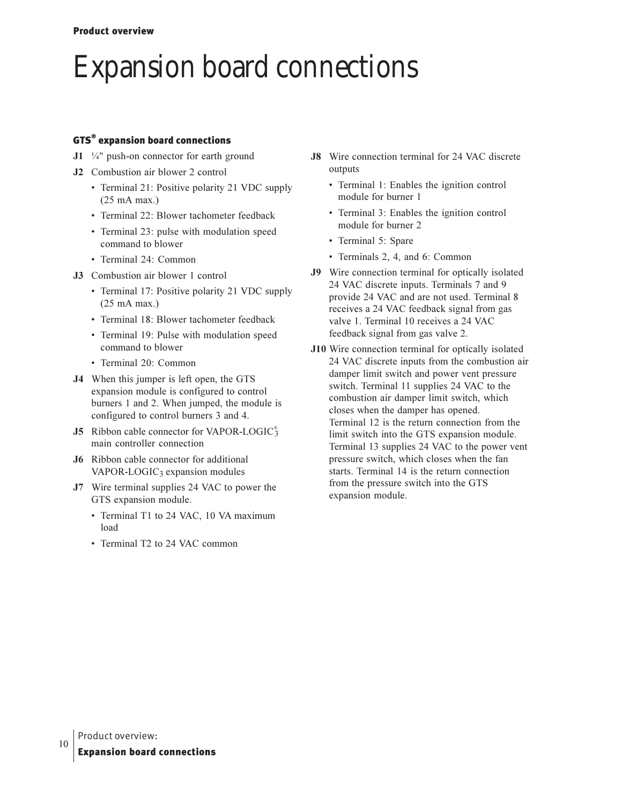### Expansion board connections

#### GTS $^{\circ}$  expansion board connections

- $J1$  <sup>1</sup>/<sub>4</sub>" push-on connector for earth ground
- **J2** Combustion air blower 2 control
	- Terminal 21: Positive polarity 21 VDC supply  $(25 \text{ mA max.})$
	- · Terminal 22: Blower tachometer feedback
	- Terminal 23: pulse with modulation speed command to blower
	- Terminal 24: Common
- **J3** Combustion air blower 1 control
	- Terminal 17: Positive polarity 21 VDC supply  $(25 \text{ mA max.})$
	- · Terminal 18: Blower tachometer feedback
	- Terminal 19: Pulse with modulation speed command to blower
	- · Terminal 20: Common
- **J4** When this jumper is left open, the GTS expansion module is configured to control burners 1 and 2. When jumped, the module is configured to control burners 3 and 4.
- **J5** Ribbon cable connector for VAPOR-LOGIC<sup>®</sup> main controller connection
- **J6** Ribbon cable connector for additional VAPOR-LOGIC<sub>3</sub> expansion modules
- **J7** Wire terminal supplies 24 VAC to power the GTS expansion module.
	- Terminal T1 to 24 VAC, 10 VA maximum load
	- Terminal T2 to 24 VAC common
- **J8** Wire connection terminal for 24 VAC discrete outputs
	- Terminal 1: Enables the ignition control module for burner 1
	- Terminal 3: Enables the ignition control module for burner 2
	- Terminal 5: Spare
	- Terminals 2, 4, and 6: Common
- **J9** Wire connection terminal for optically isolated 24 VAC discrete inputs. Terminals 7 and 9 provide 24 VAC and are not used. Terminal 8 receives a 24 VAC feedback signal from gas valve 1. Terminal 10 receives a 24 VAC feedback signal from gas valve 2.
- **J10** Wire connection terminal for optically isolated 24 VAC discrete inputs from the combustion air damper limit switch and power vent pressure switch. Terminal 11 supplies 24 VAC to the combustion air damper limit switch, which closes when the damper has opened. Terminal 12 is the return connection from the limit switch into the GTS expansion module. Terminal 13 supplies 24 VAC to the power vent pressure switch, which closes when the fan starts. Terminal 14 is the return connection from the pressure switch into the GTS expansion module.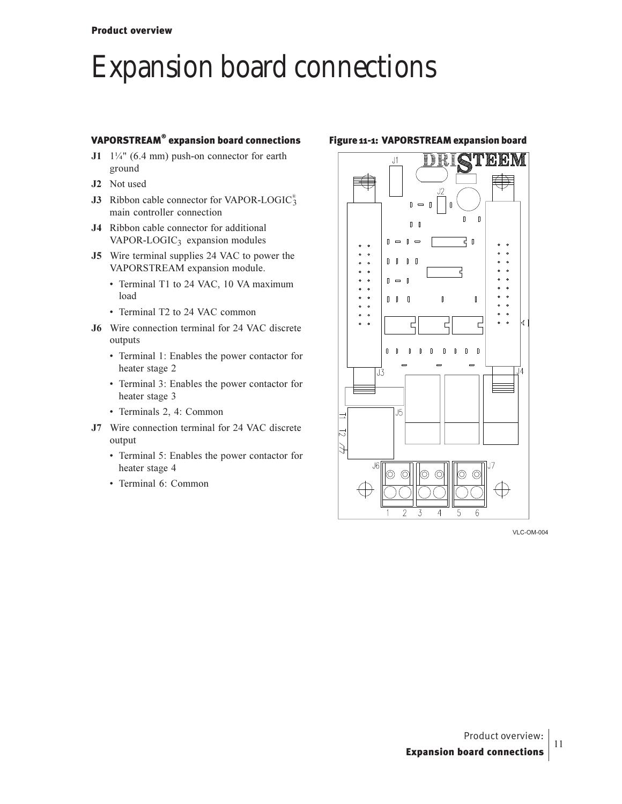### Expansion board connections

#### VAPORSTREAM® expansion board connections

- $J1$   $1\frac{1}{4}$ " (6.4 mm) push-on connector for earth ground
- **J2** Not used
- **J3** Ribbon cable connector for VAPOR-LOGIC<sup>®</sup> main controller connection
- J4 Ribbon cable connector for additional VAPOR-LOGIC<sub>3</sub> expansion modules
- **J5** Wire terminal supplies 24 VAC to power the VAPORSTREAM expansion module.
	- Terminal T1 to 24 VAC, 10 VA maximum load
	- Terminal T2 to 24 VAC common
- **J6** Wire connection terminal for 24 VAC discrete outputs
	- Terminal 1: Enables the power contactor for heater stage 2
	- Terminal 3: Enables the power contactor for heater stage 3
	- Terminals 2, 4: Common
- **J7** Wire connection terminal for 24 VAC discrete output
	- Terminal 5: Enables the power contactor for heater stage 4
	- Terminal 6: Common

#### Figure 11-1: VAPORSTREAM expansion board



VLC-OM-004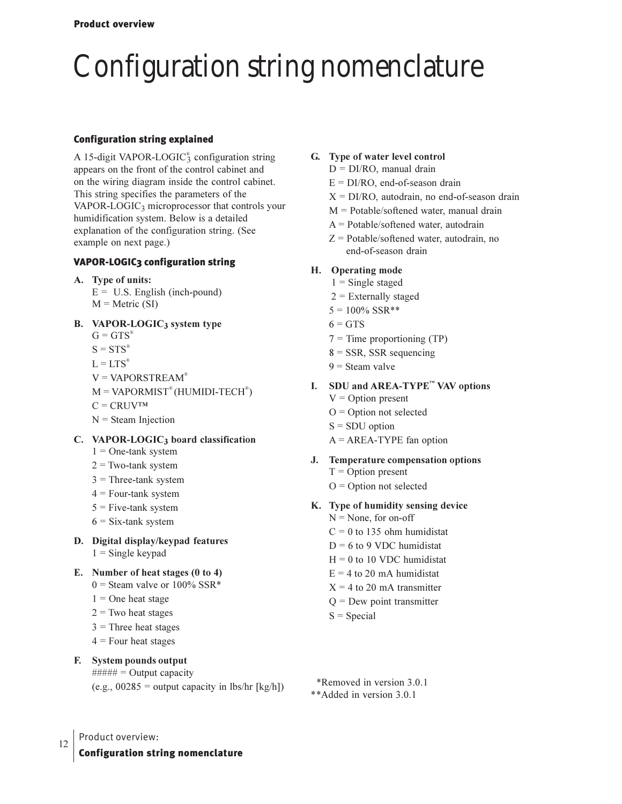## Configuration string nomenclature

#### Configuration string explained

A 15-digit VAPOR-LOGIC<sup>®</sup> configuration string appears on the front of the control cabinet and on the wiring diagram inside the control cabinet. This string specifies the parameters of the VAPOR-LOGIC<sub>3</sub> microprocessor that controls your humidification system. Below is a detailed explanation of the configuration string. (See example on next page.)

#### VAPOR-LOGIC3 configuration string

- A. Type of units:
	- $E = U.S.$  English (inch-pound)  $M =$  Metric (SI)

#### **B.** VAPOR-LOGIC<sub>3</sub> system type

- $G = GTS^*$
- $S = STS^*$
- $L = LTS^*$
- $V = VAPORSTREAM$ <sup>®</sup>
- $M = VAPORMIST^{\circ}$ (HUMIDI-TECH<sup>®</sup>)
- $C = CRUV^{TM}$
- $N =$  Steam Injection

#### C. VAPOR-LOGIC<sub>3</sub> board classification

- $1 =$  One-tank system
- $2 = Two$ -tank system
- $3$  = Three-tank system
- 4 = Four-tank system
- $5$  = Five-tank system
- $6 = Six-tank system$
- **D.** Digital display/keypad features
	- $1 =$  Single keypad
- **E.** Number of heat stages (0 to 4)
	- $0$  = Steam valve or 100% SSR\*
	- $1 =$ One heat stage
	- $2$  = Two heat stages
	- $3$  = Three heat stages
	- $4$  = Four heat stages

#### **F.** System pounds output

 $\# \# \# \# \# =$  Output capacity

#### (e.g.,  $00285$  = output capacity in lbs/hr [kg/h])

#### **G.** Type of water level control

- D = DI/RO, manual drain
- $E = DI/RO$ , end-of-season drain
- $X = DI/RO$ , autodrain, no end-of-season drain
- M = Potable/softened water, manual drain
- A = Potable/softened water, autodrain
- $Z =$  Potable/softened water, autodrain, no end-of-season drain

#### **H.** Operating mode

- $1 =$  Single staged
- $2$  = Externally staged
- $5 = 100\%$  SSR\*\*
- $6 = GTS$
- $7 =$  Time proportioning (TP)
- $8 =$  SSR, SSR sequencing
- 9 = Steam valve

#### I. SDU and AREA-TYPE<sup>™</sup> VAV options

- $V =$  Option present
- $O =$  Option not selected
- $S = SDU$  option
- $A = AREA-TYPE$  fan option

#### **J.** Temperature compensation options

- $T =$  Option present
- $O =$  Option not selected

#### K. Type of humidity sensing device

- $N =$  None, for on-off
- $C = 0$  to 135 ohm humidistat
- $D = 6$  to 9 VDC humidistat
- $H = 0$  to 10 VDC humidistat
- $E = 4$  to 20 mA humidistat
- $X = 4$  to 20 mA transmitter
- $Q =$  Dew point transmitter
- $S = Special$
- \*Removed in version 3.0.1

#### \*\*Added in version 3.0.1

12 Product overview:

Configuration string nomenclature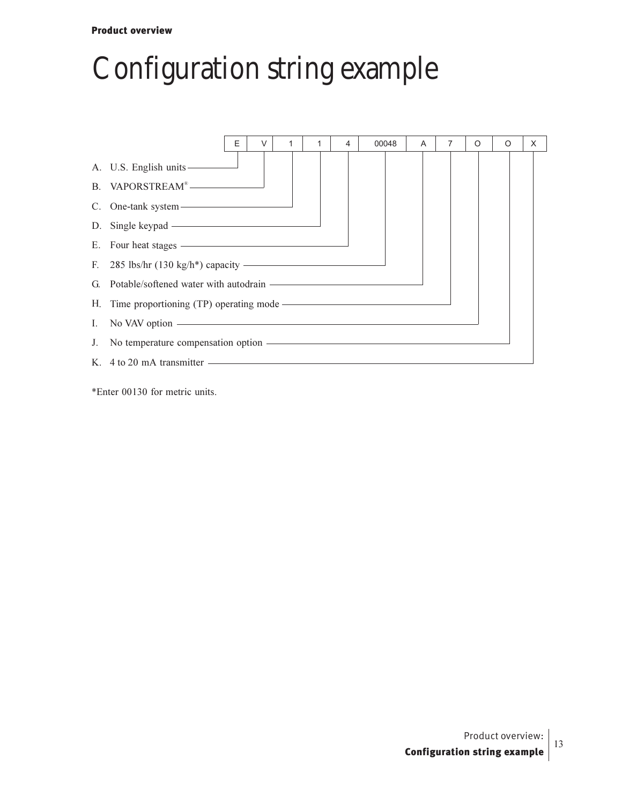#### **Product overview**

## Configuration string example

|                                                                          | F | $\vee$ |  |  | 4 | 00048 | A |  | $\Omega$ | $\Omega$ | X |
|--------------------------------------------------------------------------|---|--------|--|--|---|-------|---|--|----------|----------|---|
|                                                                          |   |        |  |  |   |       |   |  |          |          |   |
| B. VAPORSTREAM®                                                          |   |        |  |  |   |       |   |  |          |          |   |
|                                                                          |   |        |  |  |   |       |   |  |          |          |   |
| D. Single keypad ————————————————————                                    |   |        |  |  |   |       |   |  |          |          |   |
| E. Four heat stages ————————————————————                                 |   |        |  |  |   |       |   |  |          |          |   |
| F. 285 lbs/hr $(130 \text{ kg/h*})$ capacity $\overline{\qquad \qquad }$ |   |        |  |  |   |       |   |  |          |          |   |
| G. Potable/softened water with autodrain ————————————————————            |   |        |  |  |   |       |   |  |          |          |   |
|                                                                          |   |        |  |  |   |       |   |  |          |          |   |
|                                                                          |   |        |  |  |   |       |   |  |          |          |   |
|                                                                          |   |        |  |  |   |       |   |  |          |          |   |
| K. $4 \text{ to } 20 \text{ mA}$ transmitter $\overline{\phantom{a}}$    |   |        |  |  |   |       |   |  |          |          |   |

\*Enter 00130 for metric units.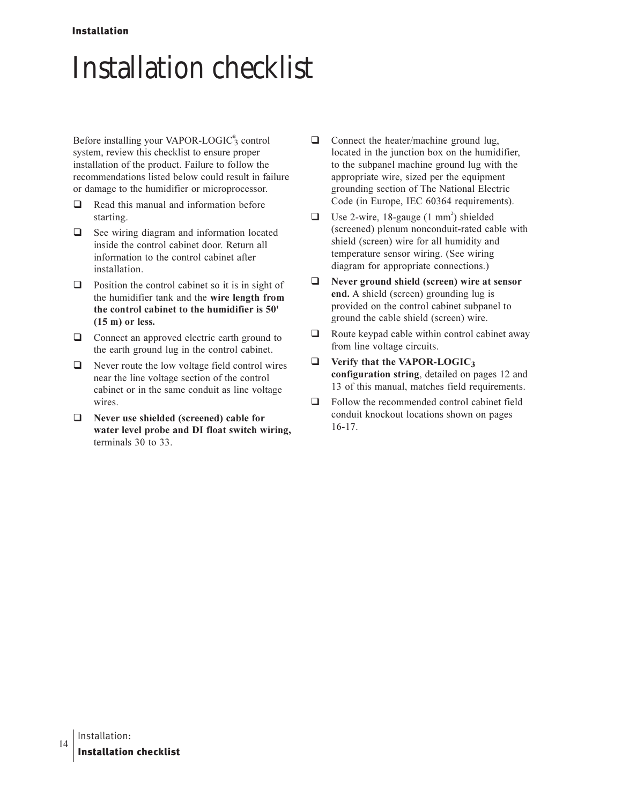#### **Installation**

## **Installation checklist**

Before installing your VAPOR-LOGIC<sup>®</sup>3 control system, review this checklist to ensure proper installation of the product. Failure to follow the recommendations listed below could result in failure or damage to the humidifier or microprocessor.

- $\Box$ Read this manual and information before starting.
- $\Box$ See wiring diagram and information located inside the control cabinet door. Return all information to the control cabinet after installation.
- $\Box$  Position the control cabinet so it is in sight of the humidifier tank and the wire length from the control cabinet to the humidifier is 50'  $(15 \text{ m})$  or less.
- $\Box$  Connect an approved electric earth ground to the earth ground lug in the control cabinet.
- $\Box$  Never route the low voltage field control wires near the line voltage section of the control cabinet or in the same conduit as line voltage wires.
- $\Box$  Never use shielded (screened) cable for water level probe and DI float switch wiring, terminals 30 to 33.
- $\Box$ Connect the heater/machine ground lug, located in the junction box on the humidifier, to the subpanel machine ground lug with the appropriate wire, sized per the equipment grounding section of The National Electric Code (in Europe, IEC 60364 requirements).
- Use 2-wire, 18-gauge (1 mm<sup>2</sup>) shielded  $\Box$ (screened) plenum nonconduit-rated cable with shield (screen) wire for all humidity and temperature sensor wiring. (See wiring diagram for appropriate connections.)
- $\Box$ Never ground shield (screen) wire at sensor end. A shield (screen) grounding lug is provided on the control cabinet subpanel to ground the cable shield (screen) wire.
- Route keypad cable within control cabinet away  $\Box$ from line voltage circuits.
- Verify that the VAPOR-LOGIC3  $\Box$ configuration string, detailed on pages 12 and 13 of this manual, matches field requirements.
- $\Box$ Follow the recommended control cabinet field conduit knockout locations shown on pages  $16 - 17.$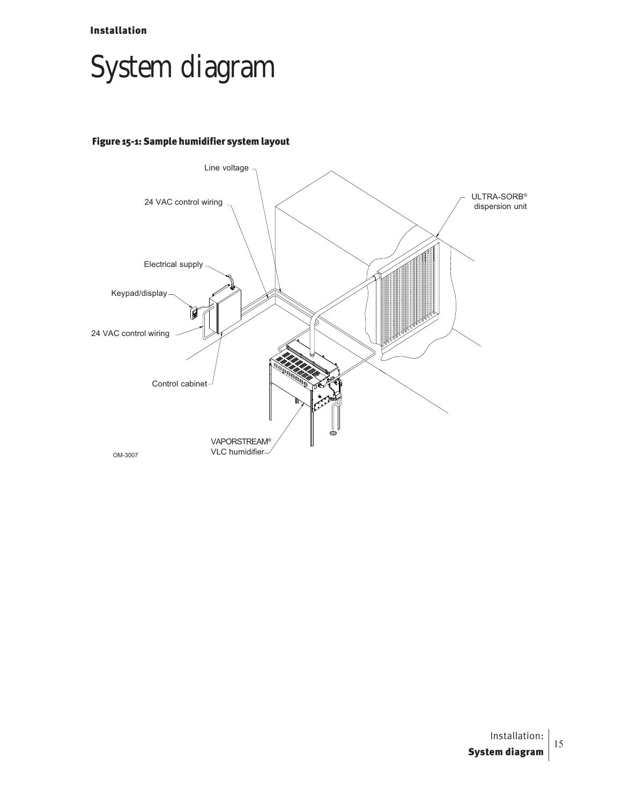Installation

### System diagram

#### Figure 15-1: Sample humidifier system layout

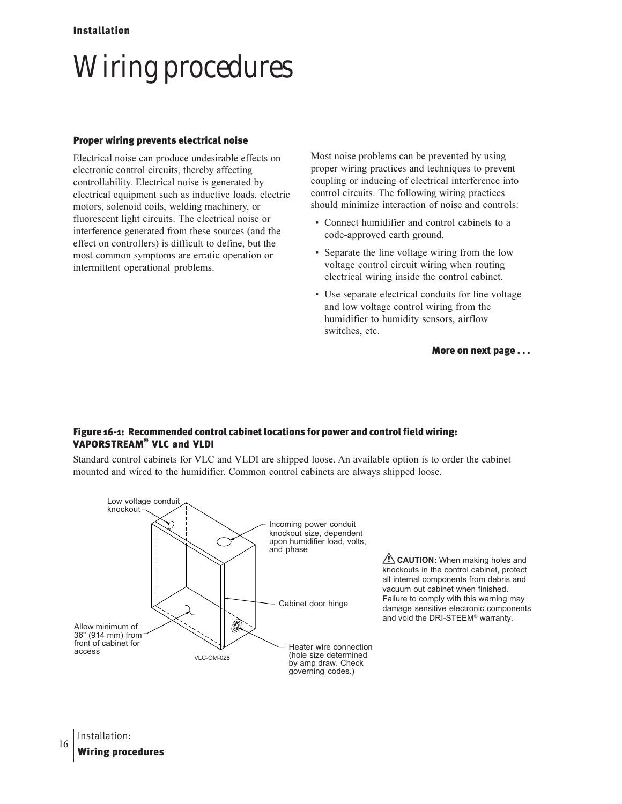## Wiring procedures

#### Proper wiring prevents electrical noise

Electrical noise can produce undesirable effects on electronic control circuits, thereby affecting controllability. Electrical noise is generated by electrical equipment such as inductive loads, electric motors, solenoid coils, welding machinery, or fluorescent light circuits. The electrical noise or interference generated from these sources (and the effect on controllers) is difficult to define, but the most common symptoms are erratic operation or intermittent operational problems.

Most noise problems can be prevented by using proper wiring practices and techniques to prevent coupling or inducing of electrical interference into control circuits. The following wiring practices should minimize interaction of noise and controls:

- Connect humidifier and control cabinets to a code-approved earth ground.
- Separate the line voltage wiring from the low voltage control circuit wiring when routing electrical wiring inside the control cabinet.
- Use separate electrical conduits for line voltage and low voltage control wiring from the humidifier to humidity sensors, airflow switches, etc.

More on next page . . .

#### Figure 16-1: Recommended control cabinet locations for power and control field wiring: VAPORSTREAM® VLC and VLDI

Standard control cabinets for VLC and VLDI are shipped loose. An available option is to order the cabinet mounted and wired to the humidifier. Common control cabinets are always shipped loose.

governing codes.)



**CAUTION:** When making holes and knockouts in the control cabinet, protect all internal components from debris and vacuum out cabinet when finished. Failure to comply with this warning may damage sensitive electronic components and void the DRI-STEEM® warranty.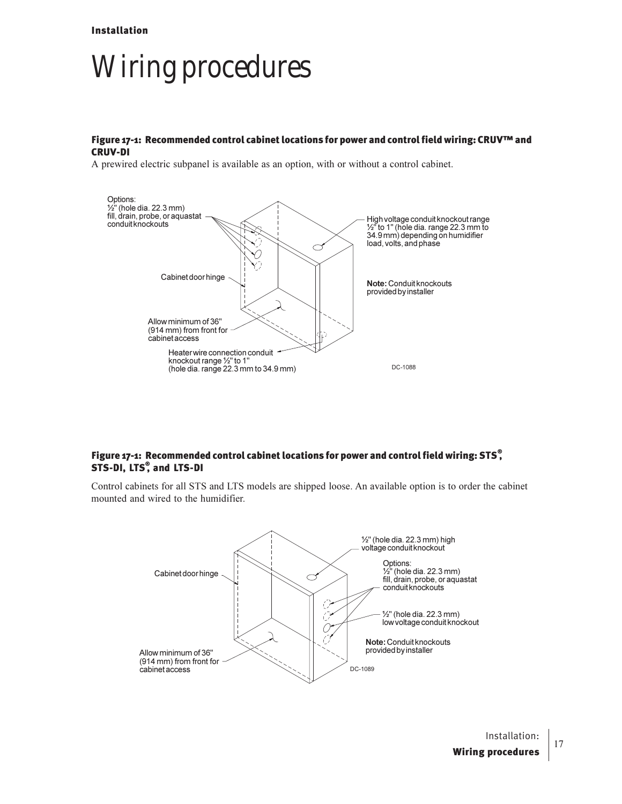### Wiring procedures

#### Figure 17-1: Recommended control cabinet locations for power and control field wiring: CRUV™ and CRUV-DI

A prewired electric subpanel is available as an option, with or without a control cabinet.



#### Figure 17-1: Recommended control cabinet locations for power and control field wiring: STS $\degree$ STS-DI, LTS<sup>®</sup>, and LTS-DI

Control cabinets for all STS and LTS models are shipped loose. An available option is to order the cabinet mounted and wired to the humidifier.

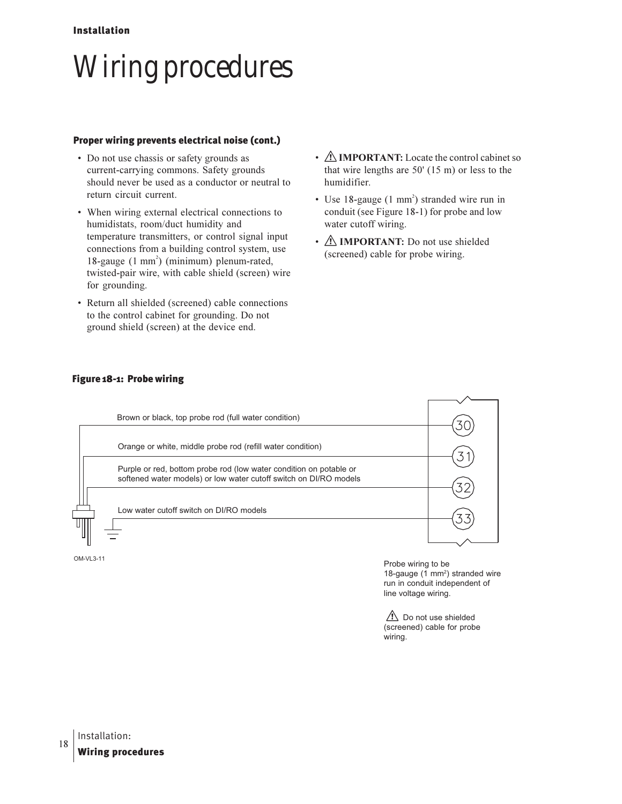## Wiring procedures

#### Proper wiring prevents electrical noise (cont.)

- Do not use chassis or safety grounds as current-carrying commons. Safety grounds should never be used as a conductor or neutral to return circuit current.
- When wiring external electrical connections to humidistats, room/duct humidity and temperature transmitters, or control signal input connections from a building control system, use 18-gauge (1 mm<sup>2</sup>) (minimum) plenum-rated, twisted-pair wire, with cable shield (screen) wire for grounding.
- Return all shielded (screened) cable connections to the control cabinet for grounding. Do not ground shield (screen) at the device end.
- *A***: IMPORTANT:** Locate the control cabinet so that wire lengths are  $50'$  (15 m) or less to the humidifier.
- · Use 18-gauge (1 mm<sup>2</sup>) stranded wire run in conduit (see Figure 18-1) for probe and low water cutoff wiring.
- *A* **IMPORTANT:** Do not use shielded (screened) cable for probe wiring.



#### Figure 18-1: Probe wiring

OM-VL3-11

Probe wiring to be 18-gauge (1 mm<sup>2</sup>) stranded wire run in conduit independent of line voltage wiring.

 $\sqrt{1}$  Do not use shielded (screened) cable for probe wiring.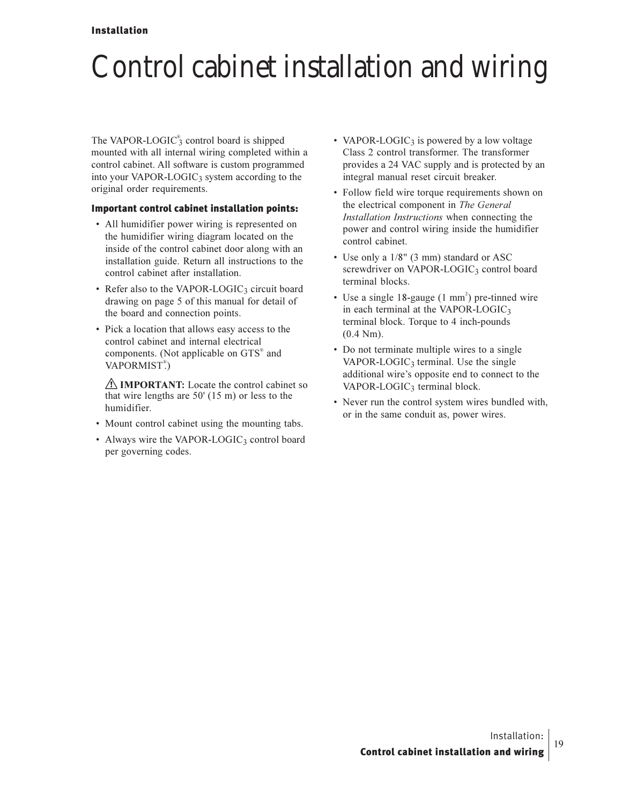#### Installation

### Control cabinet installation and wiring

The VAPOR-LOGIC<sup>®</sup> control board is shipped mounted with all internal wiring completed within a control cabinet. All software is custom programmed into your VAPOR-LOGIC<sub>3</sub> system according to the original order requirements.

#### Important control cabinet installation points:

- All humidifier power wiring is represented on the humidifier wiring diagram located on the inside of the control cabinet door along with an installation guide. Return all instructions to the control cabinet after installation.
- Refer also to the VAPOR-LOGIC<sub>3</sub> circuit board drawing on page 5 of this manual for detail of the board and connection points.
- Pick a location that allows easy access to the control cabinet and internal electrical components. (Not applicable on GTS® and VAPORMIST®)

**IMPORTANT:** Locate the control cabinet so that wire lengths are  $50'$  (15 m) or less to the humidifier.

- Mount control cabinet using the mounting tabs.
- Always wire the VAPOR-LOGIC<sub>3</sub> control board per governing codes.
- VAPOR-LOGIC<sub>3</sub> is powered by a low voltage Class 2 control transformer. The transformer provides a 24 VAC supply and is protected by an integral manual reset circuit breaker.
- Follow field wire torque requirements shown on the electrical component in The General Installation Instructions when connecting the power and control wiring inside the humidifier control cabinet.
- Use only a 1/8" (3 mm) standard or ASC screwdriver on VAPOR-LOGIC<sub>3</sub> control board terminal blocks.
- Use a single 18-gauge (1 mm<sup>2</sup>) pre-tinned wire in each terminal at the VAPOR-LOGIC $_3$ terminal block. Torque to 4 inch-pounds  $(0.4 Nm)$ .
- Do not terminate multiple wires to a single VAPOR-LOGIC<sub>3</sub> terminal. Use the single additional wire's opposite end to connect to the  $VAPOR-LOGIC<sub>3</sub> terminal block.$
- Never run the control system wires bundled with, or in the same conduit as, power wires.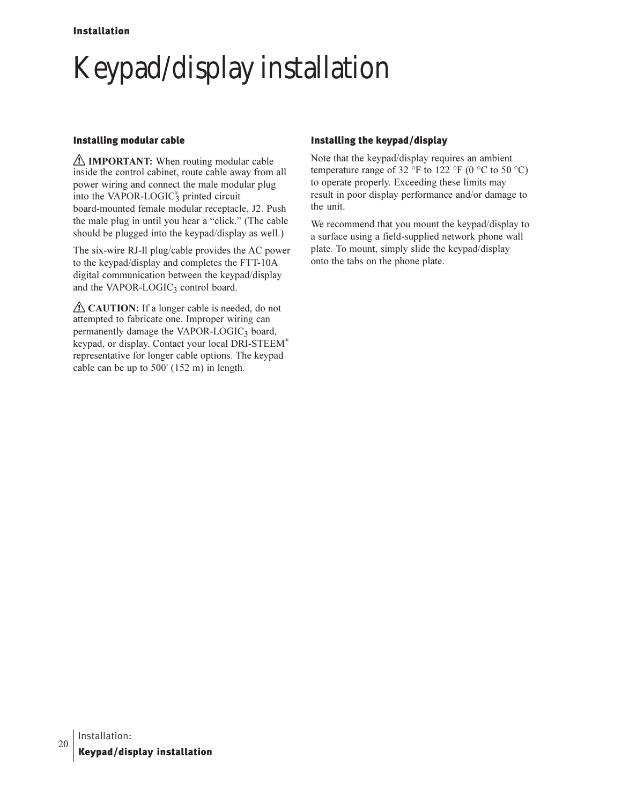## Keypad/display installation

#### **Installing modular cable**

 $\triangle$  **IMPORTANT:** When routing modular cable inside the control cabinet, route cable away from all power wiring and connect the male modular plug into the VAPOR-LOGIC<sup>®</sup> printed circuit board-mounted female modular receptacle, J2. Push the male plug in until you hear a "click." (The cable should be plugged into the keypad/display as well.)

The six-wire RJ-II plug/cable provides the AC power to the keypad/display and completes the FTT-10A digital communication between the keypad/display and the VAPOR-LOGIC<sub>3</sub> control board.

 $\triangle$  CAUTION: If a longer cable is needed, do not attempted to fabricate one. Improper wiring can permanently damage the VAPOR-LOGIC<sub>3</sub> board, keypad, or display. Contact your local DRI-STEEM® representative for longer cable options. The keypad cable can be up to 500' (152 m) in length.

#### Installing the keypad/display

Note that the keypad/display requires an ambient temperature range of 32 °F to 122 °F (0 °C to 50 °C) to operate properly. Exceeding these limits may result in poor display performance and/or damage to the unit.

We recommend that you mount the keypad/display to a surface using a field-supplied network phone wall plate. To mount, simply slide the keypad/display onto the tabs on the phone plate.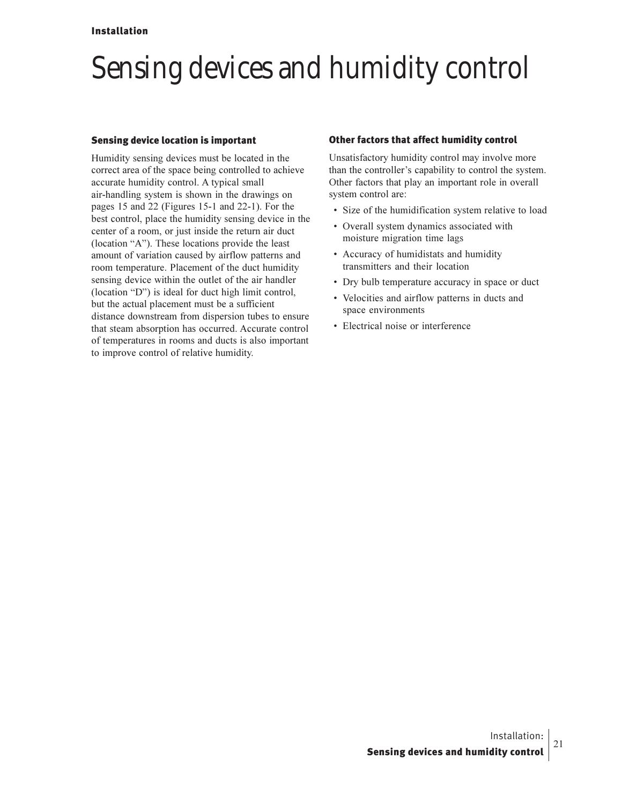### Sensing devices and humidity control

#### Sensing device location is important

Humidity sensing devices must be located in the correct area of the space being controlled to achieve accurate humidity control. A typical small air-handling system is shown in the drawings on pages 15 and 22 (Figures 15-1 and 22-1). For the best control, place the humidity sensing device in the center of a room, or just inside the return air duct (location "A"). These locations provide the least amount of variation caused by airflow patterns and room temperature. Placement of the duct humidity sensing device within the outlet of the air handler (location "D") is ideal for duct high limit control, but the actual placement must be a sufficient distance downstream from dispersion tubes to ensure that steam absorption has occurred. Accurate control of temperatures in rooms and ducts is also important to improve control of relative humidity.

#### Other factors that affect humidity control

Unsatisfactory humidity control may involve more than the controller's capability to control the system. Other factors that play an important role in overall system control are:

- Size of the humidification system relative to load
- Overall system dynamics associated with moisture migration time lags
- Accuracy of humidistats and humidity transmitters and their location
- Dry bulb temperature accuracy in space or duct
- Velocities and airflow patterns in ducts and space environments
- Electrical noise or interference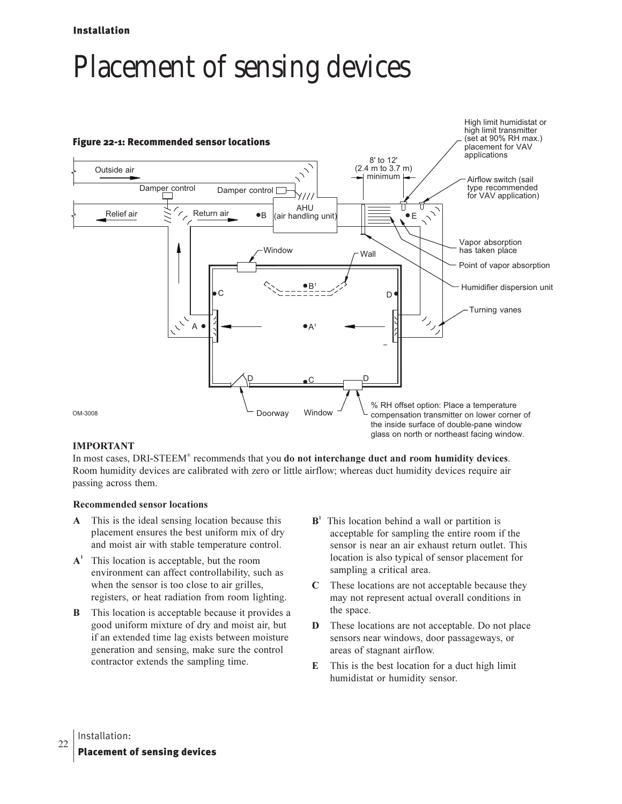#### Installation

### Placement of sensing devices



#### **IMPORTANT**

In most cases, DRI-STEEM<sup>®</sup> recommends that you do not interchange duct and room humidity devices. Room humidity devices are calibrated with zero or little airflow; whereas duct humidity devices require air passing across them.

#### **Recommended sensor locations**

- A This is the ideal sensing location because this placement ensures the best uniform mix of dry and moist air with stable temperature control.
- $A<sup>1</sup>$  This location is acceptable, but the room environment can affect controllability, such as when the sensor is too close to air grilles, registers, or heat radiation from room lighting.
- **B** This location is acceptable because it provides a good uniform mixture of dry and moist air, but if an extended time lag exists between moisture generation and sensing, make sure the control contractor extends the sampling time.
- B<sup>1</sup> This location behind a wall or partition is acceptable for sampling the entire room if the sensor is near an air exhaust return outlet. This location is also typical of sensor placement for sampling a critical area.
- **C** These locations are not acceptable because they may not represent actual overall conditions in the space.
- **D** These locations are not acceptable. Do not place sensors near windows, door passageways, or areas of stagnant airflow.
- **E** This is the best location for a duct high limit humidistat or humidity sensor.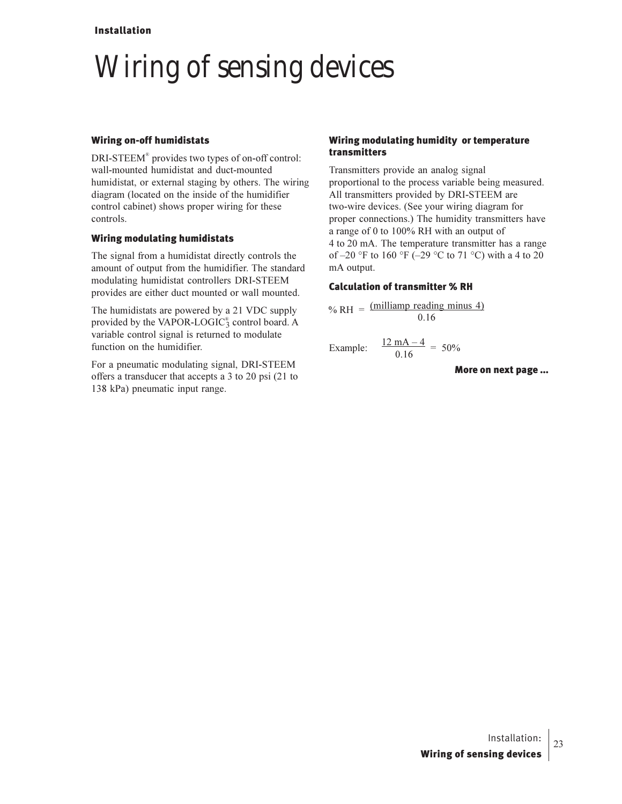#### Installation

### Wiring of sensing devices

#### Wiring on-off humidistats

DRI-STEEM® provides two types of on-off control: wall-mounted humidistat and duct-mounted humidistat, or external staging by others. The wiring diagram (located on the inside of the humidifier control cabinet) shows proper wiring for these controls.

#### Wiring modulating humidistats

The signal from a humidistat directly controls the amount of output from the humidifier. The standard modulating humidistat controllers DRI-STEEM provides are either duct mounted or wall mounted.

The humidistats are powered by a 21 VDC supply provided by the VAPOR-LOGIC<sup>®</sup> control board. A variable control signal is returned to modulate function on the humidifier.

For a pneumatic modulating signal, DRI-STEEM offers a transducer that accepts a  $3$  to  $20$  psi  $(21$  to 138 kPa) pneumatic input range.

#### Wiring modulating humidity or temperature transmitters

Transmitters provide an analog signal proportional to the process variable being measured. All transmitters provided by DRI-STEEM are two-wire devices. (See your wiring diagram for proper connections.) The humidity transmitters have a range of 0 to 100% RH with an output of 4 to 20 mA. The temperature transmitter has a range of  $-20$  °F to 160 °F ( $-29$  °C to 71 °C) with a 4 to 20 mA output.

#### Calculation of transmitter % RH

$$
\% RH = \frac{\text{(milliamp reading minus 4)}}{0.16}
$$

Example: 
$$
\frac{12 \text{ mA} - 4}{0.16} = 50\%
$$

More on next page ...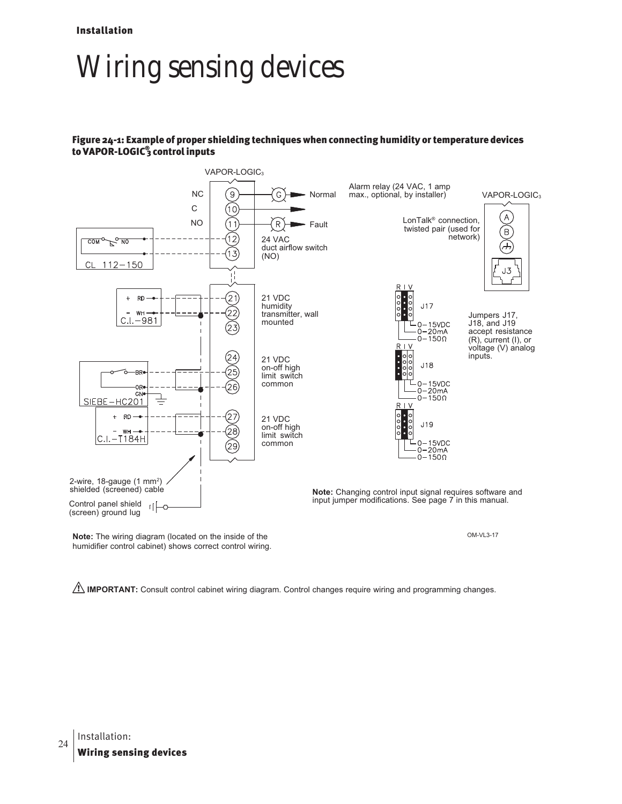### Wiring sensing devices

#### Figure 24-1: Example of proper shielding techniques when connecting humidity or temperature devices to VAPOR-LOGIC® 3 control inputs



**Note:** The wiring diagram (located on the inside of the humidifier control cabinet) shows correct control wiring. OM-VL3-17

**I**N IMPORTANT: Consult control cabinet wiring diagram. Control changes require wiring and programming changes.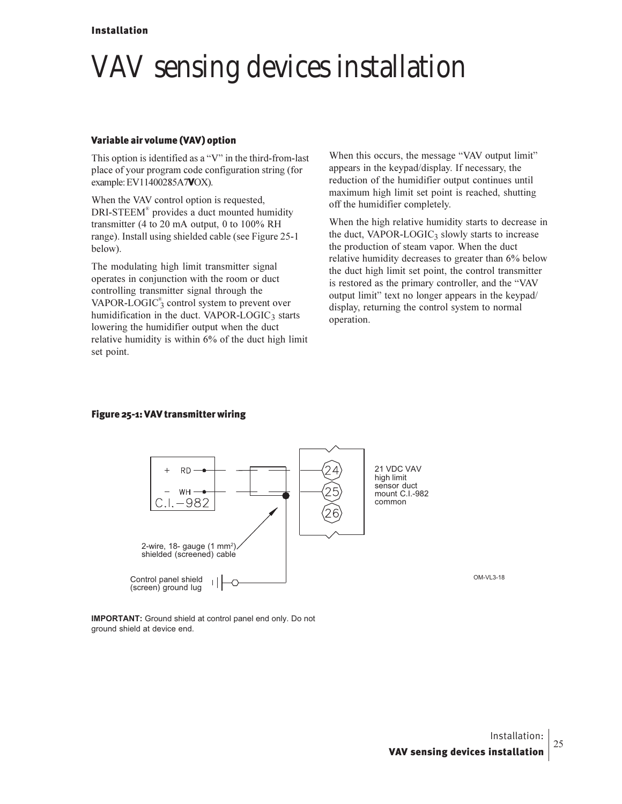### VAV sensing devices installation

#### Variable air volume (VAV) option

This option is identified as a "V" in the third-from-last place of your program code configuration string (for example: EV11400285A7VOX).

When the VAV control option is requested, DRI-STEEM® provides a duct mounted humidity transmitter (4 to 20 mA output, 0 to  $100\%$  RH range). Install using shielded cable (see Figure 25-1 below).

The modulating high limit transmitter signal operates in conjunction with the room or duct controlling transmitter signal through the VAPOR-LOGIC $_3^{\circ}$  control system to prevent over humidification in the duct. VAPOR-LOGIC3 starts lowering the humidifier output when the duct relative humidity is within 6% of the duct high limit set point.

When this occurs, the message "VAV output limit" appears in the keypad/display. If necessary, the reduction of the humidifier output continues until maximum high limit set point is reached, shutting off the humidifier completely.

When the high relative humidity starts to decrease in the duct, VAPOR-LOGIC<sub>3</sub> slowly starts to increase the production of steam vapor. When the duct relative humidity decreases to greater than 6% below the duct high limit set point, the control transmitter is restored as the primary controller, and the "VAV output limit" text no longer appears in the keypad/ display, returning the control system to normal operation.

#### Figure 25-1: VAV transmitter wiring



**IMPORTANT:** Ground shield at control panel end only. Do not ground shield at device end.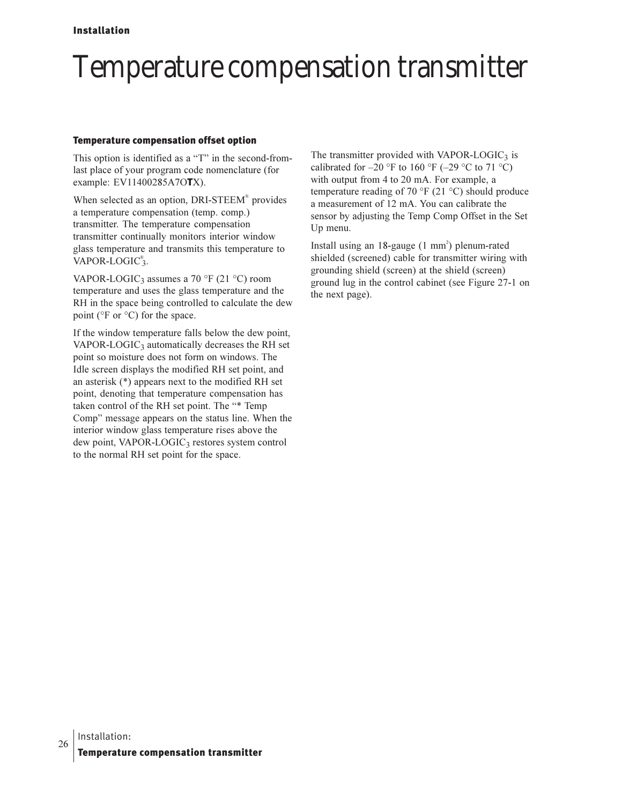### Temperature compensation transmitter

#### **Temperature compensation offset option**

This option is identified as a "T" in the second-fromlast place of your program code nomenclature (for example: EV11400285A7OTX).

When selected as an option, DRI-STEEM® provides a temperature compensation (temp. comp.) transmitter. The temperature compensation transmitter continually monitors interior window glass temperature and transmits this temperature to VAPOR-LOGIC $_{3}^{\circ}$ .

VAPOR-LOGIC<sub>3</sub> assumes a 70 °F (21 °C) room temperature and uses the glass temperature and the RH in the space being controlled to calculate the dew point ( ${}^{\circ}$ F or  ${}^{\circ}$ C) for the space.

If the window temperature falls below the dew point, VAPOR-LOGIC<sub>3</sub> automatically decreases the RH set point so moisture does not form on windows. The Idle screen displays the modified RH set point, and an asterisk  $(*)$  appears next to the modified RH set point, denoting that temperature compensation has taken control of the RH set point. The "\* Temp Comp" message appears on the status line. When the interior window glass temperature rises above the dew point, VAPOR-LOGIC3 restores system control to the normal RH set point for the space.

The transmitter provided with VAPOR-LOGIC<sub>3</sub> is calibrated for  $-20$  °F to 160 °F ( $-29$  °C to 71 °C) with output from 4 to 20 mA. For example, a temperature reading of 70 °F (21 °C) should produce a measurement of 12 mA. You can calibrate the sensor by adjusting the Temp Comp Offset in the Set Up menu.

Install using an  $18$ -gauge  $(1 \text{ mm}^2)$  plenum-rated shielded (screened) cable for transmitter wiring with grounding shield (screen) at the shield (screen) ground lug in the control cabinet (see Figure 27-1 on the next page).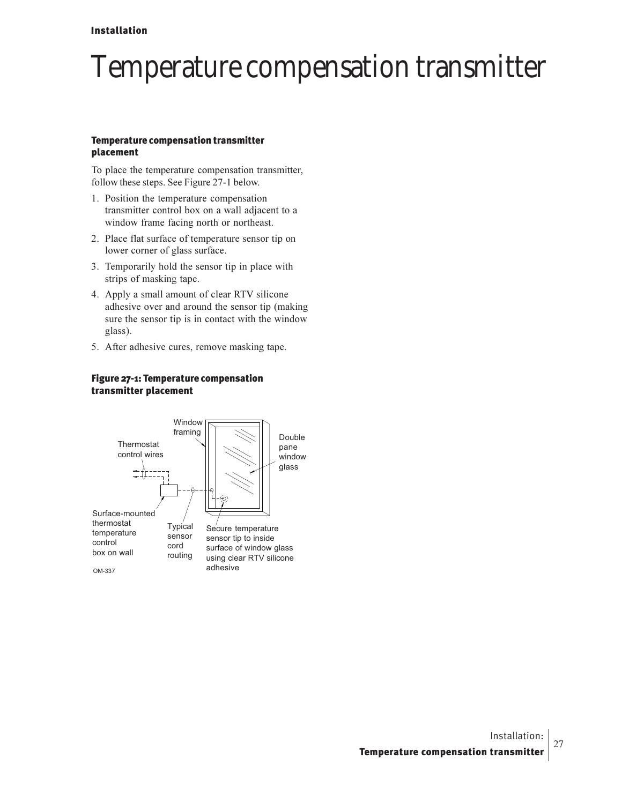#### Installation

### Temperature compensation transmitter

#### Temperature compensation transmitter placement

To place the temperature compensation transmitter, follow these steps. See Figure 27-1 below.

- 1. Position the temperature compensation transmitter control box on a wall adjacent to a window frame facing north or northeast.
- 2. Place flat surface of temperature sensor tip on lower corner of glass surface.
- 3. Temporarily hold the sensor tip in place with strips of masking tape.
- 4. Apply a small amount of clear RTV silicone adhesive over and around the sensor tip (making sure the sensor tip is in contact with the window glass).
- 5. After adhesive cures, remove masking tape.

#### Figure 27-1: Temperature compensation transmitter placement

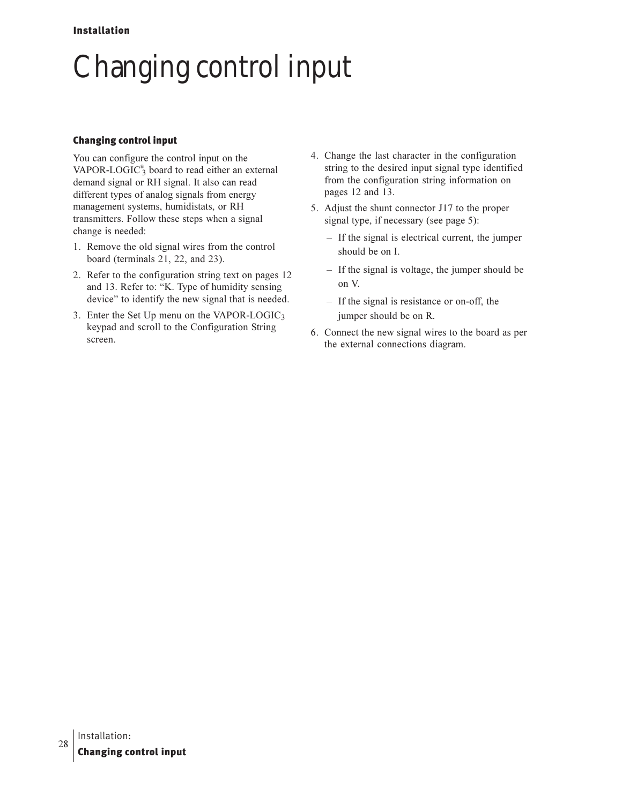## Changing control input

#### Changing control input

You can configure the control input on the VAPOR-LOGIC<sup>®</sup> board to read either an external demand signal or RH signal. It also can read different types of analog signals from energy management systems, humidistats, or RH transmitters. Follow these steps when a signal change is needed:

- 1. Remove the old signal wires from the control board (terminals  $21, 22,$  and  $23$ ).
- 2. Refer to the configuration string text on pages 12 and 13. Refer to: "K. Type of humidity sensing device" to identify the new signal that is needed.
- 3. Enter the Set Up menu on the VAPOR-LOGIC3 keypad and scroll to the Configuration String screen.
- 4. Change the last character in the configuration string to the desired input signal type identified from the configuration string information on pages 12 and 13.
- 5. Adjust the shunt connector J17 to the proper signal type, if necessary (see page 5):
	- If the signal is electrical current, the jumper should be on I.
	- If the signal is voltage, the jumper should be on V.
	- If the signal is resistance or on-off, the jumper should be on R.
- 6. Connect the new signal wires to the board as per the external connections diagram.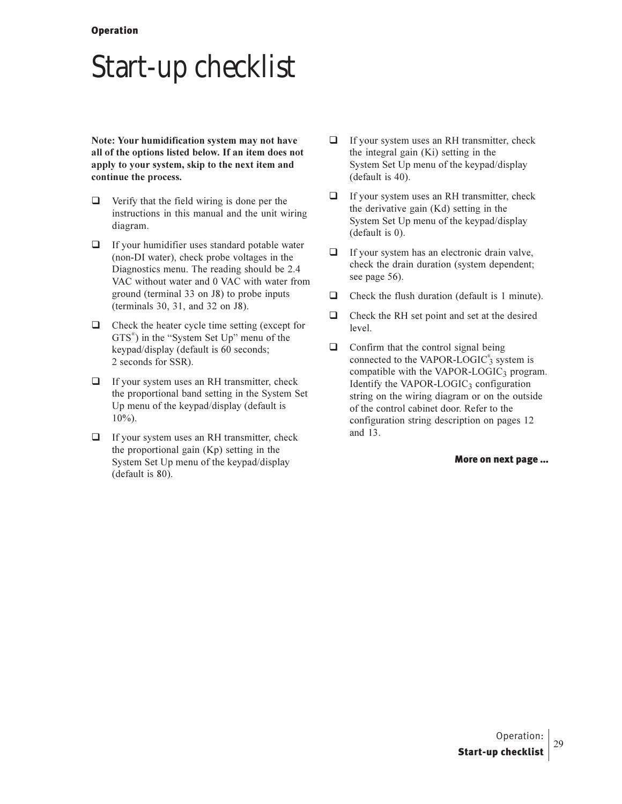### **Start-up checklist**

Note: Your humidification system may not have all of the options listed below. If an item does not apply to your system, skip to the next item and continue the process.

- $\Box$ Verify that the field wiring is done per the instructions in this manual and the unit wiring diagram.
- $\Box$  If your humidifier uses standard potable water (non-DI water), check probe voltages in the Diagnostics menu. The reading should be 2.4 VAC without water and 0 VAC with water from ground (terminal 33 on J8) to probe inputs (terminals 30, 31, and 32 on J8).
- $\Box$  Check the heater cycle time setting (except for  $GTS^*$ ) in the "System Set Up" menu of the keypad/display (default is 60 seconds; 2 seconds for SSR).
- $\Box$  If your system uses an RH transmitter, check the proportional band setting in the System Set Up menu of the keypad/display (default is  $10\%$ ).
- $\Box$  If your system uses an RH transmitter, check the proportional gain  $(Kp)$  setting in the System Set Up menu of the keypad/display (default is 80).
- $\Box$ If your system uses an RH transmitter, check the integral gain (Ki) setting in the System Set Up menu of the keypad/display (default is 40).
- $\Box$  If your system uses an RH transmitter, check the derivative gain (Kd) setting in the System Set Up menu of the keypad/display  $(default is 0).$
- $\Box$  If your system has an electronic drain valve, check the drain duration (system dependent; see page 56).
- $\Box$ Check the flush duration (default is 1 minute).
- $\Box$  Check the RH set point and set at the desired level.
- $\Box$  Confirm that the control signal being connected to the VAPOR-LOGIC<sup>®</sup> system is compatible with the VAPOR-LOGIC<sub>3</sub> program. Identify the VAPOR-LOGIC<sub>3</sub> configuration string on the wiring diagram or on the outside of the control cabinet door. Refer to the configuration string description on pages 12 and 13.

#### More on next page ...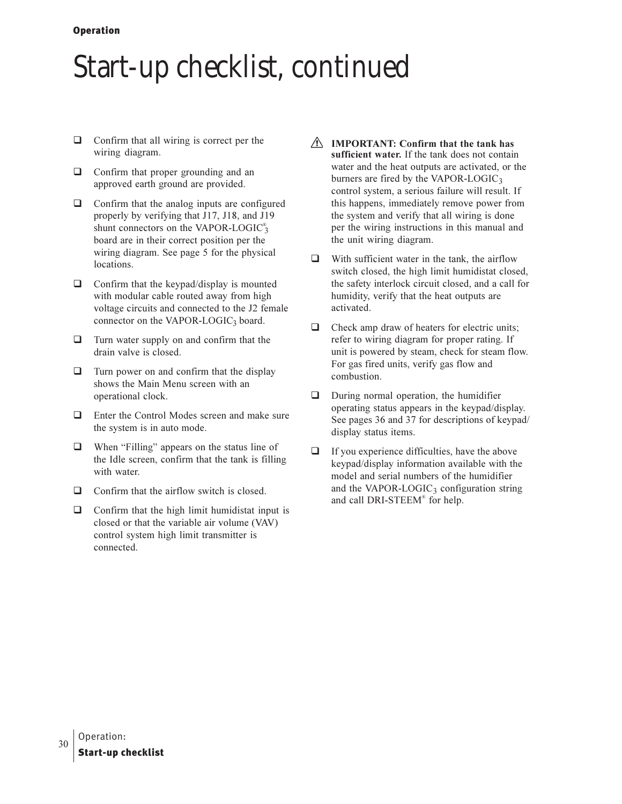### Start-up checklist, continued

- $\Box$  Confirm that all wiring is correct per the wiring diagram.
- $\Box$  Confirm that proper grounding and an approved earth ground are provided.
- $\Box$  Confirm that the analog inputs are configured properly by verifying that J17, J18, and J19 shunt connectors on the VAPOR-LOGIC<sup>®</sup> board are in their correct position per the wiring diagram. See page 5 for the physical locations.
- $\Box$  Confirm that the keypad/display is mounted with modular cable routed away from high voltage circuits and connected to the J2 female connector on the VAPOR-LOGIC<sub>3</sub> board.
- $\Box$  Turn water supply on and confirm that the drain valve is closed.
- $\Box$  Turn power on and confirm that the display shows the Main Menu screen with an operational clock.
- $\Box$  Enter the Control Modes screen and make sure the system is in auto mode.
- $\Box$ When "Filling" appears on the status line of the Idle screen, confirm that the tank is filling with water.
- $\Box$  Confirm that the airflow switch is closed.
- $\Box$  Confirm that the high limit humidistat input is closed or that the variable air volume (VAV) control system high limit transmitter is connected.
- $\triangle$  IMPORTANT: Confirm that the tank has sufficient water. If the tank does not contain water and the heat outputs are activated, or the burners are fired by the VAPOR-LOGIC<sub>3</sub> control system, a serious failure will result. If this happens, immediately remove power from the system and verify that all wiring is done per the wiring instructions in this manual and the unit wiring diagram.
- $\Box$ With sufficient water in the tank, the airflow switch closed, the high limit humidistat closed, the safety interlock circuit closed, and a call for humidity, verify that the heat outputs are activated.
- $\Box$ Check amp draw of heaters for electric units; refer to wiring diagram for proper rating. If unit is powered by steam, check for steam flow. For gas fired units, verify gas flow and combustion.
- $\Box$ During normal operation, the humidifier operating status appears in the keypad/display. See pages 36 and 37 for descriptions of keypad/ display status items.
- $\Box$ If you experience difficulties, have the above keypad/display information available with the model and serial numbers of the humidifier and the VAPOR-LOGIC<sub>3</sub> configuration string and call DRI-STEEM<sup>®</sup> for help.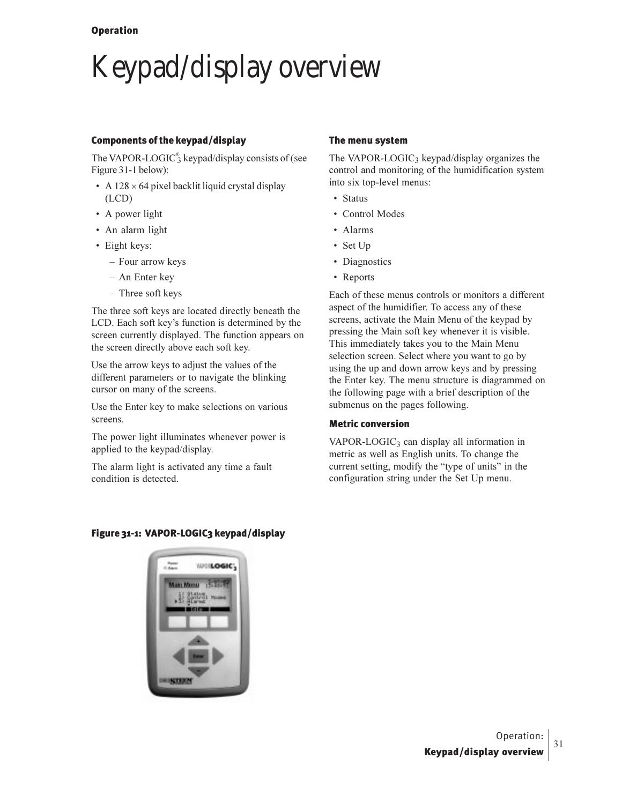## Keypad/display overview

#### Components of the keypad/display

The VAPOR-LOGIC $_3^{\circ}$  keypad/display consists of (see Figure 31-1 below):

- A  $128 \times 64$  pixel backlit liquid crystal display  $(LCD)$
- A power light
- An alarm light
- Eight keys:
	- Four arrow keys
	- An Enter key
	- Three soft keys

The three soft keys are located directly beneath the LCD. Each soft key's function is determined by the screen currently displayed. The function appears on the screen directly above each soft key.

Use the arrow keys to adjust the values of the different parameters or to navigate the blinking cursor on many of the screens.

Use the Enter key to make selections on various screens.

The power light illuminates whenever power is applied to the keypad/display.

The alarm light is activated any time a fault condition is detected.

#### The menu system

The VAPOR-LOGIC<sub>3</sub> keypad/display organizes the control and monitoring of the humidification system into six top-level menus:

- Status
- Control Modes
- Alarms
- Set Up
- Diagnostics
- Reports

Each of these menus controls or monitors a different aspect of the humidifier. To access any of these screens, activate the Main Menu of the keypad by pressing the Main soft key whenever it is visible. This immediately takes you to the Main Menu selection screen. Select where you want to go by using the up and down arrow keys and by pressing the Enter key. The menu structure is diagrammed on the following page with a brief description of the submenus on the pages following.

#### Metric conversion

VAPOR-LOGIC<sub>3</sub> can display all information in metric as well as English units. To change the current setting, modify the "type of units" in the configuration string under the Set Up menu.

#### Figure 31-1: VAPOR-LOGIC3 keypad/display

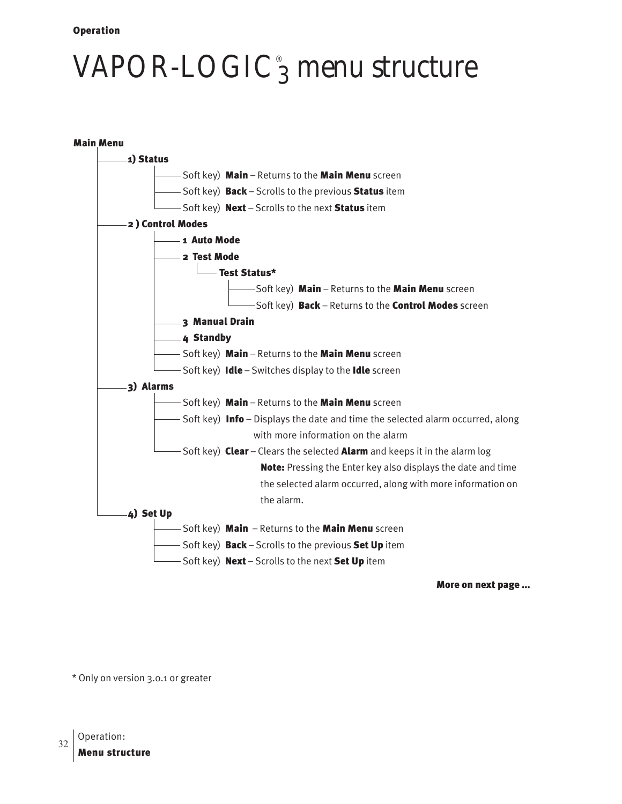## VAPOR-LOGIC $_3^{\circ}$  menu structure



More on next page ...

\* Only on version 3.0.1 or greater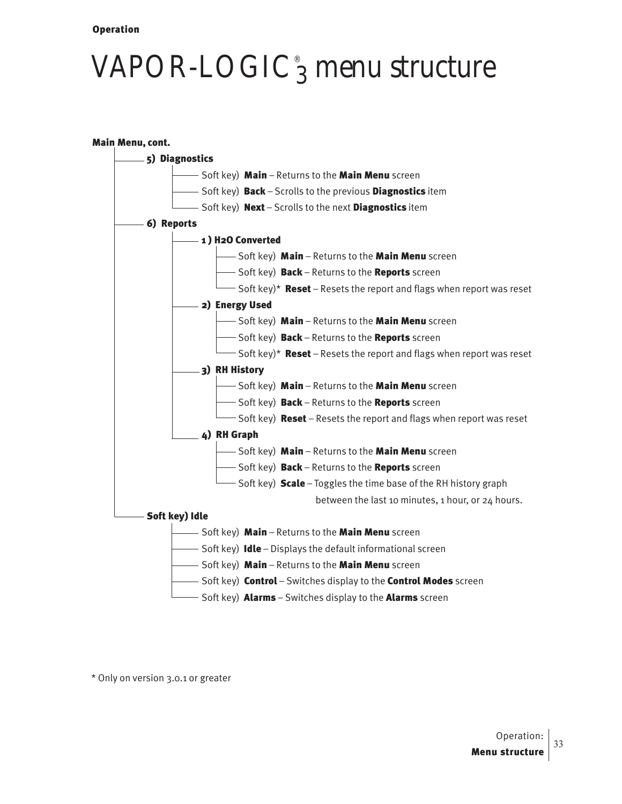## VAPOR-LOGIC $_3^{\circ}$  menu structure



\* Only on version 3.0.1 or greater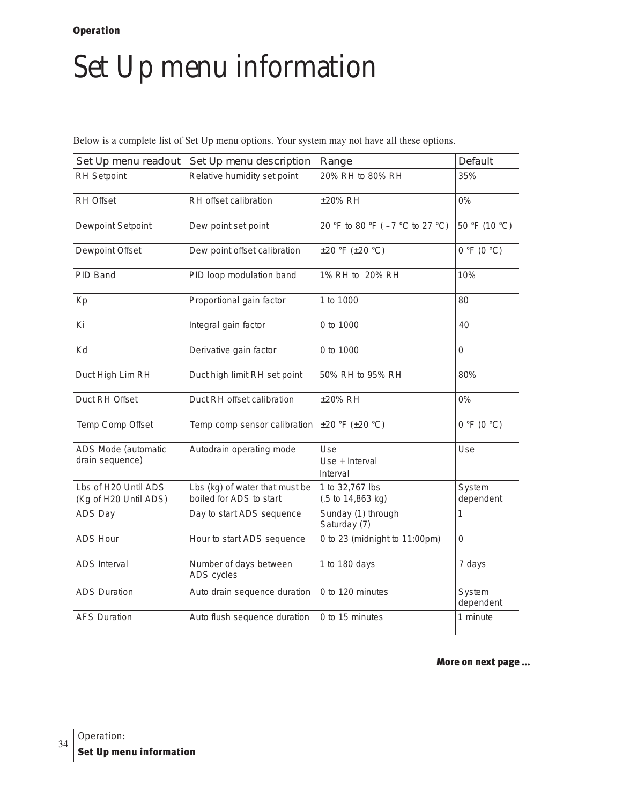### Set Up menu information

Below is a complete list of Set Up menu options. Your system may not have all these options.

| Set Up menu readout                           | Set Up menu description                                   | Range                                                   | Default             |
|-----------------------------------------------|-----------------------------------------------------------|---------------------------------------------------------|---------------------|
| RH Setpoint                                   | Relative humidity set point                               | 20% RH to 80% RH                                        | 35%                 |
| <b>RH Offset</b>                              | RH offset calibration                                     | ±20% RH                                                 | $0\%$               |
| Dewpoint Setpoint                             | Dew point set point                                       | 20 °F to 80 °F (-7 °C to 27 °C)                         | 50 °F (10 °C)       |
| Dewpoint Offset                               | Dew point offset calibration                              | $\pm 20$ °F ( $\pm 20$ °C)                              | 0 °F (0 °C)         |
| PID Band                                      | PID loop modulation band                                  | 1% RH to 20% RH                                         | 10%                 |
| Kp                                            | Proportional gain factor                                  | 1 to 1000                                               | 80                  |
| Ki                                            | Integral gain factor                                      | 0 to 1000                                               | 40                  |
| Kd                                            | Derivative gain factor                                    | 0 to 1000                                               | 0                   |
| Duct High Lim RH                              | Duct high limit RH set point                              | 50% RH to 95% RH                                        | 80%                 |
| Duct RH Offset                                | Duct RH offset calibration                                | ±20% RH                                                 | 0%                  |
| Temp Comp Offset                              | Temp comp sensor calibration                              | $\pm 20$ °F ( $\pm 20$ °C)                              | 0 °F (0 °C)         |
| ADS Mode (automatic<br>drain sequence)        | Autodrain operating mode                                  | Use<br>Use + Interval<br>Interval                       | Use                 |
| Lbs of H20 Until ADS<br>(Kg of H20 Until ADS) | Lbs (kg) of water that must be<br>boiled for ADS to start | 1 to 32,767 lbs<br>$(.5 \text{ to } 14,863 \text{ kg})$ | System<br>dependent |
| ADS Day                                       | Day to start ADS sequence                                 | Sunday (1) through<br>Saturday (7)                      | 1                   |
| <b>ADS Hour</b>                               | Hour to start ADS sequence                                | 0 to 23 (midnight to 11:00pm)                           | 0                   |
| <b>ADS</b> Interval                           | Number of days between<br>ADS cycles                      | 1 to 180 days                                           | 7 days              |
| <b>ADS Duration</b>                           | Auto drain sequence duration                              | 0 to 120 minutes                                        | System<br>dependent |
| <b>AFS Duration</b>                           | Auto flush sequence duration                              | 0 to 15 minutes                                         | 1 minute            |

More on next page ...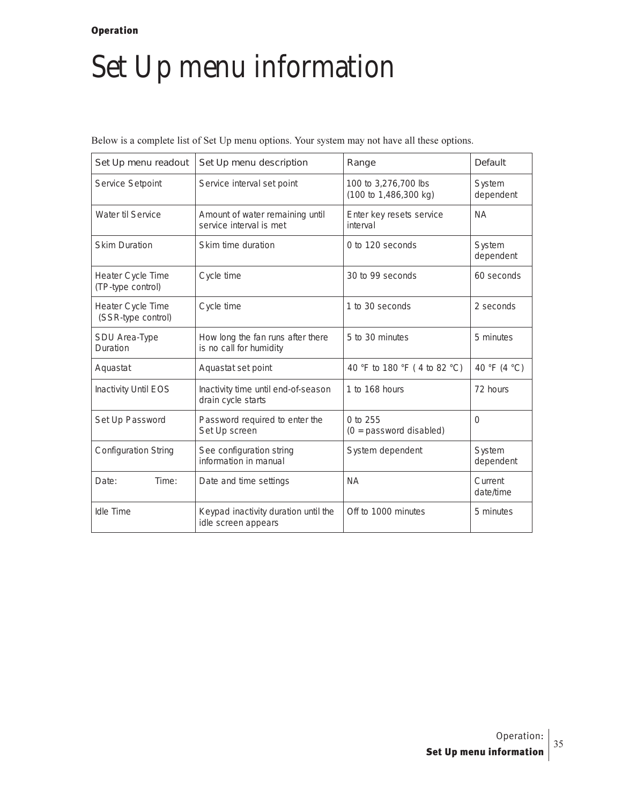### Set Up menu information

Below is a complete list of Set Up menu options. Your system may not have all these options.

| Set Up menu readout                     | Set Up menu description                                      | Range                                         | Default              |
|-----------------------------------------|--------------------------------------------------------------|-----------------------------------------------|----------------------|
| Service Setpoint                        | Service interval set point                                   | 100 to 3,276,700 lbs<br>(100 to 1,486,300 kg) | System<br>dependent  |
| Water til Service                       | Amount of water remaining until<br>service interval is met   | Enter key resets service<br>interval          | <b>NA</b>            |
| <b>Skim Duration</b>                    | Skim time duration                                           | 0 to 120 seconds                              | System<br>dependent  |
| Heater Cycle Time<br>(TP-type control)  | Cycle time                                                   | 30 to 99 seconds                              | 60 seconds           |
| Heater Cycle Time<br>(SSR-type control) | Cycle time                                                   | 1 to 30 seconds                               | 2 seconds            |
| SDU Area-Type<br>Duration               | How long the fan runs after there<br>is no call for humidity | 5 to 30 minutes                               | 5 minutes            |
| Aquastat                                | Aquastat set point                                           | 40 °F to 180 °F (4 to 82 °C)                  | 40 °F (4 °C)         |
| <b>Inactivity Until EOS</b>             | Inactivity time until end-of-season<br>drain cycle starts    | 1 to 168 hours                                | 72 hours             |
| Set Up Password                         | Password required to enter the<br>Set Up screen              | 0 to 255<br>$(0 =$ password disabled)         | $\Omega$             |
| <b>Configuration String</b>             | See configuration string<br>information in manual            | System dependent                              | System<br>dependent  |
| Time:<br>Date:                          | Date and time settings                                       | <b>NA</b>                                     | Current<br>date/time |
| Idle Time                               | Keypad inactivity duration until the<br>idle screen appears  | Off to 1000 minutes                           | 5 minutes            |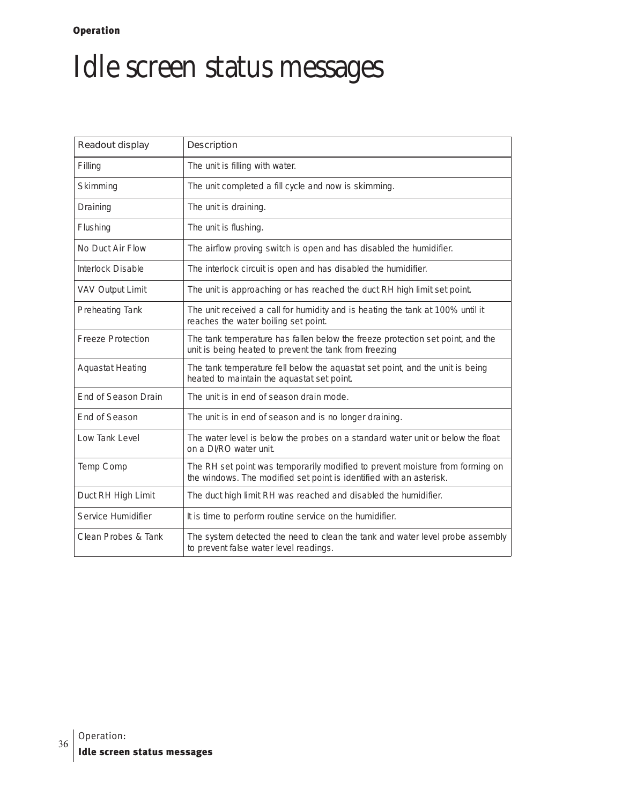## Idle screen status messages

| Readout display          | Description                                                                                                                                          |
|--------------------------|------------------------------------------------------------------------------------------------------------------------------------------------------|
| Filling                  | The unit is filling with water.                                                                                                                      |
| Skimming                 | The unit completed a fill cycle and now is skimming.                                                                                                 |
| Draining                 | The unit is draining.                                                                                                                                |
| Flushing                 | The unit is flushing.                                                                                                                                |
| No Duct Air Flow         | The airflow proving switch is open and has disabled the humidifier.                                                                                  |
| Interlock Disable        | The interlock circuit is open and has disabled the humidifier.                                                                                       |
| <b>VAV Output Limit</b>  | The unit is approaching or has reached the duct RH high limit set point.                                                                             |
| Preheating Tank          | The unit received a call for humidity and is heating the tank at 100% until it<br>reaches the water boiling set point.                               |
| <b>Freeze Protection</b> | The tank temperature has fallen below the freeze protection set point, and the<br>unit is being heated to prevent the tank from freezing             |
| <b>Aquastat Heating</b>  | The tank temperature fell below the aquastat set point, and the unit is being<br>heated to maintain the aquastat set point.                          |
| End of Season Drain      | The unit is in end of season drain mode.                                                                                                             |
| End of Season            | The unit is in end of season and is no longer draining.                                                                                              |
| Low Tank Level           | The water level is below the probes on a standard water unit or below the float<br>on a DI/RO water unit.                                            |
| Temp Comp                | The RH set point was temporarily modified to prevent moisture from forming on<br>the windows. The modified set point is identified with an asterisk. |
| Duct RH High Limit       | The duct high limit RH was reached and disabled the humidifier.                                                                                      |
| Service Humidifier       | It is time to perform routine service on the humidifier.                                                                                             |
| Clean Probes & Tank      | The system detected the need to clean the tank and water level probe assembly<br>to prevent false water level readings.                              |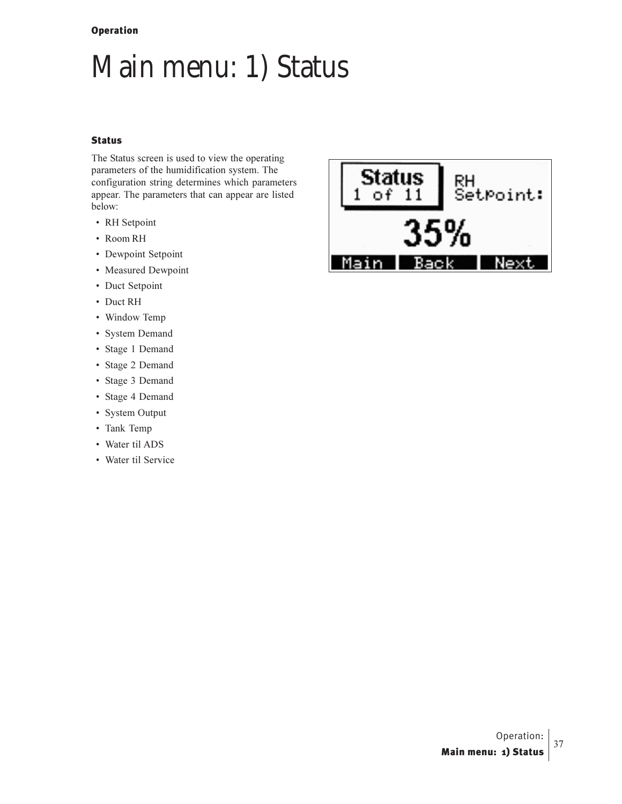# Main menu: 1) Status

#### Status

The Status screen is used to view the operating parameters of the humidification system. The configuration string determines which parameters appear. The parameters that can appear are listed below:

- RH Setpoint
- Room RH
- Dewpoint Setpoint
- Measured Dewpoint
- Duct Setpoint
- Duct RH
- Window Temp
- System Demand
- Stage 1 Demand
- Stage 2 Demand
- Stage 3 Demand
- Stage 4 Demand
- System Output
- Tank Temp
- Water til ADS
- Water til Service

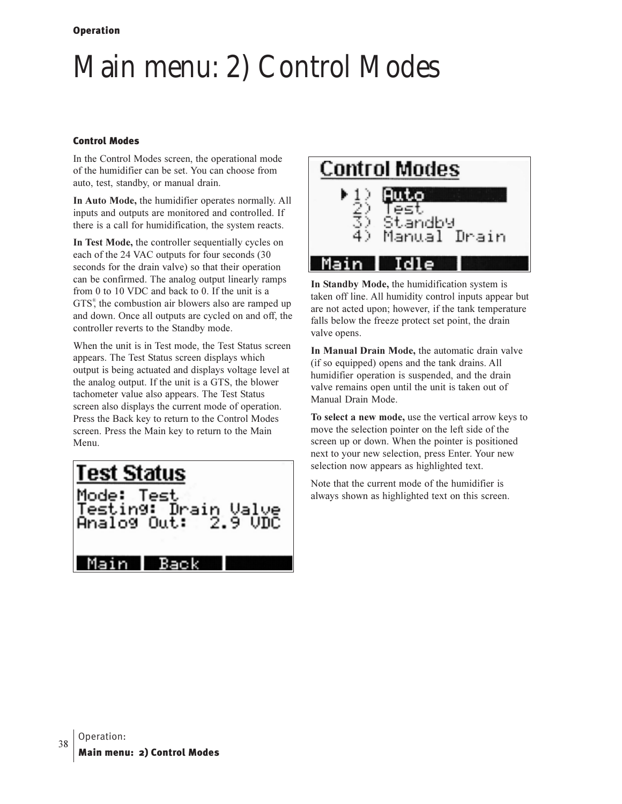# **Main menu: 2) Control Modes**

#### **Control Modes**

In the Control Modes screen, the operational mode of the humidifier can be set. You can choose from auto, test, standby, or manual drain.

In Auto Mode, the humidifier operates normally. All inputs and outputs are monitored and controlled. If there is a call for humidification, the system reacts.

In Test Mode, the controller sequentially cycles on each of the 24 VAC outputs for four seconds (30 seconds for the drain valve) so that their operation can be confirmed. The analog output linearly ramps from 0 to 10 VDC and back to 0. If the unit is a GTS<sup>®</sup>, the combustion air blowers also are ramped up and down. Once all outputs are cycled on and off, the controller reverts to the Standby mode.

When the unit is in Test mode, the Test Status screen appears. The Test Status screen displays which output is being actuated and displays voltage level at the analog output. If the unit is a GTS, the blower tachometer value also appears. The Test Status screen also displays the current mode of operation. Press the Back key to return to the Control Modes screen. Press the Main key to return to the Main Menu.





In Standby Mode, the humidification system is taken off line. All humidity control inputs appear but are not acted upon; however, if the tank temperature falls below the freeze protect set point, the drain valve opens.

In Manual Drain Mode, the automatic drain valve (if so equipped) opens and the tank drains. All humidifier operation is suspended, and the drain valve remains open until the unit is taken out of Manual Drain Mode.

To select a new mode, use the vertical arrow keys to move the selection pointer on the left side of the screen up or down. When the pointer is positioned next to your new selection, press Enter. Your new selection now appears as highlighted text.

Note that the current mode of the humidifier is always shown as highlighted text on this screen.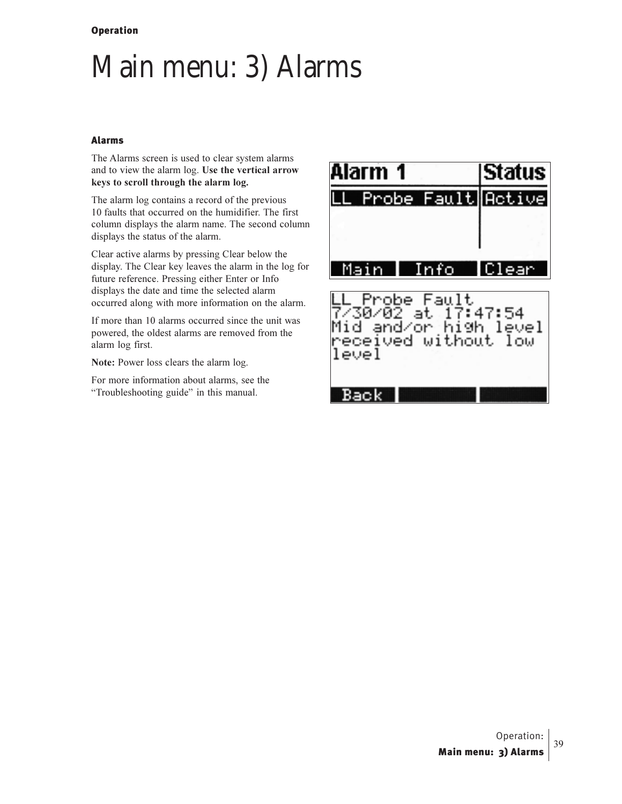## Main menu: 3) Alarms

#### Alarms

The Alarms screen is used to clear system alarms and to view the alarm log. Use the vertical arrow keys to scroll through the alarm log.

The alarm log contains a record of the previous 10 faults that occurred on the humidifier. The first column displays the alarm name. The second column displays the status of the alarm.

Clear active alarms by pressing Clear below the display. The Clear key leaves the alarm in the log for future reference. Pressing either Enter or Info displays the date and time the selected alarm occurred along with more information on the alarm.

If more than 10 alarms occurred since the unit was powered, the oldest alarms are removed from the alarm log first.

Note: Power loss clears the alarm log.

For more information about alarms, see the "Troubleshooting guide" in this manual.

| llarm 1                                                                                      | <b>Status</b> |
|----------------------------------------------------------------------------------------------|---------------|
| Probe Fault                                                                                  | Active        |
|                                                                                              |               |
| ain<br>Info                                                                                  | lea           |
| -Probe Fault<br>730/02 at 17:47:54<br>Mid and/or high level<br>received without low<br>level |               |

Back |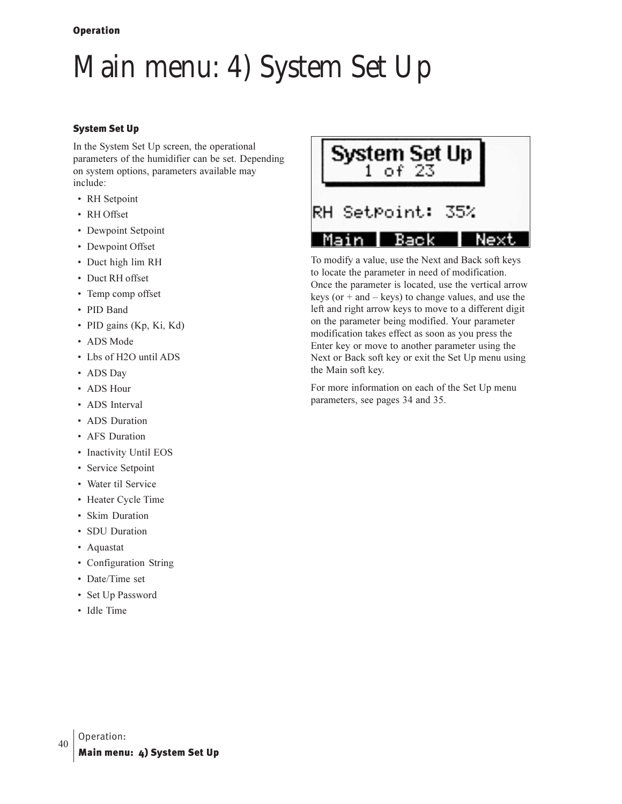# Main menu: 4) System Set Up

#### System Set Up

In the System Set Up screen, the operational parameters of the humidifier can be set. Depending on system options, parameters available may include:

- RH Setpoint
- RH Offset
- Dewpoint Setpoint
- Dewpoint Offset
- Duct high lim RH
- Duct RH offset
- Temp comp offset
- PID Band
- PID gains (Kp, Ki, Kd)
- ADS Mode
- Lbs of H2O until ADS
- ADS Day
- ADS Hour
- ADS Interval
- ADS Duration
- AFS Duration
- Inactivity Until EOS
- Service Setpoint
- Water til Service
- Heater Cycle Time
- Skim Duration
- SDU Duration
- Aquastat
- · Configuration String
- Date/Time set
- Set Up Password
- Idle Time



To modify a value, use the Next and Back soft keys to locate the parameter in need of modification. Once the parameter is located, use the vertical arrow keys (or  $+$  and  $-$  keys) to change values, and use the left and right arrow keys to move to a different digit on the parameter being modified. Your parameter modification takes effect as soon as you press the Enter key or move to another parameter using the Next or Back soft key or exit the Set Up menu using the Main soft key.

For more information on each of the Set Up menu parameters, see pages 34 and 35.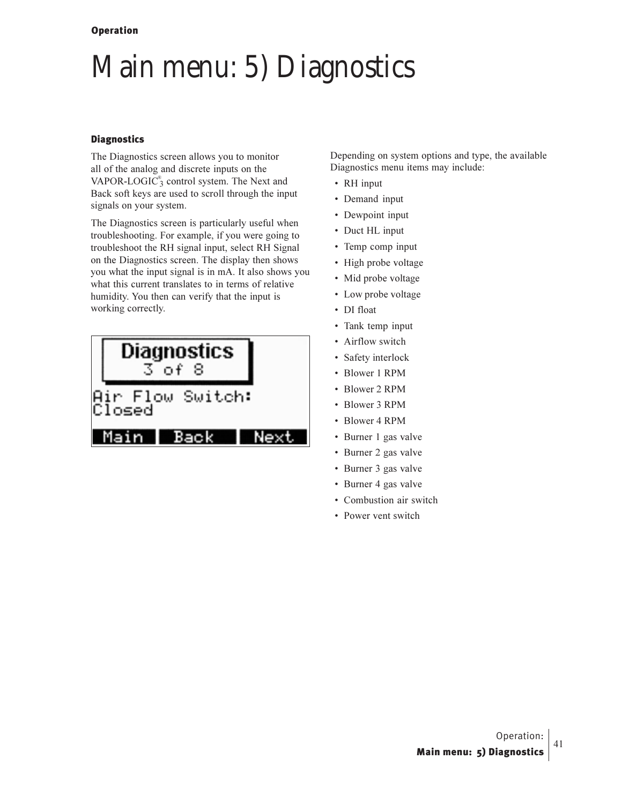## Main menu: 5) Diagnostics

#### **Diagnostics**

The Diagnostics screen allows you to monitor all of the analog and discrete inputs on the VAPOR-LOGIC $_3^{\circ}$  control system. The Next and Back soft keys are used to scroll through the input signals on your system.

The Diagnostics screen is particularly useful when troubleshooting. For example, if you were going to troubleshoot the RH signal input, select RH Signal on the Diagnostics screen. The display then shows you what the input signal is in mA. It also shows you what this current translates to in terms of relative humidity. You then can verify that the input is working correctly.

| Diagnostics<br>$3$ of 8    |  |
|----------------------------|--|
| Air Flow Switch:<br>Closed |  |
| Main<br>Back               |  |

Depending on system options and type, the available Diagnostics menu items may include:

- RH input
- Demand input
- Dewpoint input
- Duct HL input
- Temp comp input
- High probe voltage
- Mid probe voltage
- Low probe voltage
- DI float
- Tank temp input
- Airflow switch
- Safety interlock
- Blower 1 RPM
- Blower 2 RPM
- Blower 3 RPM
- Blower 4 RPM
- Burner 1 gas valve
- Burner 2 gas valve
- Burner 3 gas valve
- Burner 4 gas valve
- Combustion air switch
- Power vent switch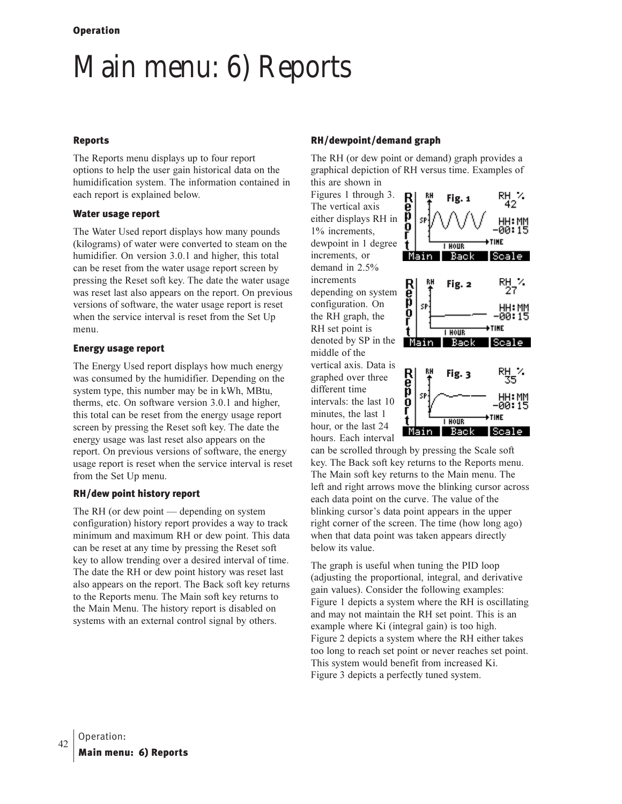## Main menu: 6) Reports

#### Reports

The Reports menu displays up to four report options to help the user gain historical data on the humidification system. The information contained in each report is explained below.

#### Water usage report

The Water Used report displays how many pounds (kilograms) of water were converted to steam on the humidifier. On version 3.0.1 and higher, this total can be reset from the water usage report screen by pressing the Reset soft key. The date the water usage was reset last also appears on the report. On previous versions of software, the water usage report is reset when the service interval is reset from the Set Up menu.

#### Energy usage report

The Energy Used report displays how much energy was consumed by the humidifier. Depending on the system type, this number may be in kWh, MBtu, therms, etc. On software version 3.0.1 and higher, this total can be reset from the energy usage report screen by pressing the Reset soft key. The date the energy usage was last reset also appears on the report. On previous versions of software, the energy usage report is reset when the service interval is reset from the Set Up menu.

#### RH/dew point history report

The RH (or dew point  $-$  depending on system configuration) history report provides a way to track minimum and maximum RH or dew point. This data can be reset at any time by pressing the Reset soft key to allow trending over a desired interval of time. The date the RH or dew point history was reset last also appears on the report. The Back soft key returns to the Reports menu. The Main soft key returns to the Main Menu. The history report is disabled on systems with an external control signal by others.

#### RH/dewpoint/demand graph

The RH (or dew point or demand) graph provides a graphical depiction of RH versus time. Examples of this are shown in

Figures 1 through 3. The vertical axis either displays RH in 1% increments, dewpoint in 1 degree increments, or demand in 2.5% increments depending on system configuration. On the RH graph, the RH set point is denoted by SP in the middle of the vertical axis. Data is graphed over three different time intervals: the last 10 minutes, the last 1 hour, or the last 24 hours. Each interval



can be scrolled through by pressing the Scale soft key. The Back soft key returns to the Reports menu. The Main soft key returns to the Main menu. The left and right arrows move the blinking cursor across each data point on the curve. The value of the blinking cursor's data point appears in the upper right corner of the screen. The time (how long ago) when that data point was taken appears directly below its value.

The graph is useful when tuning the PID loop (adjusting the proportional, integral, and derivative gain values). Consider the following examples: Figure 1 depicts a system where the RH is oscillating and may not maintain the RH set point. This is an example where Ki (integral gain) is too high. Figure 2 depicts a system where the RH either takes too long to reach set point or never reaches set point. This system would benefit from increased Ki. Figure 3 depicts a perfectly tuned system.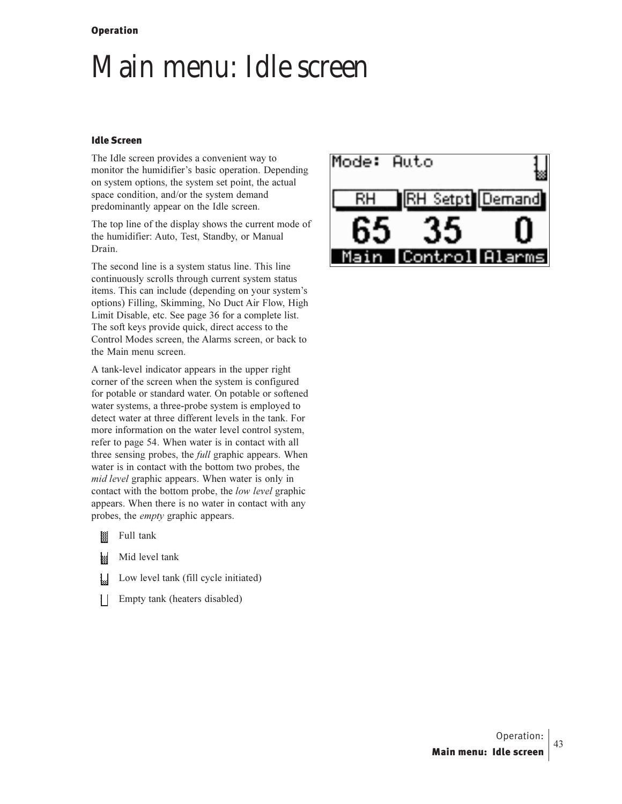## Main menu: Idle screen

#### **Idle Screen**

The Idle screen provides a convenient way to monitor the humidifier's basic operation. Depending on system options, the system set point, the actual space condition, and/or the system demand predominantly appear on the Idle screen.

The top line of the display shows the current mode of the humidifier: Auto, Test, Standby, or Manual Drain.

The second line is a system status line. This line continuously scrolls through current system status items. This can include (depending on your system's options) Filling, Skimming, No Duct Air Flow, High Limit Disable, etc. See page 36 for a complete list. The soft keys provide quick, direct access to the Control Modes screen, the Alarms screen, or back to the Main menu screen.

A tank-level indicator appears in the upper right corner of the screen when the system is configured for potable or standard water. On potable or softened water systems, a three-probe system is employed to detect water at three different levels in the tank. For more information on the water level control system, refer to page 54. When water is in contact with all three sensing probes, the *full* graphic appears. When water is in contact with the bottom two probes, the mid level graphic appears. When water is only in contact with the bottom probe, the low level graphic appears. When there is no water in contact with any probes, the *empty* graphic appears.

- 攔 Full tank
- ł Mid level tank
- IJ Low level tank (fill cycle initiated)
- Empty tank (heaters disabled) Ħ

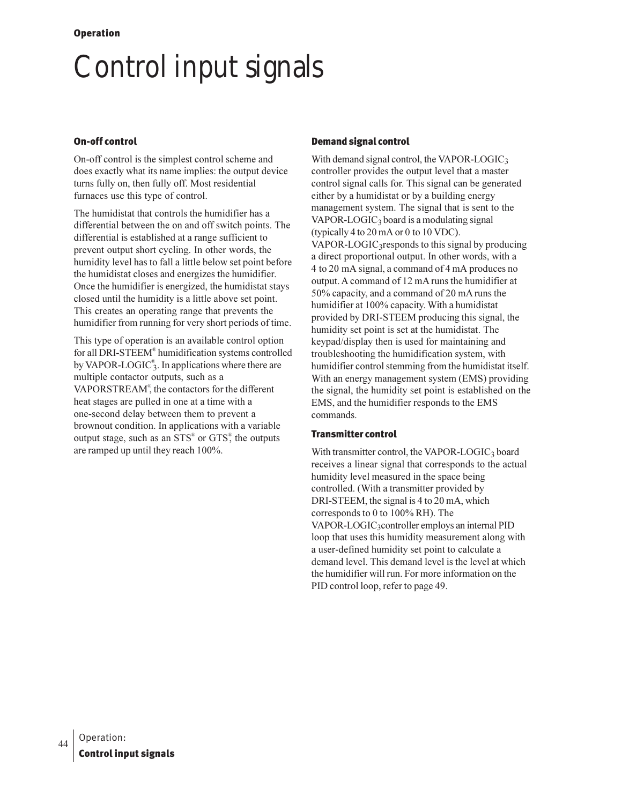# **Control input signals**

#### **On-off control**

On-off control is the simplest control scheme and does exactly what its name implies: the output device turns fully on, then fully off. Most residential furnaces use this type of control.

The humidistat that controls the humidifier has a differential between the on and off switch points. The differential is established at a range sufficient to prevent output short cycling. In other words, the humidity level has to fall a little below set point before the humidistat closes and energizes the humidifier. Once the humidifier is energized, the humidistat stays closed until the humidity is a little above set point. This creates an operating range that prevents the humidifier from running for very short periods of time.

This type of operation is an available control option for all DRI-STEEM<sup>®</sup> humidification systems controlled by VAPOR-LOGIC<sup>®</sup><sub>3</sub>. In applications where there are multiple contactor outputs, such as a VAPORSTREAM<sup>®</sup>, the contactors for the different heat stages are pulled in one at a time with a one-second delay between them to prevent a brownout condition. In applications with a variable output stage, such as an STS<sup>®</sup> or GTS<sup>®</sup>, the outputs are ramped up until they reach 100%.

#### **Demand signal control**

With demand signal control, the VAPOR-LOGIC $_3$ controller provides the output level that a master control signal calls for. This signal can be generated either by a humidistat or by a building energy management system. The signal that is sent to the VAPOR-LOGIC<sub>3</sub> board is a modulating signal (typically 4 to 20 mA or 0 to 10 VDC). VAPOR-LOGIC<sub>3</sub>responds to this signal by producing a direct proportional output. In other words, with a 4 to 20 mA signal, a command of 4 mA produces no output. A command of 12 mA runs the humidifier at 50% capacity, and a command of 20 mA runs the humidifier at 100% capacity. With a humidistat provided by DRI-STEEM producing this signal, the humidity set point is set at the humidistat. The keypad/display then is used for maintaining and troubleshooting the humidification system, with humidifier control stemming from the humidistat itself. With an energy management system (EMS) providing the signal, the humidity set point is established on the EMS, and the humidifier responds to the EMS commands.

#### **Transmitter control**

With transmitter control, the VAPOR-LOGIC<sub>3</sub> board receives a linear signal that corresponds to the actual humidity level measured in the space being controlled. (With a transmitter provided by DRI-STEEM, the signal is 4 to 20 mA, which corresponds to 0 to 100% RH). The VAPOR-LOGIC<sub>3</sub>controller employs an internal PID loop that uses this humidity measurement along with a user-defined humidity set point to calculate a demand level. This demand level is the level at which the humidifier will run. For more information on the PID control loop, refer to page 49.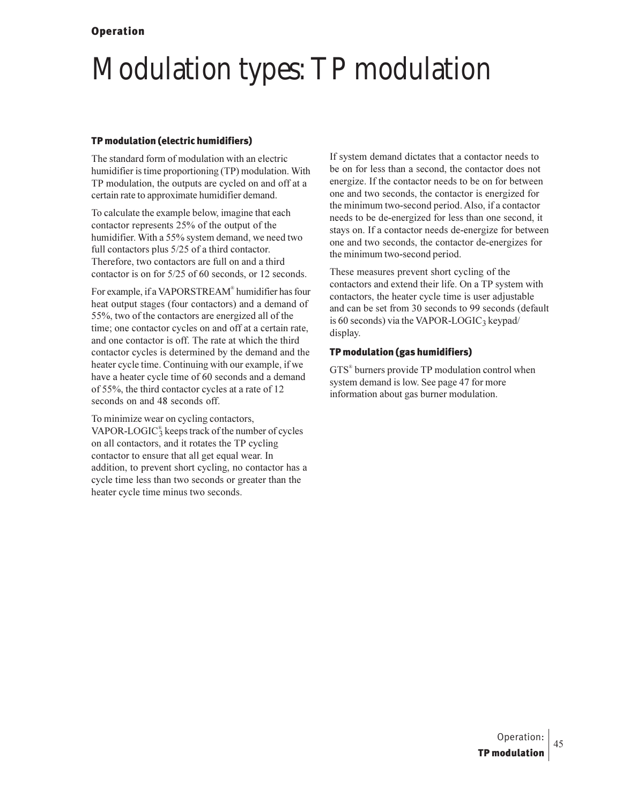# Modulation types: TP modulation

#### TP modulation (electric humidifiers)

The standard form of modulation with an electric humidifier is time proportioning (TP) modulation. With TP modulation, the outputs are cycled on and off at a certain rate to approximate humidifier demand.

To calculate the example below, imagine that each contactor represents 25% of the output of the humidifier. With a 55% system demand, we need two full contactors plus  $5/25$  of a third contactor. Therefore, two contactors are full on and a third contactor is on for  $5/25$  of 60 seconds, or 12 seconds.

For example, if a VAPORSTREAM® humidifier has four heat output stages (four contactors) and a demand of 55%, two of the contactors are energized all of the time; one contactor cycles on and off at a certain rate, and one contactor is off. The rate at which the third contactor cycles is determined by the demand and the heater cycle time. Continuing with our example, if we have a heater cycle time of 60 seconds and a demand of 55%, the third contactor cycles at a rate of 12 seconds on and 48 seconds off.

To minimize wear on cycling contactors, VAPOR-LOGIC $_3^{\circ}$  keeps track of the number of cycles on all contactors, and it rotates the TP cycling contactor to ensure that all get equal wear. In addition, to prevent short cycling, no contactor has a cycle time less than two seconds or greater than the heater cycle time minus two seconds.

If system demand dictates that a contactor needs to be on for less than a second, the contactor does not energize. If the contactor needs to be on for between one and two seconds, the contactor is energized for the minimum two-second period. Also, if a contactor needs to be de-energized for less than one second, it stays on. If a contactor needs de-energize for between one and two seconds, the contactor de-energizes for the minimum two-second period.

These measures prevent short cycling of the contactors and extend their life. On a TP system with contactors, the heater cycle time is user adjustable and can be set from 30 seconds to 99 seconds (default is 60 seconds) via the VAPOR-LOGIC<sub>3</sub> keypad/ display.

#### TP modulation (gas humidifiers)

GTS<sup>®</sup> burners provide TP modulation control when system demand is low. See page 47 for more information about gas burner modulation.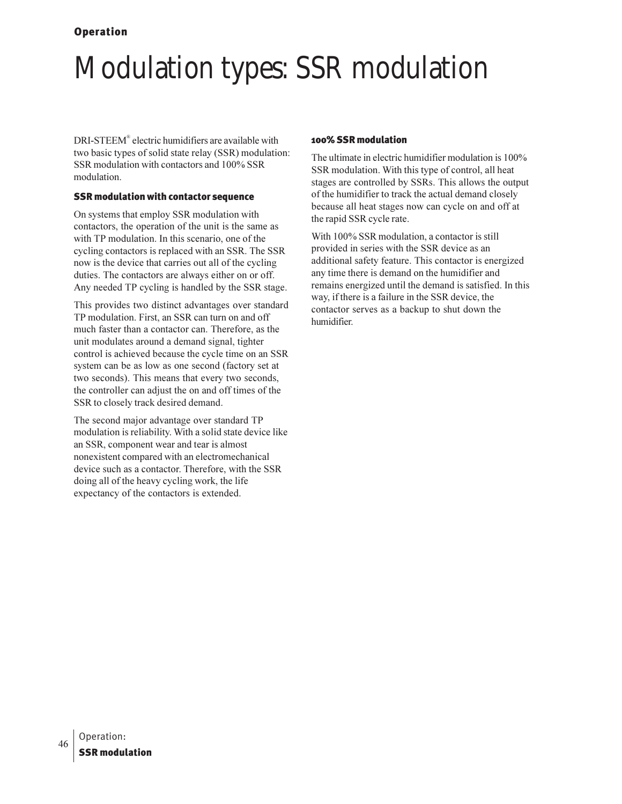# **Modulation types: SSR modulation**

DRI-STEEM® electric humidifiers are available with two basic types of solid state relay (SSR) modulation: SSR modulation with contactors and 100% SSR modulation.

#### **SSR modulation with contactor sequence**

On systems that employ SSR modulation with contactors, the operation of the unit is the same as with TP modulation. In this scenario, one of the cycling contactors is replaced with an SSR. The SSR now is the device that carries out all of the cycling duties. The contactors are always either on or off. Any needed TP cycling is handled by the SSR stage.

This provides two distinct advantages over standard TP modulation. First, an SSR can turn on and off much faster than a contactor can. Therefore, as the unit modulates around a demand signal, tighter control is achieved because the cycle time on an SSR system can be as low as one second (factory set at two seconds). This means that every two seconds, the controller can adjust the on and off times of the SSR to closely track desired demand.

The second major advantage over standard TP modulation is reliability. With a solid state device like an SSR, component wear and tear is almost nonexistent compared with an electromechanical device such as a contactor. Therefore, with the SSR doing all of the heavy cycling work, the life expectancy of the contactors is extended.

#### 100% SSR modulation

The ultimate in electric humidifier modulation is 100% SSR modulation. With this type of control, all heat stages are controlled by SSRs. This allows the output of the humidifier to track the actual demand closely because all heat stages now can cycle on and off at the rapid SSR cycle rate.

With 100% SSR modulation, a contactor is still provided in series with the SSR device as an additional safety feature. This contactor is energized any time there is demand on the humidifier and remains energized until the demand is satisfied. In this way, if there is a failure in the SSR device, the contactor serves as a backup to shut down the humidifier.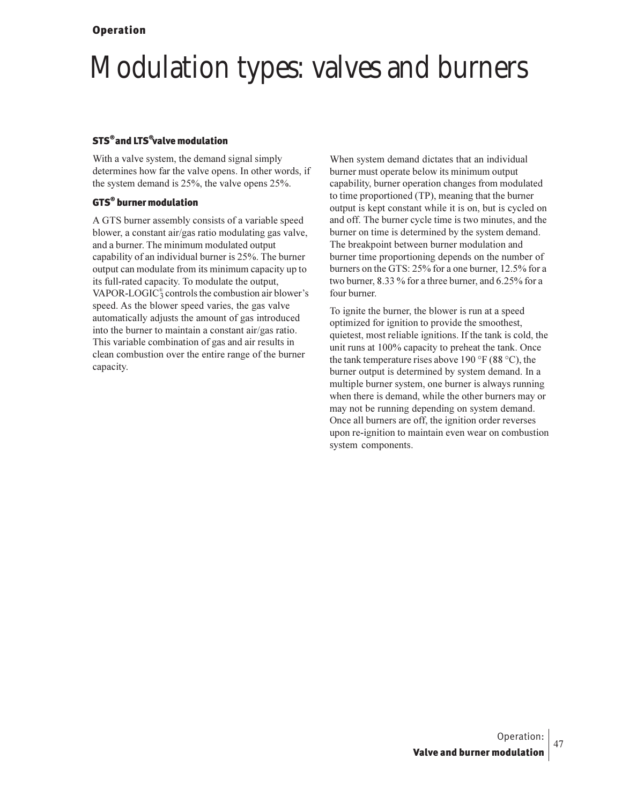# **Modulation types: valves and burners**

## **STS<sup>®</sup> and LTS<sup>®</sup>valve modulation**

With a valve system, the demand signal simply determines how far the valve opens. In other words, if the system demand is  $25\%$ , the valve opens  $25\%$ .

### **GTS<sup>®</sup> burner modulation**

A GTS burner assembly consists of a variable speed blower, a constant air/gas ratio modulating gas valve, and a burner. The minimum modulated output capability of an individual burner is 25%. The burner output can modulate from its minimum capacity up to its full-rated capacity. To modulate the output, VAPOR-LOGIC<sup>®</sup> controls the combustion air blower's speed. As the blower speed varies, the gas valve automatically adjusts the amount of gas introduced into the burner to maintain a constant air/gas ratio. This variable combination of gas and air results in clean combustion over the entire range of the burner capacity.

When system demand dictates that an individual burner must operate below its minimum output capability, burner operation changes from modulated to time proportioned (TP), meaning that the burner output is kept constant while it is on, but is cycled on and off. The burner cycle time is two minutes, and the burner on time is determined by the system demand. The breakpoint between burner modulation and burner time proportioning depends on the number of burners on the GTS: 25% for a one burner, 12.5% for a two burner, 8.33 % for a three burner, and 6.25% for a four burner.

To ignite the burner, the blower is run at a speed optimized for ignition to provide the smoothest, quietest, most reliable ignitions. If the tank is cold, the unit runs at 100% capacity to preheat the tank. Once the tank temperature rises above 190 °F (88 °C), the burner output is determined by system demand. In a multiple burner system, one burner is always running when there is demand, while the other burners may or may not be running depending on system demand. Once all burners are off, the ignition order reverses upon re-ignition to maintain even wear on combustion system components.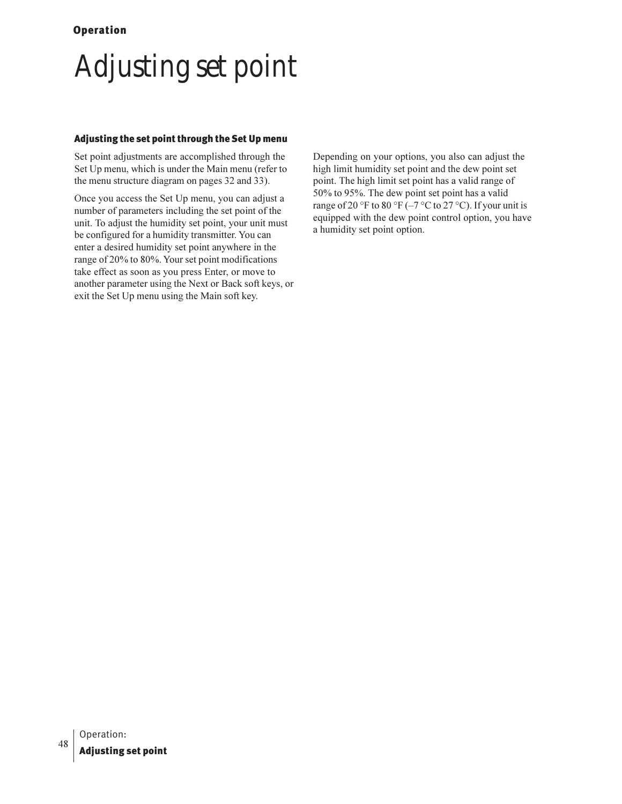# **Adjusting set point**

#### Adjusting the set point through the Set Up menu

Set point adjustments are accomplished through the Set Up menu, which is under the Main menu (refer to the menu structure diagram on pages 32 and 33).

Once you access the Set Up menu, you can adjust a number of parameters including the set point of the unit. To adjust the humidity set point, your unit must be configured for a humidity transmitter. You can enter a desired humidity set point anywhere in the range of 20% to 80%. Your set point modifications take effect as soon as you press Enter, or move to another parameter using the Next or Back soft keys, or exit the Set Up menu using the Main soft key.

Depending on your options, you also can adjust the high limit humidity set point and the dew point set point. The high limit set point has a valid range of 50% to 95%. The dew point set point has a valid range of 20 °F to 80 °F ( $-7$  °C to 27 °C). If your unit is equipped with the dew point control option, you have a humidity set point option.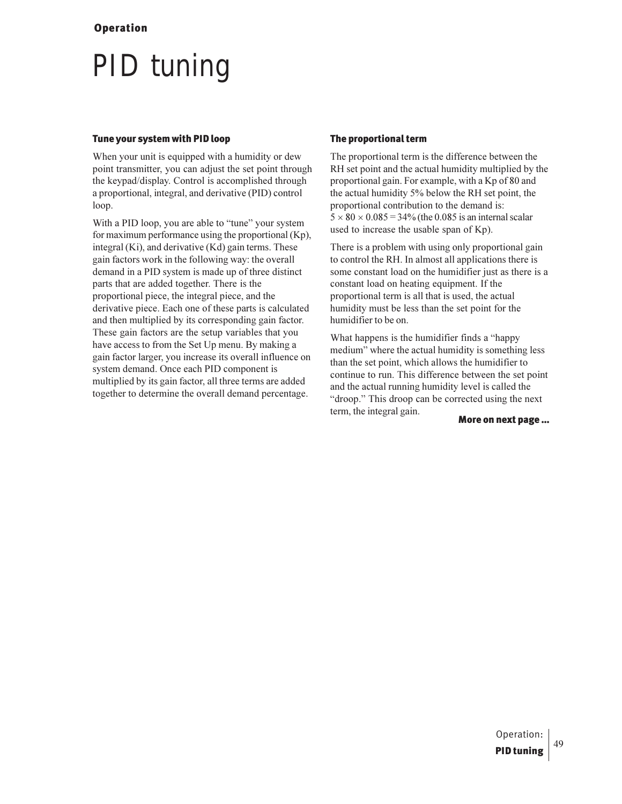## **PID** tuning

#### Tune your system with PID loop

When your unit is equipped with a humidity or dew point transmitter, you can adjust the set point through the keypad/display. Control is accomplished through a proportional, integral, and derivative (PID) control loop.

With a PID loop, you are able to "tune" your system for maximum performance using the proportional (Kp), integral (Ki), and derivative (Kd) gain terms. These gain factors work in the following way: the overall demand in a PID system is made up of three distinct parts that are added together. There is the proportional piece, the integral piece, and the derivative piece. Each one of these parts is calculated and then multiplied by its corresponding gain factor. These gain factors are the setup variables that you have access to from the Set Up menu. By making a gain factor larger, you increase its overall influence on system demand. Once each PID component is multiplied by its gain factor, all three terms are added together to determine the overall demand percentage.

#### The proportional term

The proportional term is the difference between the RH set point and the actual humidity multiplied by the proportional gain. For example, with a Kp of 80 and the actual humidity 5% below the RH set point, the proportional contribution to the demand is:  $5 \times 80 \times 0.085 = 34\%$  (the 0.085 is an internal scalar used to increase the usable span of Kp).

There is a problem with using only proportional gain to control the RH. In almost all applications there is some constant load on the humidifier just as there is a constant load on heating equipment. If the proportional term is all that is used, the actual humidity must be less than the set point for the humidifier to be on.

What happens is the humidifier finds a "happy" medium" where the actual humidity is something less than the set point, which allows the humidifier to continue to run. This difference between the set point and the actual running humidity level is called the "droop." This droop can be corrected using the next term, the integral gain.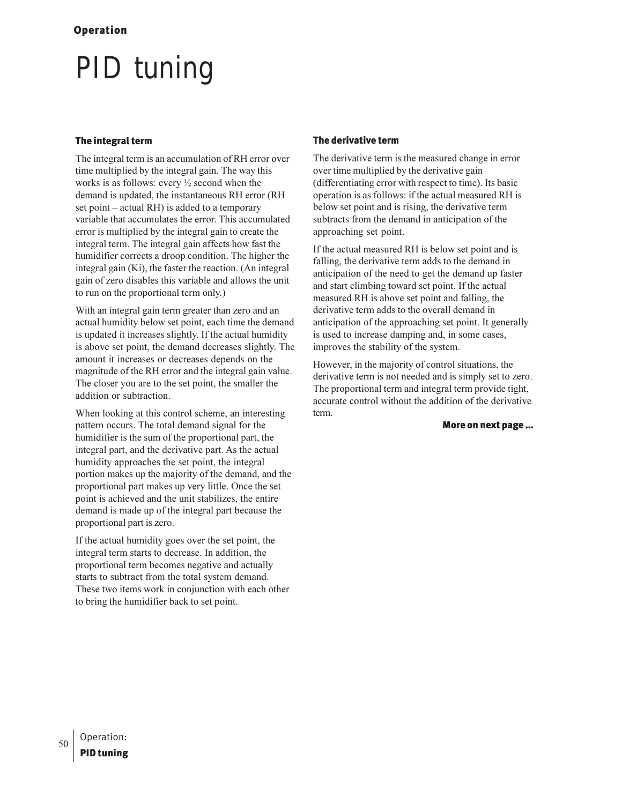# **PID** tuning

### The integral term

The integral term is an accumulation of RH error over time multiplied by the integral gain. The way this works is as follows: every  $\frac{1}{2}$  second when the demand is updated, the instantaneous RH error (RH set point – actual RH) is added to a temporary variable that accumulates the error. This accumulated error is multiplied by the integral gain to create the integral term. The integral gain affects how fast the humidifier corrects a droop condition. The higher the integral gain (Ki), the faster the reaction. (An integral gain of zero disables this variable and allows the unit to run on the proportional term only.)

With an integral gain term greater than zero and an actual humidity below set point, each time the demand is updated it increases slightly. If the actual humidity is above set point, the demand decreases slightly. The amount it increases or decreases depends on the magnitude of the RH error and the integral gain value. The closer you are to the set point, the smaller the addition or subtraction.

When looking at this control scheme, an interesting pattern occurs. The total demand signal for the humidifier is the sum of the proportional part, the integral part, and the derivative part. As the actual humidity approaches the set point, the integral portion makes up the majority of the demand, and the proportional part makes up very little. Once the set point is achieved and the unit stabilizes, the entire demand is made up of the integral part because the proportional part is zero.

If the actual humidity goes over the set point, the integral term starts to decrease. In addition, the proportional term becomes negative and actually starts to subtract from the total system demand. These two items work in conjunction with each other to bring the humidifier back to set point.

#### The derivative term

The derivative term is the measured change in error over time multiplied by the derivative gain (differentiating error with respect to time). Its basic operation is as follows: if the actual measured RH is below set point and is rising, the derivative term subtracts from the demand in anticipation of the approaching set point.

If the actual measured RH is below set point and is falling, the derivative term adds to the demand in anticipation of the need to get the demand up faster and start climbing toward set point. If the actual measured RH is above set point and falling, the derivative term adds to the overall demand in anticipation of the approaching set point. It generally is used to increase damping and, in some cases, improves the stability of the system.

However, in the majority of control situations, the derivative term is not needed and is simply set to zero. The proportional term and integral term provide tight, accurate control without the addition of the derivative term.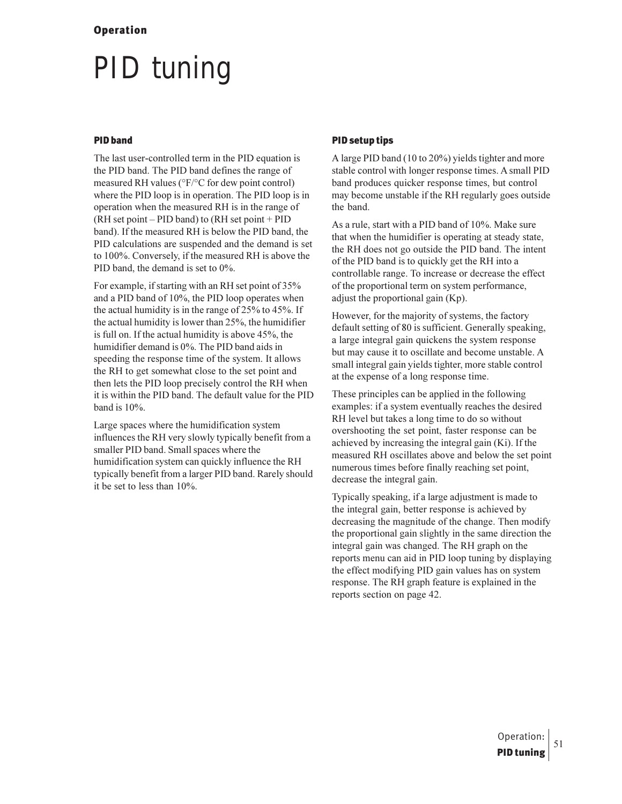# **PID** tuning

#### **PID** band

The last user-controlled term in the PID equation is the PID band. The PID band defines the range of measured RH values (°F/°C for dew point control) where the PID loop is in operation. The PID loop is in operation when the measured RH is in the range of  $(RH set point - PID band) to (RH set point + PID)$ band). If the measured RH is below the PID band, the PID calculations are suspended and the demand is set to 100%. Conversely, if the measured RH is above the PID band, the demand is set to 0%.

For example, if starting with an RH set point of 35% and a PID band of 10%, the PID loop operates when the actual humidity is in the range of  $25\%$  to 45%. If the actual humidity is lower than 25%, the humidifier is full on. If the actual humidity is above 45%, the humidifier demand is 0%. The PID band aids in speeding the response time of the system. It allows the RH to get somewhat close to the set point and then lets the PID loop precisely control the RH when it is within the PID band. The default value for the PID band is  $10\%$ .

Large spaces where the humidification system influences the RH very slowly typically benefit from a smaller PID band. Small spaces where the humidification system can quickly influence the RH typically benefit from a larger PID band. Rarely should it be set to less than 10%.

#### **PID setup tips**

A large PID band (10 to 20%) yields tighter and more stable control with longer response times. A small PID band produces quicker response times, but control may become unstable if the RH regularly goes outside the band.

As a rule, start with a PID band of 10%. Make sure that when the humidifier is operating at steady state, the RH does not go outside the PID band. The intent of the PID band is to quickly get the RH into a controllable range. To increase or decrease the effect of the proportional term on system performance, adjust the proportional gain  $(Kp)$ .

However, for the majority of systems, the factory default setting of 80 is sufficient. Generally speaking, a large integral gain quickens the system response but may cause it to oscillate and become unstable. A small integral gain yields tighter, more stable control at the expense of a long response time.

These principles can be applied in the following examples: if a system eventually reaches the desired RH level but takes a long time to do so without overshooting the set point, faster response can be achieved by increasing the integral gain (Ki). If the measured RH oscillates above and below the set point numerous times before finally reaching set point, decrease the integral gain.

Typically speaking, if a large adjustment is made to the integral gain, better response is achieved by decreasing the magnitude of the change. Then modify the proportional gain slightly in the same direction the integral gain was changed. The RH graph on the reports menu can aid in PID loop tuning by displaying the effect modifying PID gain values has on system response. The RH graph feature is explained in the reports section on page 42.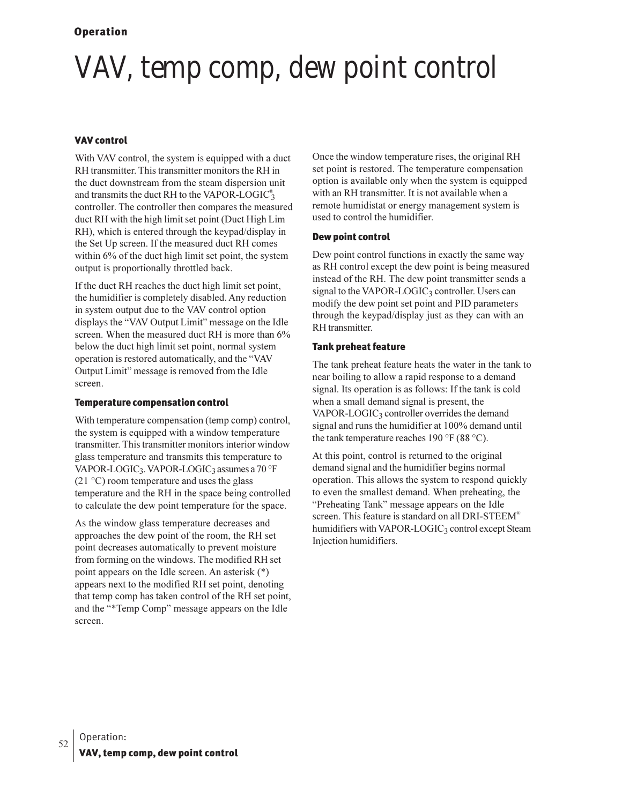# VAV, temp comp, dew point control

#### **VAV control**

With VAV control, the system is equipped with a duct RH transmitter. This transmitter monitors the RH in the duct downstream from the steam dispersion unit and transmits the duct RH to the VAPOR-LOGIC<sup>®</sup> controller. The controller then compares the measured duct RH with the high limit set point (Duct High Lim RH), which is entered through the keypad/display in the Set Up screen. If the measured duct RH comes within 6% of the duct high limit set point, the system output is proportionally throttled back.

If the duct RH reaches the duct high limit set point, the humidifier is completely disabled. Any reduction in system output due to the VAV control option displays the "VAV Output Limit" message on the Idle screen. When the measured duct RH is more than 6% below the duct high limit set point, normal system operation is restored automatically, and the "VAV Output Limit" message is removed from the Idle screen.

#### **Temperature compensation control**

With temperature compensation (temp comp) control, the system is equipped with a window temperature transmitter. This transmitter monitors interior window glass temperature and transmits this temperature to VAPOR-LOGIC<sub>3</sub>. VAPOR-LOGIC<sub>3</sub> assumes a 70 °F  $(21 \degree C)$  room temperature and uses the glass temperature and the RH in the space being controlled to calculate the dew point temperature for the space.

As the window glass temperature decreases and approaches the dew point of the room, the RH set point decreases automatically to prevent moisture from forming on the windows. The modified RH set point appears on the Idle screen. An asterisk (\*) appears next to the modified RH set point, denoting that temp comp has taken control of the RH set point, and the "\*Temp Comp" message appears on the Idle screen.

Once the window temperature rises, the original RH set point is restored. The temperature compensation option is available only when the system is equipped with an RH transmitter. It is not available when a remote humidistat or energy management system is used to control the humidifier.

#### Dew point control

Dew point control functions in exactly the same way as RH control except the dew point is being measured instead of the RH. The dew point transmitter sends a signal to the VAPOR-LOGIC<sub>3</sub> controller. Users can modify the dew point set point and PID parameters through the keypad/display just as they can with an RH transmitter.

#### **Tank preheat feature**

The tank preheat feature heats the water in the tank to near boiling to allow a rapid response to a demand signal. Its operation is as follows: If the tank is cold when a small demand signal is present, the VAPOR-LOGIC<sub>3</sub> controller overrides the demand signal and runs the humidifier at 100% demand until the tank temperature reaches 190 °F (88 °C).

At this point, control is returned to the original demand signal and the humidifier begins normal operation. This allows the system to respond quickly to even the smallest demand. When preheating, the "Preheating Tank" message appears on the Idle screen. This feature is standard on all DRI-STEEM<sup>®</sup> humidifiers with VAPOR-LOGIC<sub>3</sub> control except Steam Injection humidifiers.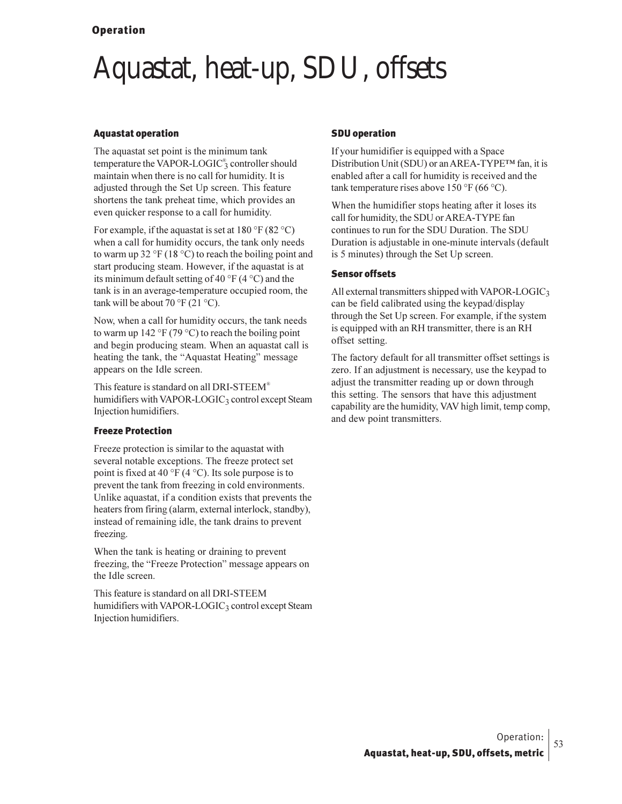## Aquastat, heat-up, SDU, offsets

#### Aquastat operation

The aquastat set point is the minimum tank temperature the VAPOR-LOGIC<sup>®</sup>3 controller should maintain when there is no call for humidity. It is adjusted through the Set Up screen. This feature shortens the tank preheat time, which provides an even quicker response to a call for humidity.

For example, if the aquastat is set at  $180^{\circ}$ F (82 °C) when a call for humidity occurs, the tank only needs to warm up 32 °F (18 °C) to reach the boiling point and start producing steam. However, if the aquastat is at its minimum default setting of 40  $\rm{PF}$  (4  $\rm{O}$ ) and the tank is in an average-temperature occupied room, the tank will be about 70  $\mathrm{PF}(21 \mathrm{°C})$ .

Now, when a call for humidity occurs, the tank needs to warm up 142 °F (79 °C) to reach the boiling point and begin producing steam. When an aquastat call is heating the tank, the "Aquastat Heating" message appears on the Idle screen.

This feature is standard on all DRI-STEEM® humidifiers with VAPOR-LOGIC3 control except Steam Injection humidifiers.

#### Freeze Protection

Freeze protection is similar to the aquastat with several notable exceptions. The freeze protect set point is fixed at 40 °F (4 °C). Its sole purpose is to prevent the tank from freezing in cold environments. Unlike aquastat, if a condition exists that prevents the heaters from firing (alarm, external interlock, standby), instead of remaining idle, the tank drains to prevent freezing.

When the tank is heating or draining to prevent freezing, the "Freeze Protection" message appears on the Idle screen.

This feature is standard on all DRI-STEEM humidifiers with VAPOR-LOGIC<sub>3</sub> control except Steam Injection humidifiers.

#### SDU operation

If your humidifier is equipped with a Space Distribution Unit (SDU) or an AREA-TYPE™ fan, it is enabled after a call for humidity is received and the tank temperature rises above  $150 \degree F$  (66 °C).

When the humidifier stops heating after it loses its call for humidity, the SDU or AREA-TYPE fan continues to run for the SDU Duration. The SDU Duration is adjustable in one-minute intervals (default is 5 minutes) through the Set Up screen.

#### Sensor offsets

All external transmitters shipped with VAPOR-LOGIC3 can be field calibrated using the keypad/display through the Set Up screen. For example, if the system is equipped with an RH transmitter, there is an RH offset setting.

The factory default for all transmitter offset settings is zero. If an adjustment is necessary, use the keypad to adjust the transmitter reading up or down through this setting. The sensors that have this adjustment capability are the humidity, VAV high limit, temp comp, and dew point transmitters.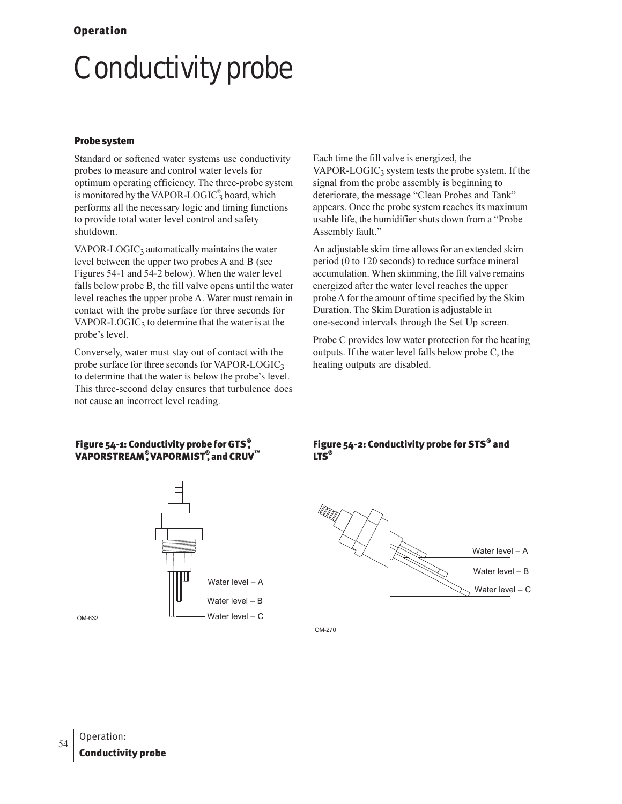# Conductivity probe

#### Probe system

Standard or softened water systems use conductivity probes to measure and control water levels for optimum operating efficiency. The three-probe system is monitored by the VAPOR-LOGIC<sup>®</sup> board, which performs all the necessary logic and timing functions to provide total water level control and safety shutdown.

VAPOR-LOGIC $_3$  automatically maintains the water level between the upper two probes A and B (see Figures 54-1 and 54-2 below). When the water level falls below probe B, the fill valve opens until the water level reaches the upper probe A. Water must remain in contact with the probe surface for three seconds for VAPOR-LOGIC<sub>3</sub> to determine that the water is at the probe's level.

Conversely, water must stay out of contact with the probe surface for three seconds for VAPOR-LOGIC $_3$ to determine that the water is below the probe's level. This three-second delay ensures that turbulence does not cause an incorrect level reading.

Each time the fill valve is energized, the VAPOR-LOGIC<sub>3</sub> system tests the probe system. If the signal from the probe assembly is beginning to deteriorate, the message "Clean Probes and Tank" appears. Once the probe system reaches its maximum usable life, the humidifier shuts down from a "Probe Assembly fault."

An adjustable skim time allows for an extended skim period (0 to 120 seconds) to reduce surface mineral accumulation. When skimming, the fill valve remains energized after the water level reaches the upper probe A for the amount of time specified by the Skim Duration. The Skim Duration is adjustable in one-second intervals through the Set Up screen.

Probe C provides low water protection for the heating outputs. If the water level falls below probe C, the heating outputs are disabled.

#### Figure 54-1: Conductivity probe for GTS $\degree$ VAPORSTREAM $^\circ$ VAPORMIST $^\circ$ , and CRUV $^{\textsf{\tiny{m}}}$



#### Figure 54-2: Conductivity probe for STS® and LTS®



OM-270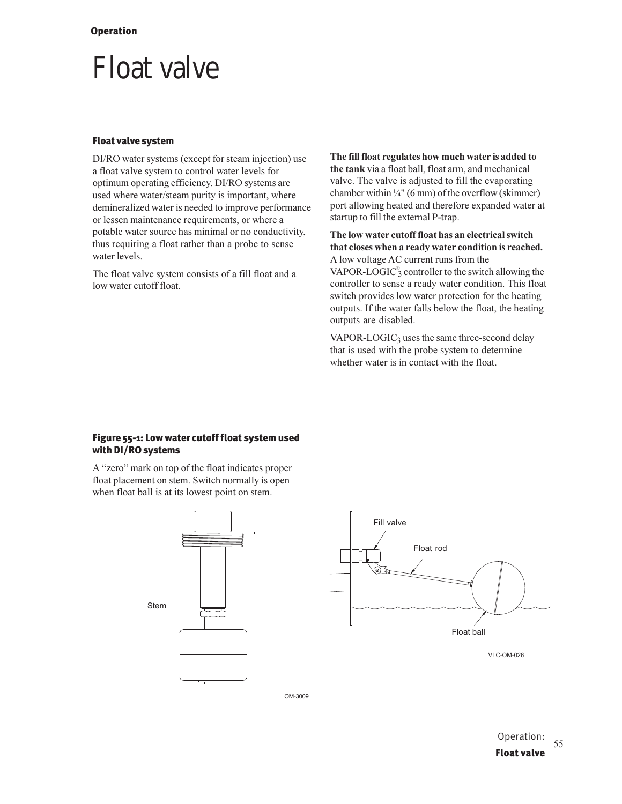## Float valve

#### Float valve system

DI/RO water systems (except for steam injection) use a float valve system to control water levels for optimum operating efficiency. DI/RO systems are used where water/steam purity is important, where demineralized water is needed to improve performance or lessen maintenance requirements, or where a potable water source has minimal or no conductivity, thus requiring a float rather than a probe to sense water levels.

The float valve system consists of a fill float and a low water cutoff float.

The fill float regulates how much water is added to the tank via a float ball, float arm, and mechanical valve. The valve is adjusted to fill the evaporating chamber within  $\frac{1}{4}$ " (6 mm) of the overflow (skimmer) port allowing heated and therefore expanded water at startup to fill the external P-trap.

The low water cutoff float has an electrical switch that closes when a ready water condition is reached. A low voltage AC current runs from the VAPOR-LOGIC $_3^{\circ}$  controller to the switch allowing the controller to sense a ready water condition. This float switch provides low water protection for the heating outputs. If the water falls below the float, the heating outputs are disabled.

 $VAPOR-LOGIC<sub>3</sub>$  uses the same three-second delay that is used with the probe system to determine whether water is in contact with the float.

#### Figure 55-1: Low water cutoff float system used with DI/RO systems

A "zero" mark on top of the float indicates proper float placement on stem. Switch normally is open when float ball is at its lowest point on stem.





VLC-OM-026

OM-3009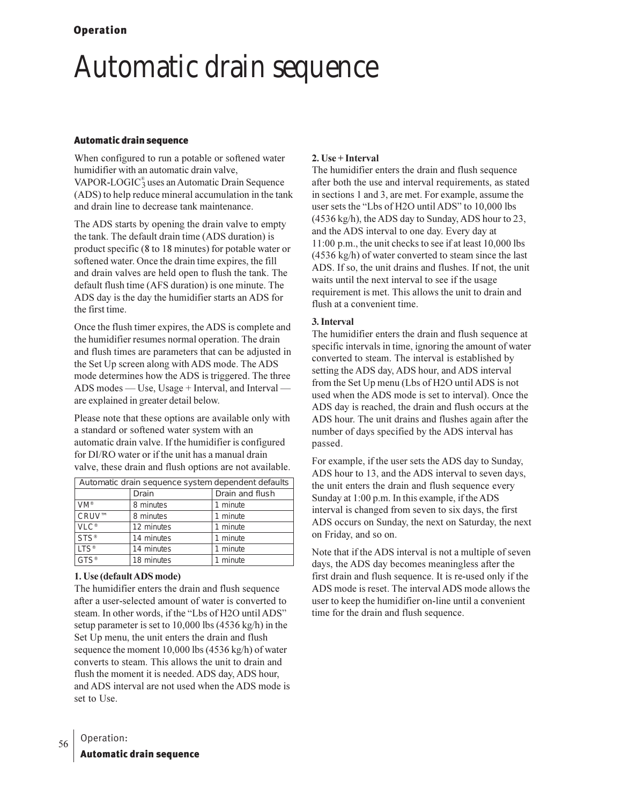## Automatic drain sequence

#### Automatic drain sequence

When configured to run a potable or softened water humidifier with an automatic drain valve, VAPOR-LOGIC<sup>®</sup> uses an Automatic Drain Sequence (ADS) to help reduce mineral accumulation in the tank and drain line to decrease tank maintenance.

The ADS starts by opening the drain valve to empty the tank. The default drain time (ADS duration) is product specific (8 to 18 minutes) for potable water or softened water. Once the drain time expires, the fill and drain valves are held open to flush the tank. The default flush time (AFS duration) is one minute. The ADS day is the day the humidifier starts an ADS for the first time.

Once the flush timer expires, the ADS is complete and the humidifier resumes normal operation. The drain and flush times are parameters that can be adjusted in the Set Up screen along with ADS mode. The ADS mode determines how the ADS is triggered. The three ADS modes — Use, Usage + Interval, and Interval are explained in greater detail below.

Please note that these options are available only with a standard or softened water system with an automatic drain valve. If the humidifier is configured for DI/RO water or if the unit has a manual drain valve, these drain and flush options are not available.

| Automatic drain sequence system dependent defaults |            |                 |
|----------------------------------------------------|------------|-----------------|
|                                                    | Drain      | Drain and flush |
| $VM^*$                                             | 8 minutes  | 1 minute        |
| CRUV™                                              | 8 minutes  | 1 minute        |
| $VLC^*$                                            | 12 minutes | 1 minute        |
| $STS^*$                                            | 14 minutes | 1 minute        |
| $LTS^*$                                            | 14 minutes | 1 minute        |
| GTS®                                               | 18 minutes | 1 minute        |

#### **1. Use (default ADS mode)**

The humidifier enters the drain and flush sequence after a user-selected amount of water is converted to steam. In other words, if the "Lbs of H2O until ADS" setup parameter is set to  $10,000$  lbs  $(4536 \text{ kg/h})$  in the Set Up menu, the unit enters the drain and flush sequence the moment  $10,000$  lbs  $(4536 \text{ kg/h})$  of water converts to steam. This allows the unit to drain and flush the moment it is needed. ADS day, ADS hour, and ADS interval are not used when the ADS mode is set to Use.

### **2.** Use + Interval

The humidifier enters the drain and flush sequence after both the use and interval requirements, as stated in sections 1 and 3, are met. For example, assume the user sets the "Lbs of H2O until ADS" to 10,000 lbs (4536 kg/h), the ADS day to Sunday, ADS hour to 23, and the ADS interval to one day. Every day at  $11:00$  p.m., the unit checks to see if at least  $10,000$  lbs (4536 kg/h) of water converted to steam since the last ADS. If so, the unit drains and flushes. If not, the unit waits until the next interval to see if the usage requirement is met. This allows the unit to drain and flush at a convenient time.

#### **3.** Interval

The humidifier enters the drain and flush sequence at specific intervals in time, ignoring the amount of water converted to steam. The interval is established by setting the ADS day, ADS hour, and ADS interval from the Set Up menu (Lbs of H2O until ADS is not used when the ADS mode is set to interval). Once the ADS day is reached, the drain and flush occurs at the ADS hour. The unit drains and flushes again after the number of days specified by the ADS interval has passed.

For example, if the user sets the ADS day to Sunday, ADS hour to 13, and the ADS interval to seven days, the unit enters the drain and flush sequence every Sunday at 1:00 p.m. In this example, if the ADS interval is changed from seven to six days, the first ADS occurs on Sunday, the next on Saturday, the next on Friday, and so on.

Note that if the ADS interval is not a multiple of seven days, the ADS day becomes meaningless after the first drain and flush sequence. It is re-used only if the ADS mode is reset. The interval ADS mode allows the user to keep the humidifier on-line until a convenient time for the drain and flush sequence.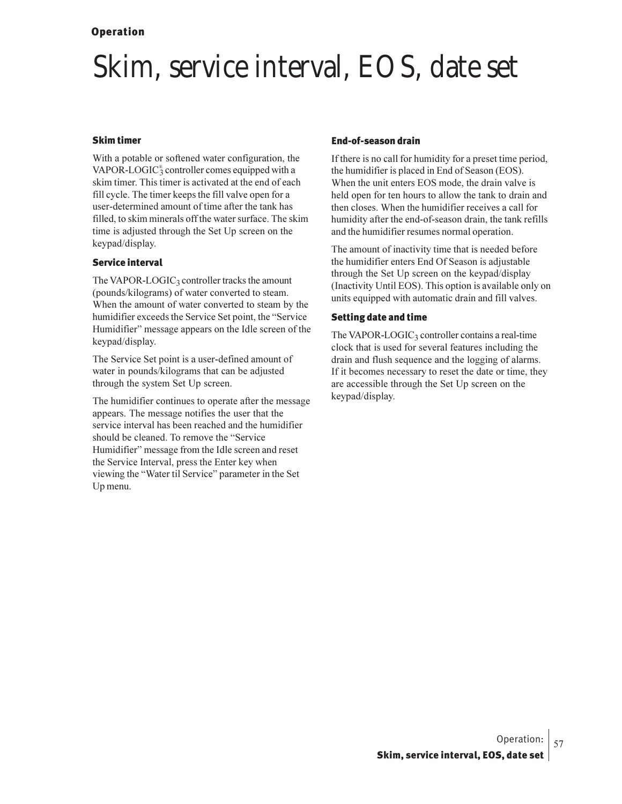## Skim, service interval, EOS, date set

#### Skim timer

With a potable or softened water configuration, the VAPOR-LOGIC $_3^{\circ}$  controller comes equipped with a skim timer. This timer is activated at the end of each fill cycle. The timer keeps the fill valve open for a user-determined amount of time after the tank has filled, to skim minerals off the water surface. The skim time is adjusted through the Set Up screen on the keypad/display.

#### Service interval

The VAPOR-LOGIC<sub>3</sub> controller tracks the amount (pounds/kilograms) of water converted to steam. When the amount of water converted to steam by the humidifier exceeds the Service Set point, the "Service Humidifier" message appears on the Idle screen of the keypad/display.

The Service Set point is a user-defined amount of water in pounds/kilograms that can be adjusted through the system Set Up screen.

The humidifier continues to operate after the message appears. The message notifies the user that the service interval has been reached and the humidifier should be cleaned. To remove the "Service Humidifier" message from the Idle screen and reset the Service Interval, press the Enter key when viewing the "Water til Service" parameter in the Set Up menu.

#### End-of-season drain

If there is no call for humidity for a preset time period, the humidifier is placed in End of Season (EOS). When the unit enters EOS mode, the drain valve is held open for ten hours to allow the tank to drain and then closes. When the humidifier receives a call for humidity after the end-of-season drain, the tank refills and the humidifier resumes normal operation.

The amount of inactivity time that is needed before the humidifier enters End Of Season is adjustable through the Set Up screen on the keypad/display (Inactivity Until EOS). This option is available only on units equipped with automatic drain and fill valves.

#### Setting date and time

The VAPOR-LOGIC<sub>3</sub> controller contains a real-time clock that is used for several features including the drain and flush sequence and the logging of alarms. If it becomes necessary to reset the date or time, they are accessible through the Set Up screen on the keypad/display.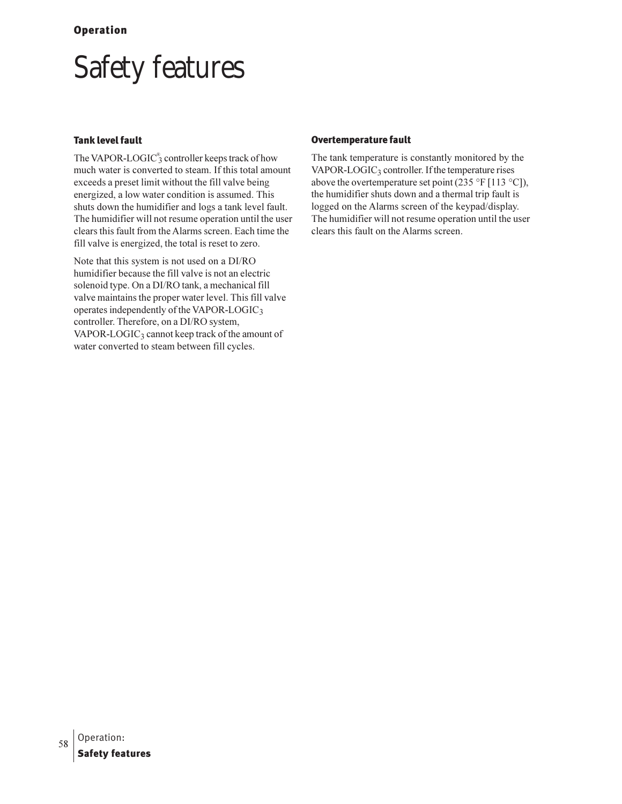# Safety features

#### Tank level fault

The VAPOR-LOGIC<sup>®</sup> controller keeps track of how much water is converted to steam. If this total amount exceeds a preset limit without the fill valve being energized, a low water condition is assumed. This shuts down the humidifier and logs a tank level fault. The humidifier will not resume operation until the user clears this fault from the Alarms screen. Each time the fill valve is energized, the total is reset to zero.

Note that this system is not used on a DI/RO humidifier because the fill valve is not an electric solenoid type. On a DI/RO tank, a mechanical fill valve maintains the proper water level. This fill valve operates independently of the VAPOR-LOGIC3 controller. Therefore, on a DI/RO system, VAPOR-LOGIC $_3$  cannot keep track of the amount of water converted to steam between fill cycles.

#### Overtemperature fault

The tank temperature is constantly monitored by the VAPOR-LOGIC<sub>3</sub> controller. If the temperature rises above the overtemperature set point (235 °F [113 °C]), the humidifier shuts down and a thermal trip fault is logged on the Alarms screen of the keypad/display. The humidifier will not resume operation until the user clears this fault on the Alarms screen.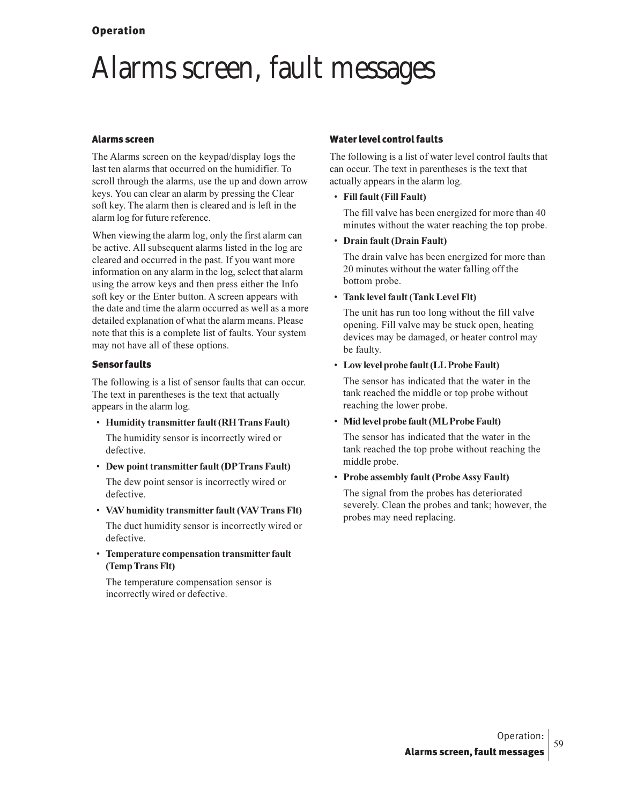## Alarms screen, fault messages

#### **Alarms screen**

The Alarms screen on the keypad/display logs the last ten alarms that occurred on the humidifier. To scroll through the alarms, use the up and down arrow keys. You can clear an alarm by pressing the Clear soft key. The alarm then is cleared and is left in the alarm log for future reference.

When viewing the alarm log, only the first alarm can be active. All subsequent alarms listed in the log are cleared and occurred in the past. If you want more information on any alarm in the log, select that alarm using the arrow keys and then press either the Info soft key or the Enter button. A screen appears with the date and time the alarm occurred as well as a more detailed explanation of what the alarm means. Please note that this is a complete list of faults. Your system may not have all of these options.

#### **Sensor faults**

The following is a list of sensor faults that can occur. The text in parentheses is the text that actually appears in the alarm log.

- Humidity transmitter fault (RH Trans Fault) The humidity sensor is incorrectly wired or defective.
- Dew point transmitter fault (DPTrans Fault) The dew point sensor is incorrectly wired or defective.
- VAV humidity transmitter fault (VAV Trans Flt)

The duct humidity sensor is incorrectly wired or defective.

• Temperature compensation transmitter fault (Temp Trans Flt)

The temperature compensation sensor is incorrectly wired or defective.

#### **Water level control faults**

The following is a list of water level control faults that can occur. The text in parentheses is the text that actually appears in the alarm log.

• Fill fault (Fill Fault)

The fill valve has been energized for more than 40 minutes without the water reaching the top probe.

• Drain fault (Drain Fault)

The drain valve has been energized for more than 20 minutes without the water falling off the bottom probe.

• Tank level fault (Tank Level Flt)

The unit has run too long without the fill valve opening. Fill valve may be stuck open, heating devices may be damaged, or heater control may be faulty.

• Low level probe fault (LL Probe Fault)

The sensor has indicated that the water in the tank reached the middle or top probe without reaching the lower probe.

• Mid level probe fault (ML Probe Fault)

The sensor has indicated that the water in the tank reached the top probe without reaching the middle probe.

• Probe assembly fault (Probe Assy Fault)

The signal from the probes has deteriorated severely. Clean the probes and tank; however, the probes may need replacing.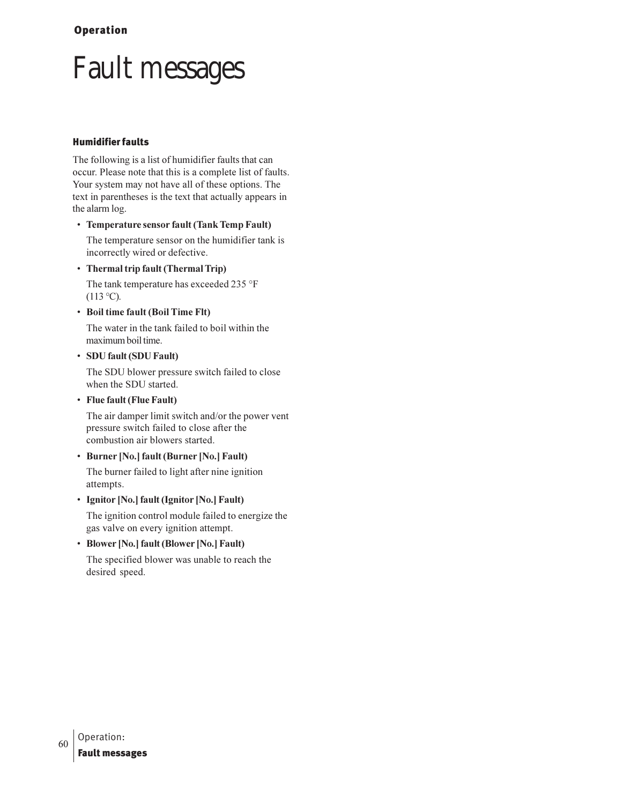# **Fault messages**

#### **Humidifier faults**

The following is a list of humidifier faults that can occur. Please note that this is a complete list of faults. Your system may not have all of these options. The text in parentheses is the text that actually appears in the alarm log.

#### • Temperature sensor fault (Tank Temp Fault)

The temperature sensor on the humidifier tank is incorrectly wired or defective.

• Thermal trip fault (Thermal Trip)

The tank temperature has exceeded 235 °F  $(113 °C)$ .

• Boil time fault (Boil Time Flt)

The water in the tank failed to boil within the maximum boil time.

#### • SDU fault (SDU Fault)

The SDU blower pressure switch failed to close when the SDU started.

• Flue fault (Flue Fault)

The air damper limit switch and/or the power vent pressure switch failed to close after the combustion air blowers started.

### • Burner [No.] fault (Burner [No.] Fault)

The burner failed to light after nine ignition attempts.

• Ignitor [No.] fault (Ignitor [No.] Fault)

The ignition control module failed to energize the gas valve on every ignition attempt.

### • Blower [No.] fault (Blower [No.] Fault)

The specified blower was unable to reach the desired speed.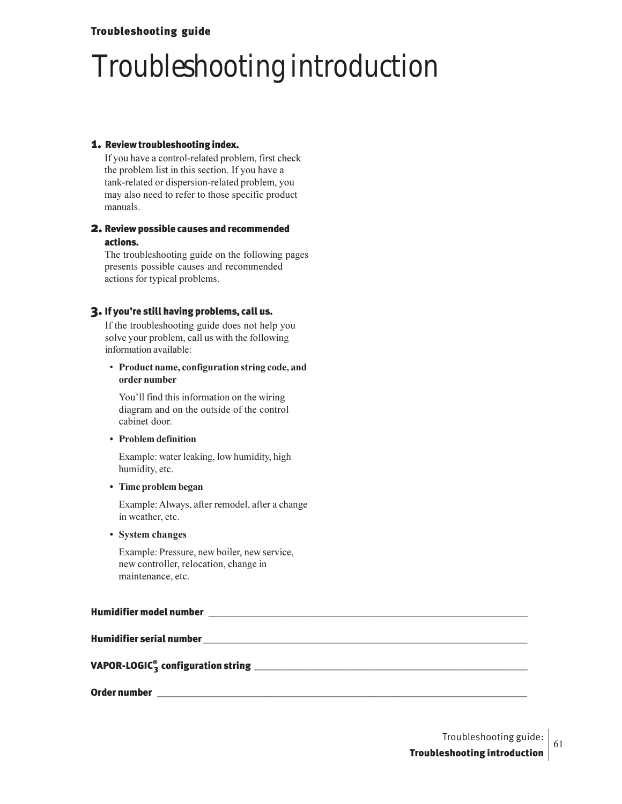### Troubleshooting guide

# Troubleshooting introduction

#### 1. Review troubleshooting index.

If you have a control-related problem, first check the problem list in this section. If you have a tank-related or dispersion-related problem, you may also need to refer to those specific product manuals.

#### 2. Review possible causes and recommended actions.

The troubleshooting guide on the following pages presents possible causes and recommended actions for typical problems.

#### 3. If you're still having problems, call us.

If the troubleshooting guide does not help you solve your problem, call us with the following information available:

#### **•** Product name, configuration string code, and

You'll find this information on the wiring diagram and on the outside of the control cabinet door.

**•** Problem definition

Example: water leaking, low humidity, high humidity, etc.

#### • Time problem began

Example: Always, after remodel, after a change in weather, etc.

**•** System changes

Example: Pressure, new boiler, new service, new controller, relocation, change in maintenance, etc.

#### Humidifier model number

#### Humidifier serial number \_\_\_\_\_\_\_\_\_\_\_\_\_\_\_\_\_\_\_\_\_\_\_\_\_\_\_\_\_\_\_\_\_\_\_\_\_\_\_\_\_\_\_\_\_\_\_\_\_\_\_\_\_\_\_\_\_\_\_\_\_\_\_\_

VAPOR-LOGIC® 3 configuration string \_\_\_\_\_\_\_\_\_\_\_\_\_\_\_\_\_\_\_\_\_\_\_\_\_\_\_\_\_\_\_\_\_\_\_\_\_\_\_\_\_\_\_\_\_\_\_\_\_\_\_\_\_\_

Order number  $\Box$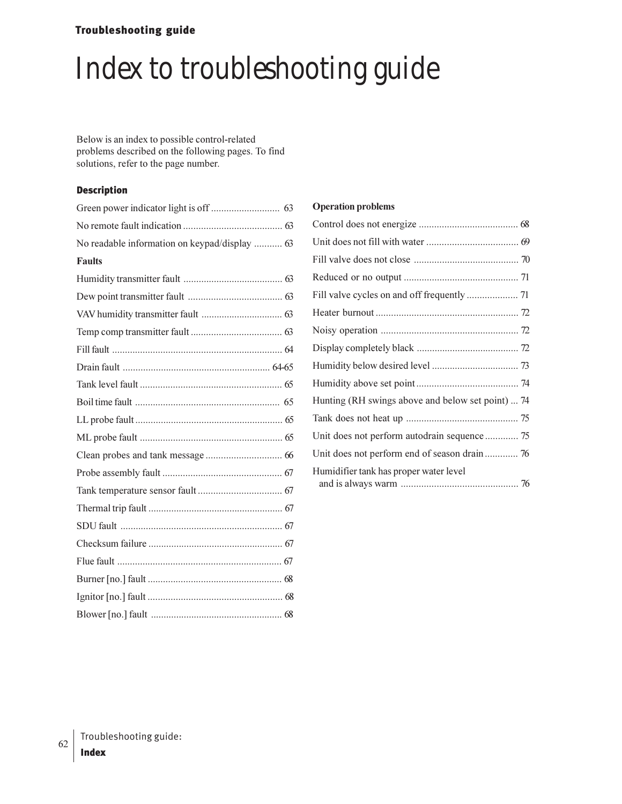## Troubleshooting guide

# Index to troubleshooting guide

Below is an index to possible control-related problems described on the following pages. To find solutions, refer to the page number.

#### Description

| No readable information on keypad/display  63 |  |
|-----------------------------------------------|--|
| <b>Faults</b>                                 |  |
|                                               |  |
|                                               |  |
|                                               |  |
|                                               |  |
|                                               |  |
|                                               |  |
|                                               |  |
|                                               |  |
|                                               |  |
|                                               |  |
|                                               |  |
|                                               |  |
|                                               |  |
|                                               |  |
|                                               |  |
|                                               |  |
|                                               |  |
|                                               |  |
|                                               |  |
|                                               |  |

#### **Operation problems**

| Hunting (RH swings above and below set point)  74 |
|---------------------------------------------------|
|                                                   |
| Unit does not perform autodrain sequence  75      |
| Unit does not perform end of season drain 76      |
| Humidifier tank has proper water level            |
|                                                   |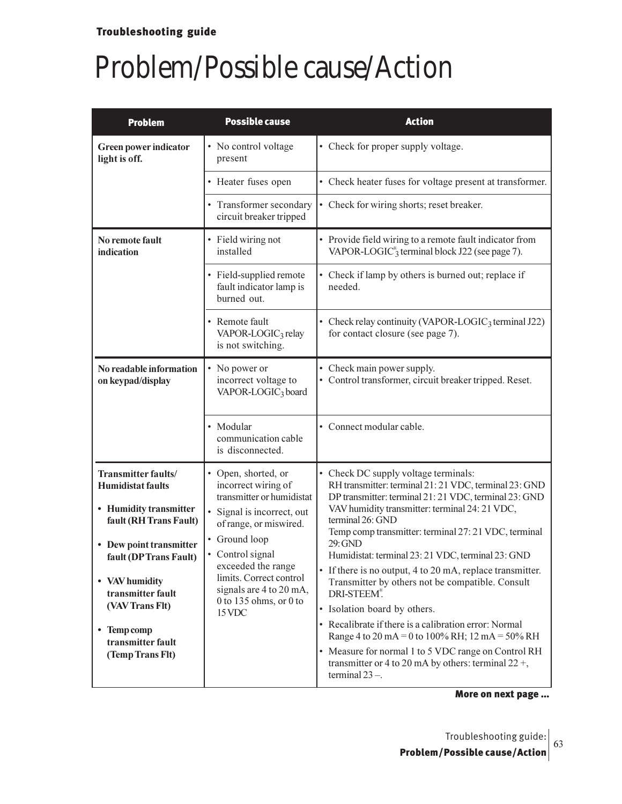| <b>Problem</b>                                    | <b>Possible cause</b>                                                                                                                                                                                                                  | <b>Action</b>                                                                                                                                                                       |
|---------------------------------------------------|----------------------------------------------------------------------------------------------------------------------------------------------------------------------------------------------------------------------------------------|-------------------------------------------------------------------------------------------------------------------------------------------------------------------------------------|
| Green power indicator<br>light is off.            | • No control voltage<br>present                                                                                                                                                                                                        | • Check for proper supply voltage.                                                                                                                                                  |
|                                                   | • Heater fuses open                                                                                                                                                                                                                    | • Check heater fuses for voltage present at transformer.                                                                                                                            |
|                                                   | • Transformer secondary<br>circuit breaker tripped                                                                                                                                                                                     | • Check for wiring shorts; reset breaker.                                                                                                                                           |
| No remote fault<br>indication                     | • Field wiring not<br>installed                                                                                                                                                                                                        | • Provide field wiring to a remote fault indicator from<br>VAPOR-LOGIC <sup>®</sup> <sub>3</sub> terminal block J22 (see page 7).                                                   |
|                                                   | • Field-supplied remote<br>fault indicator lamp is<br>burned out.                                                                                                                                                                      | • Check if lamp by others is burned out; replace if<br>needed.                                                                                                                      |
|                                                   | • Remote fault<br>VAPOR-LOGIC <sub>3</sub> relay<br>is not switching.                                                                                                                                                                  | • Check relay continuity (VAPOR-LOGIC <sub>3</sub> terminal J22)<br>for contact closure (see page 7).                                                                               |
| No readable information<br>on keypad/display      | • No power or<br>incorrect voltage to<br>VAPOR-LOGIC <sub>3</sub> board                                                                                                                                                                | Check main power supply.<br>• Control transformer, circuit breaker tripped. Reset.                                                                                                  |
|                                                   | • Modular<br>communication cable<br>is disconnected.                                                                                                                                                                                   | • Connect modular cable.                                                                                                                                                            |
| Transmitter faults/<br><b>Humidistat faults</b>   | • Open, shorted, or<br>incorrect wiring of                                                                                                                                                                                             | • Check DC supply voltage terminals:<br>RH transmitter: terminal 21:21 VDC, terminal 23: GND                                                                                        |
| • Humidity transmitter<br>fault (RH Trans Fault)  | transmitter or humidistat<br>• Signal is incorrect, out<br>of range, or miswired.<br>• Ground loop<br>• Control signal<br>exceeded the range<br>limits. Correct control<br>signals are 4 to 20 mA,<br>0 to 135 ohms, or 0 to<br>15 VDC | DP transmitter: terminal 21: 21 VDC, terminal 23: GND<br>VAV humidity transmitter: terminal 24: 21 VDC,<br>terminal 26: GND<br>Temp comp transmitter: terminal 27: 21 VDC, terminal |
| • Dew point transmitter<br>fault (DP Trans Fault) |                                                                                                                                                                                                                                        | 29: GND<br>Humidistat: terminal 23: 21 VDC, terminal 23: GND                                                                                                                        |
| • VAV humidity<br>transmitter fault               |                                                                                                                                                                                                                                        | • If there is no output, 4 to 20 mA, replace transmitter.<br>Transmitter by others not be compatible. Consult<br>DRI-STEEM®                                                         |
| (VAV Trans Flt)                                   |                                                                                                                                                                                                                                        | • Isolation board by others.                                                                                                                                                        |
| • Temp comp<br>transmitter fault                  |                                                                                                                                                                                                                                        | • Recalibrate if there is a calibration error: Normal<br>Range 4 to 20 mA = 0 to 100% RH; 12 mA = 50% RH                                                                            |
| (Temp Trans Flt)                                  |                                                                                                                                                                                                                                        | • Measure for normal 1 to 5 VDC range on Control RH<br>transmitter or 4 to 20 mA by others: terminal $22 +$ ,<br>terminal $23 -$ .                                                  |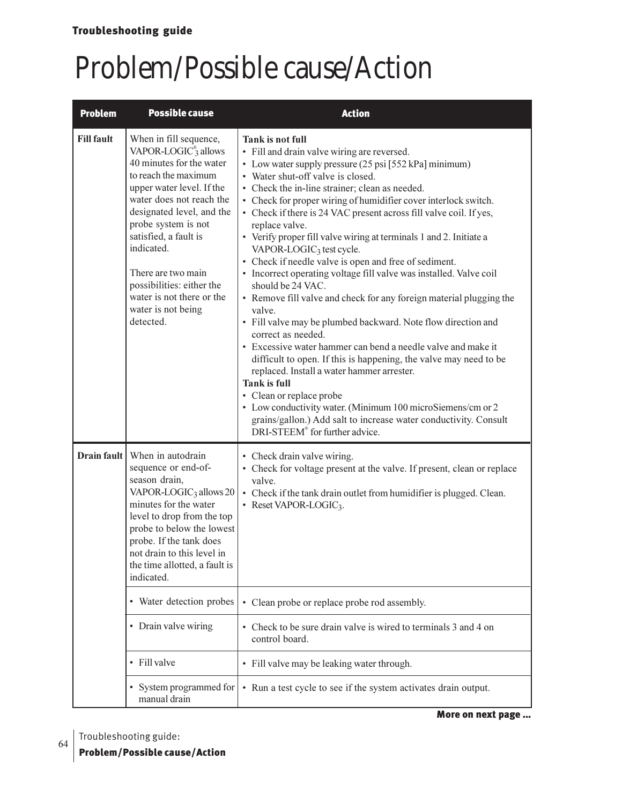| <b>Problem</b>    | <b>Possible cause</b>                                                                                                                                                                                                                                                                                                                                                                | <b>Action</b>                                                                                                                                                                                                                                                                                                                                                                                                                                                                                                                                                                                                                                                                                                                                                                                                                                                                                                                                                                                                                                                                                                                                                                                                                    |
|-------------------|--------------------------------------------------------------------------------------------------------------------------------------------------------------------------------------------------------------------------------------------------------------------------------------------------------------------------------------------------------------------------------------|----------------------------------------------------------------------------------------------------------------------------------------------------------------------------------------------------------------------------------------------------------------------------------------------------------------------------------------------------------------------------------------------------------------------------------------------------------------------------------------------------------------------------------------------------------------------------------------------------------------------------------------------------------------------------------------------------------------------------------------------------------------------------------------------------------------------------------------------------------------------------------------------------------------------------------------------------------------------------------------------------------------------------------------------------------------------------------------------------------------------------------------------------------------------------------------------------------------------------------|
| <b>Fill fault</b> | When in fill sequence,<br>VAPOR-LOGIC <sup>®</sup> allows<br>40 minutes for the water<br>to reach the maximum<br>upper water level. If the<br>water does not reach the<br>designated level, and the<br>probe system is not<br>satisfied, a fault is<br>indicated.<br>There are two main<br>possibilities: either the<br>water is not there or the<br>water is not being<br>detected. | Tank is not full<br>• Fill and drain valve wiring are reversed.<br>• Low water supply pressure (25 psi [552 kPa] minimum)<br>• Water shut-off valve is closed.<br>• Check the in-line strainer; clean as needed.<br>• Check for proper wiring of humidifier cover interlock switch.<br>• Check if there is 24 VAC present across fill valve coil. If yes,<br>replace valve.<br>• Verify proper fill valve wiring at terminals 1 and 2. Initiate a<br>VAPOR-LOGIC <sub>3</sub> test cycle.<br>• Check if needle valve is open and free of sediment.<br>• Incorrect operating voltage fill valve was installed. Valve coil<br>should be 24 VAC.<br>• Remove fill valve and check for any foreign material plugging the<br>valve.<br>• Fill valve may be plumbed backward. Note flow direction and<br>correct as needed.<br>• Excessive water hammer can bend a needle valve and make it<br>difficult to open. If this is happening, the valve may need to be<br>replaced. Install a water hammer arrester.<br><b>Tank is full</b><br>• Clean or replace probe<br>• Low conductivity water. (Minimum 100 microSiemens/cm or 2<br>grains/gallon.) Add salt to increase water conductivity. Consult<br>DRI-STEEM® for further advice. |
| Drain fault       | When in autodrain<br>sequence or end-of-<br>season drain,<br>VAPOR-LOGIC <sub>3</sub> allows 20<br>minutes for the water<br>level to drop from the top<br>probe to below the lowest<br>probe. If the tank does<br>not drain to this level in<br>the time allotted, a fault is<br>indicated.                                                                                          | • Check drain valve wiring.<br>• Check for voltage present at the valve. If present, clean or replace<br>valve.<br>• Check if the tank drain outlet from humidifier is plugged. Clean.<br>• Reset VAPOR-LOGIC3.                                                                                                                                                                                                                                                                                                                                                                                                                                                                                                                                                                                                                                                                                                                                                                                                                                                                                                                                                                                                                  |
|                   | • Water detection probes                                                                                                                                                                                                                                                                                                                                                             | • Clean probe or replace probe rod assembly.                                                                                                                                                                                                                                                                                                                                                                                                                                                                                                                                                                                                                                                                                                                                                                                                                                                                                                                                                                                                                                                                                                                                                                                     |
|                   | • Drain valve wiring                                                                                                                                                                                                                                                                                                                                                                 | Check to be sure drain valve is wired to terminals 3 and 4 on<br>control board.                                                                                                                                                                                                                                                                                                                                                                                                                                                                                                                                                                                                                                                                                                                                                                                                                                                                                                                                                                                                                                                                                                                                                  |
|                   | • Fill valve                                                                                                                                                                                                                                                                                                                                                                         | • Fill valve may be leaking water through.                                                                                                                                                                                                                                                                                                                                                                                                                                                                                                                                                                                                                                                                                                                                                                                                                                                                                                                                                                                                                                                                                                                                                                                       |
|                   | • System programmed for<br>manual drain                                                                                                                                                                                                                                                                                                                                              | • Run a test cycle to see if the system activates drain output.                                                                                                                                                                                                                                                                                                                                                                                                                                                                                                                                                                                                                                                                                                                                                                                                                                                                                                                                                                                                                                                                                                                                                                  |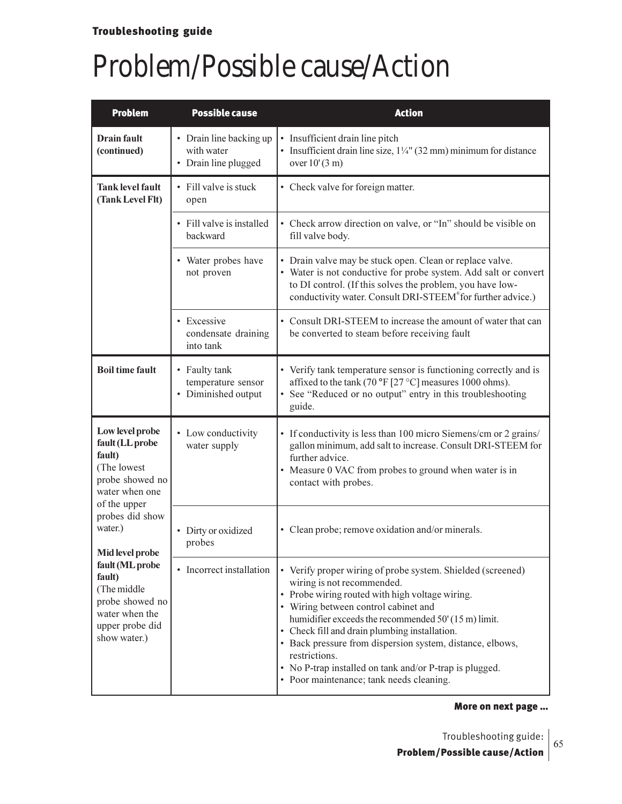| <b>Problem</b>                                                                                                                                                                                                                                                                        | <b>Possible cause</b>                                         | <b>Action</b>                                                                                                                                                                                                                                                                                                                                                                                                                                                                      |
|---------------------------------------------------------------------------------------------------------------------------------------------------------------------------------------------------------------------------------------------------------------------------------------|---------------------------------------------------------------|------------------------------------------------------------------------------------------------------------------------------------------------------------------------------------------------------------------------------------------------------------------------------------------------------------------------------------------------------------------------------------------------------------------------------------------------------------------------------------|
| Drain fault<br>(continued)                                                                                                                                                                                                                                                            | • Drain line backing up<br>with water<br>• Drain line plugged | • Insufficient drain line pitch<br>• Insufficient drain line size, $1\frac{1}{4}$ " (32 mm) minimum for distance<br>over $10'(3 m)$                                                                                                                                                                                                                                                                                                                                                |
| <b>Tank level fault</b><br>(Tank Level Flt)                                                                                                                                                                                                                                           | • Fill valve is stuck<br>open                                 | • Check valve for foreign matter.                                                                                                                                                                                                                                                                                                                                                                                                                                                  |
|                                                                                                                                                                                                                                                                                       | • Fill valve is installed<br>backward                         | • Check arrow direction on valve, or "In" should be visible on<br>fill valve body.                                                                                                                                                                                                                                                                                                                                                                                                 |
|                                                                                                                                                                                                                                                                                       | • Water probes have<br>not proven                             | • Drain valve may be stuck open. Clean or replace valve.<br>• Water is not conductive for probe system. Add salt or convert<br>to DI control. (If this solves the problem, you have low-<br>conductivity water. Consult DRI-STEEM® for further advice.)                                                                                                                                                                                                                            |
|                                                                                                                                                                                                                                                                                       | • Excessive<br>condensate draining<br>into tank               | • Consult DRI-STEEM to increase the amount of water that can<br>be converted to steam before receiving fault                                                                                                                                                                                                                                                                                                                                                                       |
| <b>Boil time fault</b>                                                                                                                                                                                                                                                                | • Faulty tank<br>temperature sensor<br>• Diminished output    | • Verify tank temperature sensor is functioning correctly and is<br>affixed to the tank (70 °F [27 °C] measures 1000 ohms).<br>• See "Reduced or no output" entry in this troubleshooting<br>guide.                                                                                                                                                                                                                                                                                |
| Low level probe<br>fault (LL probe<br>fault)<br>(The lowest<br>probe showed no<br>water when one<br>of the upper<br>probes did show<br>water.)<br>Mid level probe<br>fault (ML probe<br>fault)<br>(The middle<br>probe showed no<br>water when the<br>upper probe did<br>show water.) | • Low conductivity<br>water supply                            | • If conductivity is less than 100 micro Siemens/cm or 2 grains/<br>gallon minimum, add salt to increase. Consult DRI-STEEM for<br>further advice.<br>• Measure 0 VAC from probes to ground when water is in<br>contact with probes.                                                                                                                                                                                                                                               |
|                                                                                                                                                                                                                                                                                       | • Dirty or oxidized<br>probes                                 | • Clean probe; remove oxidation and/or minerals.                                                                                                                                                                                                                                                                                                                                                                                                                                   |
|                                                                                                                                                                                                                                                                                       | Incorrect installation<br>٠                                   | • Verify proper wiring of probe system. Shielded (screened)<br>wiring is not recommended.<br>• Probe wiring routed with high voltage wiring.<br>• Wiring between control cabinet and<br>humidifier exceeds the recommended 50' (15 m) limit.<br>• Check fill and drain plumbing installation.<br>• Back pressure from dispersion system, distance, elbows,<br>restrictions.<br>• No P-trap installed on tank and/or P-trap is plugged.<br>• Poor maintenance; tank needs cleaning. |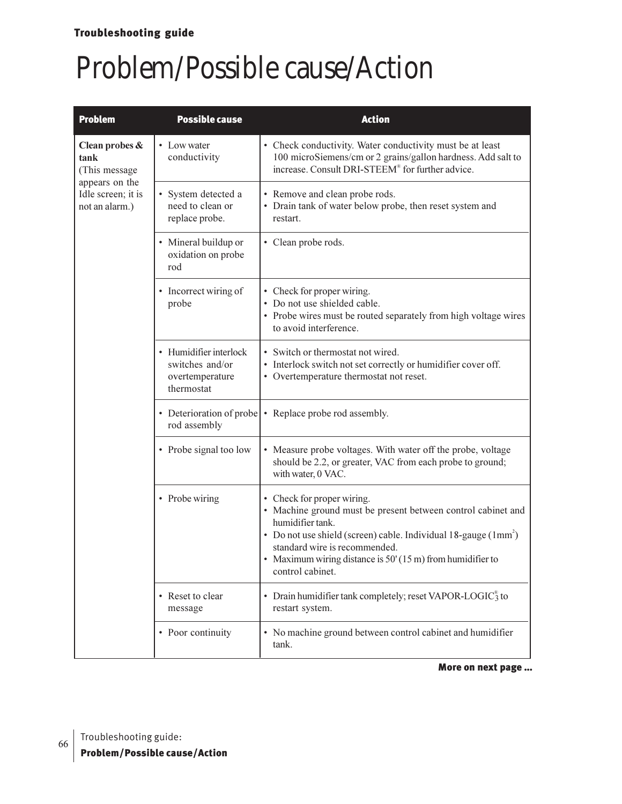### Troubleshooting guide

## Problem/Possible cause/Action

| <b>Problem</b>                                         | <b>Possible cause</b>                                                      | <b>Action</b>                                                                                                                                                                                                                                                                                                       |
|--------------------------------------------------------|----------------------------------------------------------------------------|---------------------------------------------------------------------------------------------------------------------------------------------------------------------------------------------------------------------------------------------------------------------------------------------------------------------|
| Clean probes &<br>tank<br>(This message                | • Low water<br>conductivity                                                | • Check conductivity. Water conductivity must be at least<br>100 microSiemens/cm or 2 grains/gallon hardness. Add salt to<br>increase. Consult DRI-STEEM® for further advice.                                                                                                                                       |
| appears on the<br>Idle screen; it is<br>not an alarm.) | • System detected a<br>need to clean or<br>replace probe.                  | • Remove and clean probe rods.<br>• Drain tank of water below probe, then reset system and<br>restart.                                                                                                                                                                                                              |
|                                                        | • Mineral buildup or<br>oxidation on probe<br>rod                          | • Clean probe rods.                                                                                                                                                                                                                                                                                                 |
|                                                        | • Incorrect wiring of<br>probe                                             | • Check for proper wiring.<br>• Do not use shielded cable.<br>• Probe wires must be routed separately from high voltage wires<br>to avoid interference.                                                                                                                                                             |
|                                                        | • Humidifier interlock<br>switches and/or<br>overtemperature<br>thermostat | • Switch or thermostat not wired.<br>• Interlock switch not set correctly or humidifier cover off.<br>• Overtemperature thermostat not reset.                                                                                                                                                                       |
|                                                        | • Deterioration of probe<br>rod assembly                                   | • Replace probe rod assembly.                                                                                                                                                                                                                                                                                       |
|                                                        | • Probe signal too low                                                     | • Measure probe voltages. With water off the probe, voltage<br>should be 2.2, or greater, VAC from each probe to ground;<br>with water, 0 VAC.                                                                                                                                                                      |
|                                                        | • Probe wiring                                                             | • Check for proper wiring.<br>• Machine ground must be present between control cabinet and<br>humidifier tank.<br>• Do not use shield (screen) cable. Individual $18$ -gauge ( $1mm2$ )<br>standard wire is recommended.<br>• Maximum wiring distance is $50'(15 \text{ m})$ from humidifier to<br>control cabinet. |
|                                                        | • Reset to clear<br>message                                                | • Drain humidifier tank completely; reset VAPOR-LOGIC $_{3}^{\circ}$ to<br>restart system.                                                                                                                                                                                                                          |
|                                                        | • Poor continuity                                                          | • No machine ground between control cabinet and humidifier<br>tank.                                                                                                                                                                                                                                                 |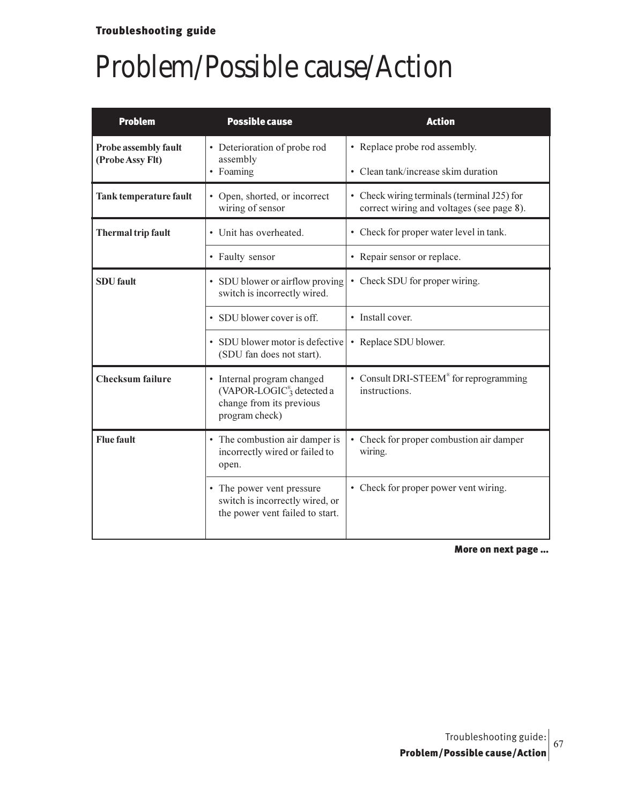| <b>Problem</b>                                               | <b>Possible cause</b>                                                                                            | <b>Action</b>                                                                            |
|--------------------------------------------------------------|------------------------------------------------------------------------------------------------------------------|------------------------------------------------------------------------------------------|
| Probe assembly fault<br>(Probe Assy Flt)                     | • Deterioration of probe rod<br>assembly                                                                         | • Replace probe rod assembly.                                                            |
|                                                              | • Foaming                                                                                                        | • Clean tank/increase skim duration                                                      |
| <b>Tank temperature fault</b>                                | • Open, shorted, or incorrect<br>wiring of sensor                                                                | • Check wiring terminals (terminal J25) for<br>correct wiring and voltages (see page 8). |
| Thermal trip fault                                           | • Unit has overheated.                                                                                           | • Check for proper water level in tank.                                                  |
|                                                              | • Faulty sensor                                                                                                  | • Repair sensor or replace.                                                              |
| <b>SDU</b> fault                                             | • SDU blower or airflow proving<br>switch is incorrectly wired.                                                  | • Check SDU for proper wiring.                                                           |
|                                                              | • SDU blower cover is off.                                                                                       | • Install cover.                                                                         |
| • SDU blower motor is defective<br>(SDU fan does not start). |                                                                                                                  | • Replace SDU blower.                                                                    |
| <b>Checksum</b> failure                                      | • Internal program changed<br>(VAPOR-LOGIC $^{\circ}$ 3 detected a<br>change from its previous<br>program check) | • Consult DRI-STEEM® for reprogramming<br>instructions.                                  |
| <b>Flue fault</b>                                            | • The combustion air damper is<br>incorrectly wired or failed to<br>open.                                        | • Check for proper combustion air damper<br>wiring.                                      |
|                                                              | • The power vent pressure<br>switch is incorrectly wired, or<br>the power vent failed to start.                  | • Check for proper power vent wiring.                                                    |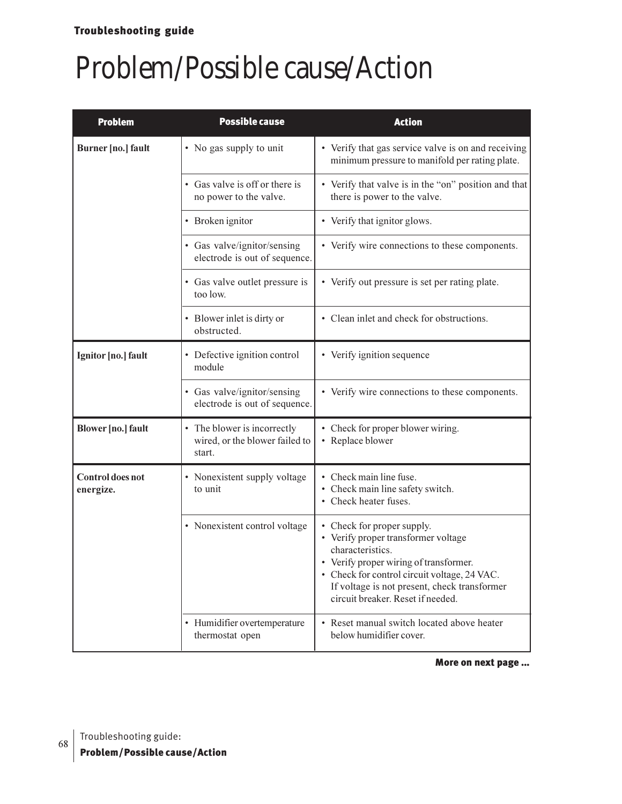| <b>Problem</b>                | <b>Possible cause</b>                                                   | <b>Action</b>                                                                                                                                                                                                                                                        |
|-------------------------------|-------------------------------------------------------------------------|----------------------------------------------------------------------------------------------------------------------------------------------------------------------------------------------------------------------------------------------------------------------|
| Burner [no.] fault            | • No gas supply to unit                                                 | • Verify that gas service valve is on and receiving<br>minimum pressure to manifold per rating plate.                                                                                                                                                                |
|                               | • Gas valve is off or there is<br>no power to the valve.                | • Verify that valve is in the "on" position and that<br>there is power to the valve.                                                                                                                                                                                 |
|                               | • Broken ignitor                                                        | • Verify that ignitor glows.                                                                                                                                                                                                                                         |
|                               | • Gas valve/ignitor/sensing<br>electrode is out of sequence.            | • Verify wire connections to these components.                                                                                                                                                                                                                       |
|                               | • Gas valve outlet pressure is<br>too low.                              | • Verify out pressure is set per rating plate.                                                                                                                                                                                                                       |
|                               | • Blower inlet is dirty or<br>obstructed.                               | • Clean inlet and check for obstructions.                                                                                                                                                                                                                            |
| Ignitor [no.] fault           | • Defective ignition control<br>module                                  | • Verify ignition sequence                                                                                                                                                                                                                                           |
|                               | • Gas valve/ignitor/sensing<br>electrode is out of sequence.            | • Verify wire connections to these components.                                                                                                                                                                                                                       |
| <b>Blower</b> [no.] fault     | • The blower is incorrectly<br>wired, or the blower failed to<br>start. | • Check for proper blower wiring.<br>• Replace blower                                                                                                                                                                                                                |
| Control does not<br>energize. | • Nonexistent supply voltage<br>to unit                                 | • Check main line fuse.<br>• Check main line safety switch.<br>• Check heater fuses.                                                                                                                                                                                 |
|                               | • Nonexistent control voltage                                           | • Check for proper supply.<br>• Verify proper transformer voltage<br>characteristics.<br>• Verify proper wiring of transformer.<br>• Check for control circuit voltage, 24 VAC.<br>If voltage is not present, check transformer<br>circuit breaker. Reset if needed. |
|                               | • Humidifier overtemperature<br>thermostat open                         | • Reset manual switch located above heater<br>below humidifier cover.                                                                                                                                                                                                |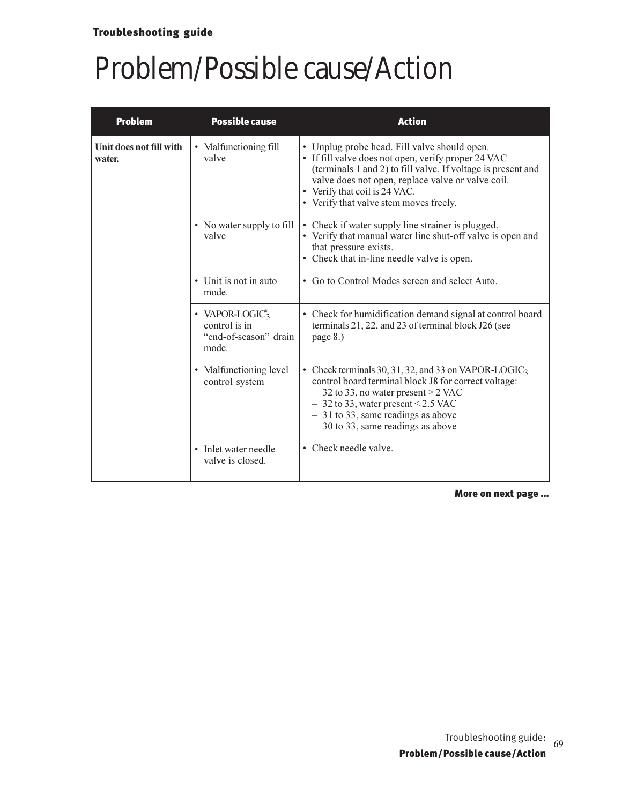| <b>Problem</b>                    | <b>Possible cause</b>                                                         | <b>Action</b>                                                                                                                                                                                                                                                                                       |
|-----------------------------------|-------------------------------------------------------------------------------|-----------------------------------------------------------------------------------------------------------------------------------------------------------------------------------------------------------------------------------------------------------------------------------------------------|
| Unit does not fill with<br>water. | • Malfunctioning fill<br>valve                                                | • Unplug probe head. Fill valve should open.<br>• If fill valve does not open, verify proper 24 VAC<br>(terminals 1 and 2) to fill valve. If voltage is present and<br>valve does not open, replace valve or valve coil.<br>• Verify that coil is 24 VAC.<br>• Verify that valve stem moves freely. |
|                                   | • No water supply to fill<br>valve                                            | • Check if water supply line strainer is plugged.<br>• Verify that manual water line shut-off valve is open and<br>that pressure exists.<br>• Check that in-line needle valve is open.                                                                                                              |
|                                   | • Unit is not in auto<br>mode.                                                | • Go to Control Modes screen and select Auto.                                                                                                                                                                                                                                                       |
|                                   | • VAPOR-LOGIC <sup>®</sup><br>control is in<br>"end-of-season" drain<br>mode. | • Check for humidification demand signal at control board<br>terminals 21, 22, and 23 of terminal block J26 (see<br>page 8.)                                                                                                                                                                        |
|                                   | • Malfunctioning level<br>control system                                      | • Check terminals 30, 31, 32, and 33 on VAPOR-LOGIC <sub>3</sub><br>control board terminal block J8 for correct voltage:<br>$-$ 32 to 33, no water present $>$ 2 VAC<br>$-$ 32 to 33, water present < 2.5 VAC<br>$-31$ to 33, same readings as above<br>$-30$ to 33, same readings as above         |
|                                   | • Inlet water needle<br>valve is closed.                                      | • Check needle valve.                                                                                                                                                                                                                                                                               |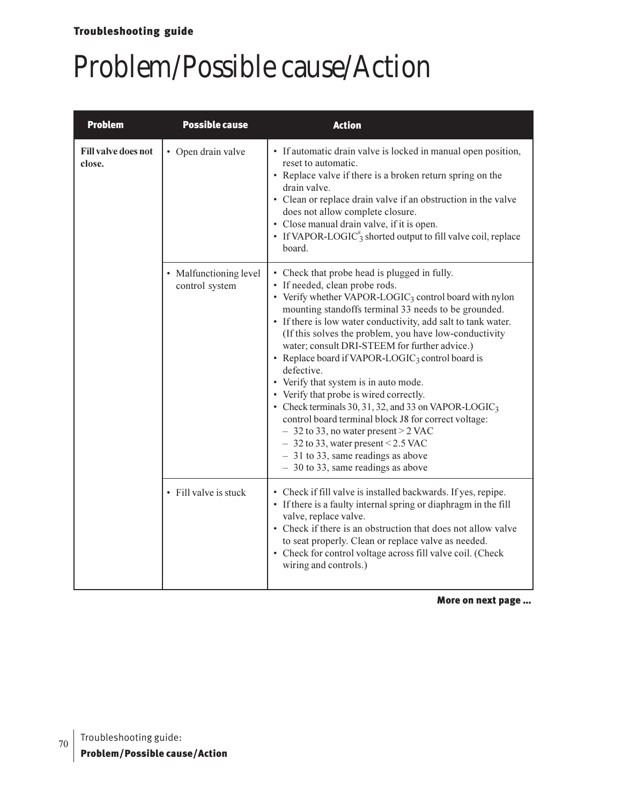## Troubleshooting guide

# Problem/Possible cause/Action

| <b>Problem</b>                       | <b>Possible cause</b>                    | <b>Action</b>                                                                                                                                                                                                                                                                                                                                                                                                                                                                                                                                                                                                                                                                                                                                                                                                                             |
|--------------------------------------|------------------------------------------|-------------------------------------------------------------------------------------------------------------------------------------------------------------------------------------------------------------------------------------------------------------------------------------------------------------------------------------------------------------------------------------------------------------------------------------------------------------------------------------------------------------------------------------------------------------------------------------------------------------------------------------------------------------------------------------------------------------------------------------------------------------------------------------------------------------------------------------------|
| <b>Fill valve does not</b><br>close. | • Open drain valve                       | • If automatic drain valve is locked in manual open position,<br>reset to automatic.<br>• Replace valve if there is a broken return spring on the<br>drain valve.<br>• Clean or replace drain valve if an obstruction in the valve<br>does not allow complete closure.<br>• Close manual drain valve, if it is open.<br>• If VAPOR-LOGIC <sup>®</sup> shorted output to fill valve coil, replace<br>board.                                                                                                                                                                                                                                                                                                                                                                                                                                |
|                                      | • Malfunctioning level<br>control system | • Check that probe head is plugged in fully.<br>• If needed, clean probe rods.<br>• Verify whether VAPOR-LOGIC <sub>3</sub> control board with nylon<br>mounting standoffs terminal 33 needs to be grounded.<br>• If there is low water conductivity, add salt to tank water.<br>(If this solves the problem, you have low-conductivity<br>water; consult DRI-STEEM for further advice.)<br>• Replace board if VAPOR-LOGIC3 control board is<br>defective.<br>• Verify that system is in auto mode.<br>• Verify that probe is wired correctly.<br>• Check terminals 30, 31, 32, and 33 on VAPOR-LOGIC <sub>3</sub><br>control board terminal block J8 for correct voltage:<br>$-32$ to 33, no water present > 2 VAC<br>$-32$ to 33, water present < 2.5 VAC<br>$-31$ to 33, same readings as above<br>$-30$ to 33, same readings as above |
|                                      | • Fill valve is stuck                    | • Check if fill valve is installed backwards. If yes, repipe.<br>• If there is a faulty internal spring or diaphragm in the fill<br>valve, replace valve.<br>• Check if there is an obstruction that does not allow valve<br>to seat properly. Clean or replace valve as needed.<br>• Check for control voltage across fill valve coil. (Check<br>wiring and controls.)                                                                                                                                                                                                                                                                                                                                                                                                                                                                   |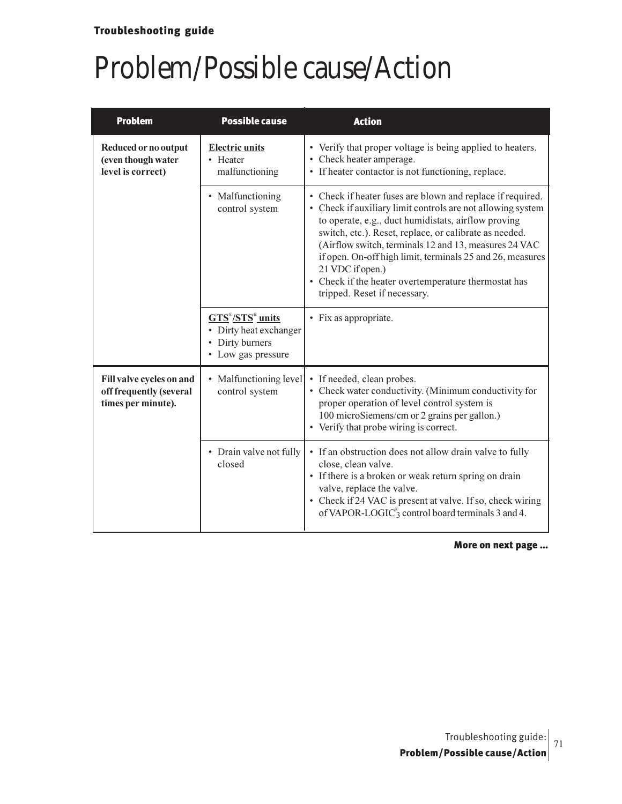| <b>Problem</b>                                                            | <b>Possible cause</b>                                                                                                             | <b>Action</b>                                                                                                                                                                                                                                                                                                                                                                                                                                                                |
|---------------------------------------------------------------------------|-----------------------------------------------------------------------------------------------------------------------------------|------------------------------------------------------------------------------------------------------------------------------------------------------------------------------------------------------------------------------------------------------------------------------------------------------------------------------------------------------------------------------------------------------------------------------------------------------------------------------|
| Reduced or no output<br>(even though water<br>level is correct)           | <b>Electric units</b><br>• Heater<br>malfunctioning                                                                               | • Verify that proper voltage is being applied to heaters.<br>• Check heater amperage.<br>• If heater contactor is not functioning, replace.                                                                                                                                                                                                                                                                                                                                  |
|                                                                           | • Malfunctioning<br>control system                                                                                                | • Check if heater fuses are blown and replace if required.<br>• Check if auxiliary limit controls are not allowing system<br>to operate, e.g., duct humidistats, airflow proving<br>switch, etc.). Reset, replace, or calibrate as needed.<br>(Airflow switch, terminals 12 and 13, measures 24 VAC<br>if open. On-off high limit, terminals 25 and 26, measures<br>21 VDC if open.)<br>• Check if the heater overtemperature thermostat has<br>tripped. Reset if necessary. |
|                                                                           | $\overline{\text{GTS}}^{\text{B}}/\text{STS}^{\text{B}}$ units<br>• Dirty heat exchanger<br>• Dirty burners<br>• Low gas pressure | • Fix as appropriate.                                                                                                                                                                                                                                                                                                                                                                                                                                                        |
| Fill valve cycles on and<br>off frequently (several<br>times per minute). | • Malfunctioning level<br>control system                                                                                          | If needed, clean probes.<br>• Check water conductivity. (Minimum conductivity for<br>proper operation of level control system is<br>100 microSiemens/cm or 2 grains per gallon.)<br>• Verify that probe wiring is correct.                                                                                                                                                                                                                                                   |
|                                                                           | • Drain valve not fully<br>closed                                                                                                 | • If an obstruction does not allow drain valve to fully<br>close, clean valve.<br>• If there is a broken or weak return spring on drain<br>valve, replace the valve.<br>• Check if 24 VAC is present at valve. If so, check wiring<br>of VAPOR-LOGIC <sup>®</sup> control board terminals 3 and 4.                                                                                                                                                                           |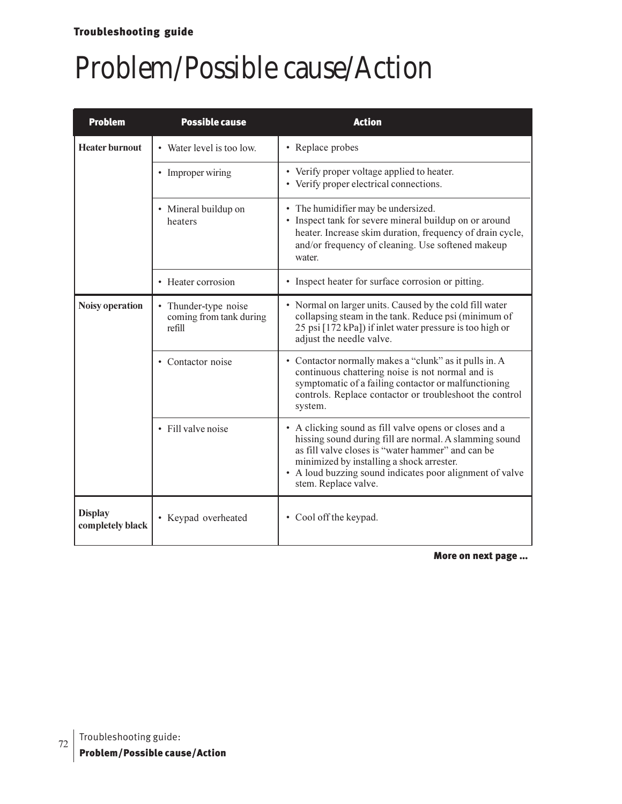## Troubleshooting guide

# Problem/Possible cause/Action

| <b>Problem</b>                     | <b>Possible cause</b>                                     | <b>Action</b>                                                                                                                                                                                                                                                                                          |
|------------------------------------|-----------------------------------------------------------|--------------------------------------------------------------------------------------------------------------------------------------------------------------------------------------------------------------------------------------------------------------------------------------------------------|
| <b>Heater burnout</b>              | • Water level is too low.                                 | • Replace probes                                                                                                                                                                                                                                                                                       |
|                                    | • Improper wiring                                         | • Verify proper voltage applied to heater.<br>• Verify proper electrical connections.                                                                                                                                                                                                                  |
|                                    | • Mineral buildup on<br>heaters                           | • The humidifier may be undersized.<br>• Inspect tank for severe mineral buildup on or around<br>heater. Increase skim duration, frequency of drain cycle,<br>and/or frequency of cleaning. Use softened makeup<br>water.                                                                              |
|                                    | • Heater corrosion                                        | • Inspect heater for surface corrosion or pitting.                                                                                                                                                                                                                                                     |
| Noisy operation                    | • Thunder-type noise<br>coming from tank during<br>refill | • Normal on larger units. Caused by the cold fill water<br>collapsing steam in the tank. Reduce psi (minimum of<br>25 psi [172 kPa]) if inlet water pressure is too high or<br>adjust the needle valve.                                                                                                |
|                                    | • Contactor noise                                         | • Contactor normally makes a "clunk" as it pulls in. A<br>continuous chattering noise is not normal and is<br>symptomatic of a failing contactor or malfunctioning<br>controls. Replace contactor or troubleshoot the control<br>system.                                                               |
|                                    | • Fill valve noise                                        | • A clicking sound as fill valve opens or closes and a<br>hissing sound during fill are normal. A slamming sound<br>as fill valve closes is "water hammer" and can be<br>minimized by installing a shock arrester.<br>• A loud buzzing sound indicates poor alignment of valve<br>stem. Replace valve. |
| <b>Display</b><br>completely black | • Keypad overheated                                       | • Cool off the keypad.                                                                                                                                                                                                                                                                                 |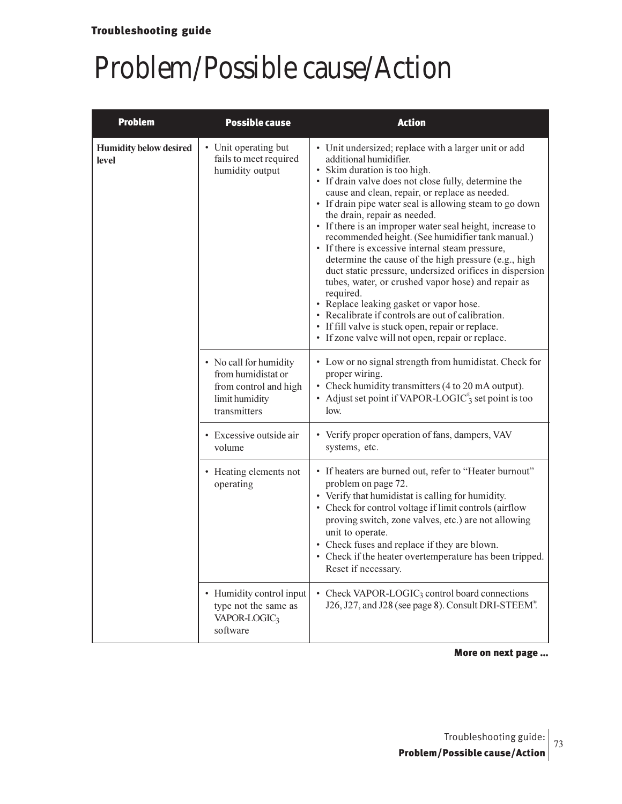### Problem/Possible cause/Action

| <b>Problem</b>                         | <b>Possible cause</b>                                                                                   | <b>Action</b>                                                                                                                                                                                                                                                                                                                                                                                                                                                                                                                                                                                                                                                                                                                                                                                                                                                                            |  |  |
|----------------------------------------|---------------------------------------------------------------------------------------------------------|------------------------------------------------------------------------------------------------------------------------------------------------------------------------------------------------------------------------------------------------------------------------------------------------------------------------------------------------------------------------------------------------------------------------------------------------------------------------------------------------------------------------------------------------------------------------------------------------------------------------------------------------------------------------------------------------------------------------------------------------------------------------------------------------------------------------------------------------------------------------------------------|--|--|
| <b>Humidity below desired</b><br>level | • Unit operating but<br>fails to meet required<br>humidity output                                       | • Unit undersized; replace with a larger unit or add<br>additional humidifier.<br>• Skim duration is too high.<br>• If drain valve does not close fully, determine the<br>cause and clean, repair, or replace as needed.<br>• If drain pipe water seal is allowing steam to go down<br>the drain, repair as needed.<br>• If there is an improper water seal height, increase to<br>recommended height. (See humidifier tank manual.)<br>• If there is excessive internal steam pressure,<br>determine the cause of the high pressure (e.g., high<br>duct static pressure, undersized orifices in dispersion<br>tubes, water, or crushed vapor hose) and repair as<br>required.<br>• Replace leaking gasket or vapor hose.<br>• Recalibrate if controls are out of calibration.<br>• If fill valve is stuck open, repair or replace.<br>• If zone valve will not open, repair or replace. |  |  |
|                                        | • No call for humidity<br>from humidistat or<br>from control and high<br>limit humidity<br>transmitters | • Low or no signal strength from humidistat. Check for<br>proper wiring.<br>• Check humidity transmitters (4 to 20 mA output).<br>• Adjust set point if VAPOR-LOGIC <sup>®</sup> set point is too<br>low.                                                                                                                                                                                                                                                                                                                                                                                                                                                                                                                                                                                                                                                                                |  |  |
|                                        | • Excessive outside air<br>volume                                                                       | • Verify proper operation of fans, dampers, VAV<br>systems, etc.                                                                                                                                                                                                                                                                                                                                                                                                                                                                                                                                                                                                                                                                                                                                                                                                                         |  |  |
|                                        | • Heating elements not<br>operating                                                                     | • If heaters are burned out, refer to "Heater burnout"<br>problem on page 72.<br>• Verify that humidistat is calling for humidity.<br>• Check for control voltage if limit controls (airflow<br>proving switch, zone valves, etc.) are not allowing<br>unit to operate.<br>• Check fuses and replace if they are blown.<br>• Check if the heater overtemperature has been tripped.<br>Reset if necessary.                                                                                                                                                                                                                                                                                                                                                                                                                                                                                |  |  |
|                                        | • Humidity control input<br>type not the same as<br>VAPOR-LOGIC <sub>3</sub><br>software                | • Check VAPOR-LOGIC <sub>3</sub> control board connections<br>J26, J27, and J28 (see page 8). Consult DRI-STEEM®.                                                                                                                                                                                                                                                                                                                                                                                                                                                                                                                                                                                                                                                                                                                                                                        |  |  |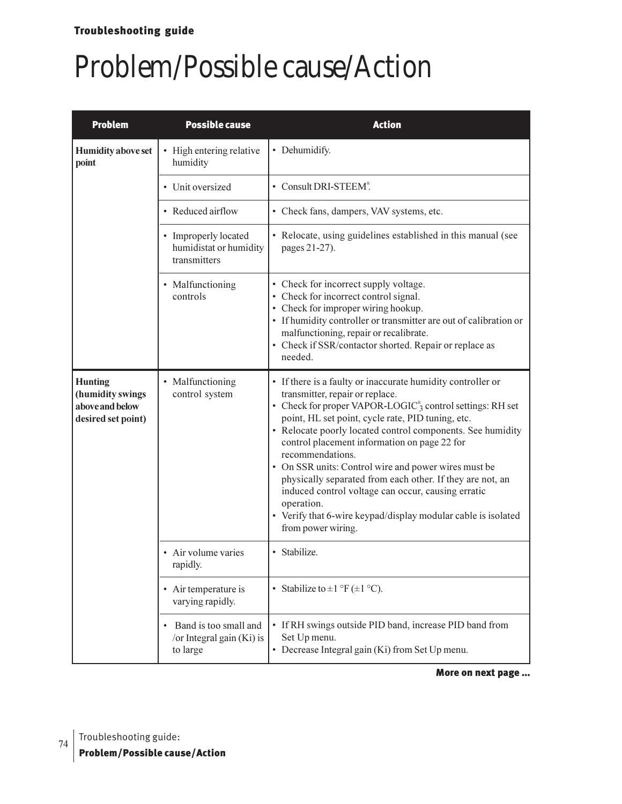## Problem/Possible cause/Action

| <b>Problem</b><br><b>Possible cause</b>                                     |                                                                | <b>Action</b>                                                                                                                                                                                                                                                                                                                                                                                                                                                                                                                                                                                                                                   |  |  |
|-----------------------------------------------------------------------------|----------------------------------------------------------------|-------------------------------------------------------------------------------------------------------------------------------------------------------------------------------------------------------------------------------------------------------------------------------------------------------------------------------------------------------------------------------------------------------------------------------------------------------------------------------------------------------------------------------------------------------------------------------------------------------------------------------------------------|--|--|
| <b>Humidity above set</b><br>point                                          | • High entering relative<br>humidity                           | • Dehumidify.                                                                                                                                                                                                                                                                                                                                                                                                                                                                                                                                                                                                                                   |  |  |
|                                                                             | • Unit oversized                                               | • Consult DRI-STEEM®.                                                                                                                                                                                                                                                                                                                                                                                                                                                                                                                                                                                                                           |  |  |
|                                                                             | • Reduced airflow                                              | • Check fans, dampers, VAV systems, etc.                                                                                                                                                                                                                                                                                                                                                                                                                                                                                                                                                                                                        |  |  |
|                                                                             | • Improperly located<br>humidistat or humidity<br>transmitters | • Relocate, using guidelines established in this manual (see<br>pages 21-27).                                                                                                                                                                                                                                                                                                                                                                                                                                                                                                                                                                   |  |  |
|                                                                             | • Malfunctioning<br>controls                                   | • Check for incorrect supply voltage.<br>• Check for incorrect control signal.<br>• Check for improper wiring hookup.<br>• If humidity controller or transmitter are out of calibration or<br>malfunctioning, repair or recalibrate.<br>• Check if SSR/contactor shorted. Repair or replace as<br>needed.                                                                                                                                                                                                                                                                                                                                       |  |  |
| <b>Hunting</b><br>(humidity swings<br>above and below<br>desired set point) | • Malfunctioning<br>control system                             | • If there is a faulty or inaccurate humidity controller or<br>transmitter, repair or replace.<br>• Check for proper VAPOR-LOGIC <sup>®</sup> , control settings: RH set<br>point, HL set point, cycle rate, PID tuning, etc.<br>• Relocate poorly located control components. See humidity<br>control placement information on page 22 for<br>recommendations.<br>• On SSR units: Control wire and power wires must be<br>physically separated from each other. If they are not, an<br>induced control voltage can occur, causing erratic<br>operation.<br>• Verify that 6-wire keypad/display modular cable is isolated<br>from power wiring. |  |  |
|                                                                             | • Air volume varies<br>rapidly.                                | · Stabilize.                                                                                                                                                                                                                                                                                                                                                                                                                                                                                                                                                                                                                                    |  |  |
|                                                                             | • Air temperature is<br>varying rapidly.                       | • Stabilize to $\pm 1$ °F ( $\pm 1$ °C).                                                                                                                                                                                                                                                                                                                                                                                                                                                                                                                                                                                                        |  |  |
|                                                                             | Band is too small and<br>/or Integral gain (Ki) is<br>to large | • If RH swings outside PID band, increase PID band from<br>Set Up menu.<br>• Decrease Integral gain (Ki) from Set Up menu.                                                                                                                                                                                                                                                                                                                                                                                                                                                                                                                      |  |  |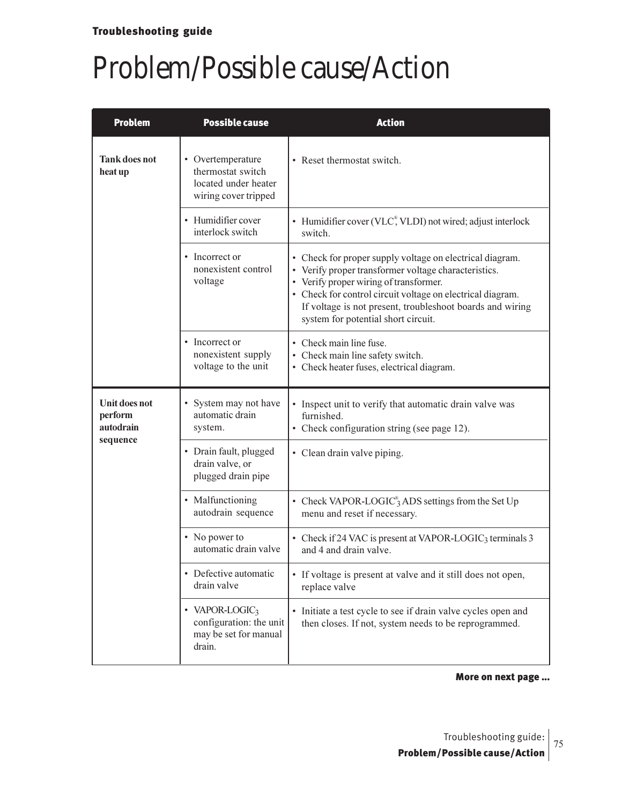## Problem/Possible cause/Action

| <b>Problem</b>                                    | <b>Possible cause</b>                                                                    | <b>Action</b>                                                                                                                                                                                                                                                                                                                |  |  |
|---------------------------------------------------|------------------------------------------------------------------------------------------|------------------------------------------------------------------------------------------------------------------------------------------------------------------------------------------------------------------------------------------------------------------------------------------------------------------------------|--|--|
| <b>Tank does not</b><br>heat up                   | • Overtemperature<br>thermostat switch<br>located under heater<br>wiring cover tripped   | • Reset thermostat switch.                                                                                                                                                                                                                                                                                                   |  |  |
|                                                   | • Humidifier cover<br>interlock switch                                                   | • Humidifier cover (VLC®, VLDI) not wired; adjust interlock<br>switch.                                                                                                                                                                                                                                                       |  |  |
|                                                   | • Incorrect or<br>nonexistent control<br>voltage                                         | • Check for proper supply voltage on electrical diagram.<br>• Verify proper transformer voltage characteristics.<br>• Verify proper wiring of transformer.<br>• Check for control circuit voltage on electrical diagram.<br>If voltage is not present, troubleshoot boards and wiring<br>system for potential short circuit. |  |  |
|                                                   | • Incorrect or<br>nonexistent supply<br>voltage to the unit                              | • Check main line fuse.<br>• Check main line safety switch.<br>• Check heater fuses, electrical diagram.                                                                                                                                                                                                                     |  |  |
| Unit does not<br>perform<br>autodrain<br>sequence | • System may not have<br>automatic drain<br>system.                                      | • Inspect unit to verify that automatic drain valve was<br>furnished.<br>• Check configuration string (see page 12).                                                                                                                                                                                                         |  |  |
|                                                   | • Drain fault, plugged<br>drain valve, or<br>plugged drain pipe                          | • Clean drain valve piping.                                                                                                                                                                                                                                                                                                  |  |  |
|                                                   | • Malfunctioning<br>autodrain sequence                                                   | • Check VAPOR-LOGIC <sup>®</sup> ADS settings from the Set Up<br>menu and reset if necessary.                                                                                                                                                                                                                                |  |  |
|                                                   | • No power to<br>automatic drain valve                                                   | • Check if 24 VAC is present at VAPOR-LOGIC <sub>3</sub> terminals 3<br>and 4 and drain valve.                                                                                                                                                                                                                               |  |  |
|                                                   | • Defective automatic<br>drain valve                                                     | • If voltage is present at valve and it still does not open,<br>replace valve                                                                                                                                                                                                                                                |  |  |
|                                                   | • VAPOR-LOGIC <sub>3</sub><br>configuration: the unit<br>may be set for manual<br>drain. | • Initiate a test cycle to see if drain valve cycles open and<br>then closes. If not, system needs to be reprogrammed.                                                                                                                                                                                                       |  |  |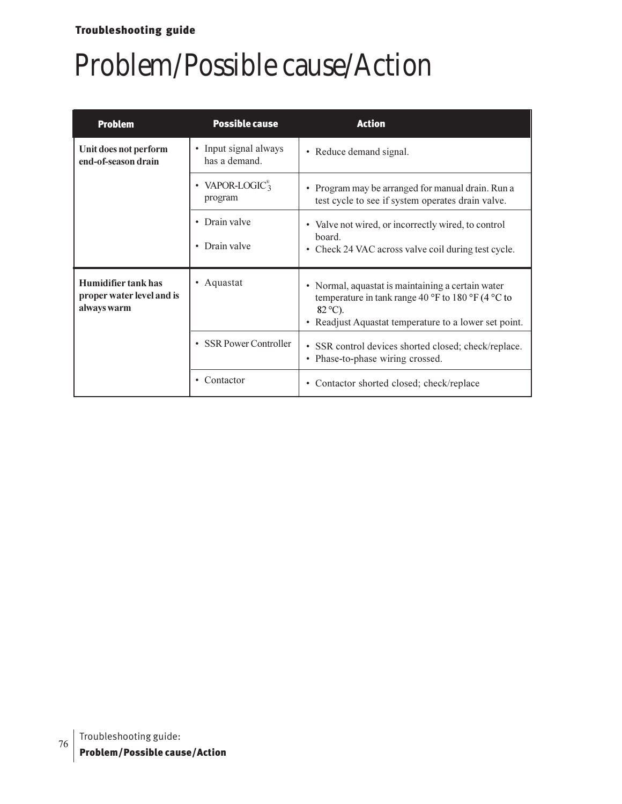### Troubleshooting guide

### Problem/Possible cause/Action

| <b>Problem</b>                                                                     | <b>Possible cause</b>                     | <b>Action</b>                                                                                                                                                                        |  |  |
|------------------------------------------------------------------------------------|-------------------------------------------|--------------------------------------------------------------------------------------------------------------------------------------------------------------------------------------|--|--|
| Unit does not perform<br>end-of-season drain                                       | • Input signal always<br>has a demand.    | • Reduce demand signal.                                                                                                                                                              |  |  |
|                                                                                    | • VAPOR-LOGIC <sup>®</sup> 3<br>program   | • Program may be arranged for manual drain. Run a<br>test cycle to see if system operates drain valve.                                                                               |  |  |
|                                                                                    | • Drain valve<br>Drain valve<br>$\bullet$ | • Valve not wired, or incorrectly wired, to control<br>hoard.<br>• Check 24 VAC across valve coil during test cycle.                                                                 |  |  |
| <b>Humidifier tank has</b><br>Aquastat<br>proper water level and is<br>always warm |                                           | • Normal, aquastat is maintaining a certain water<br>temperature in tank range 40 °F to 180 °F (4 °C to<br>$82^{\circ}$ C).<br>• Readjust Aquastat temperature to a lower set point. |  |  |
|                                                                                    | • SSR Power Controller                    | • SSR control devices shorted closed; check/replace.<br>• Phase-to-phase wiring crossed.                                                                                             |  |  |
|                                                                                    | Contactor<br>$\bullet$                    | • Contactor shorted closed; check/replace                                                                                                                                            |  |  |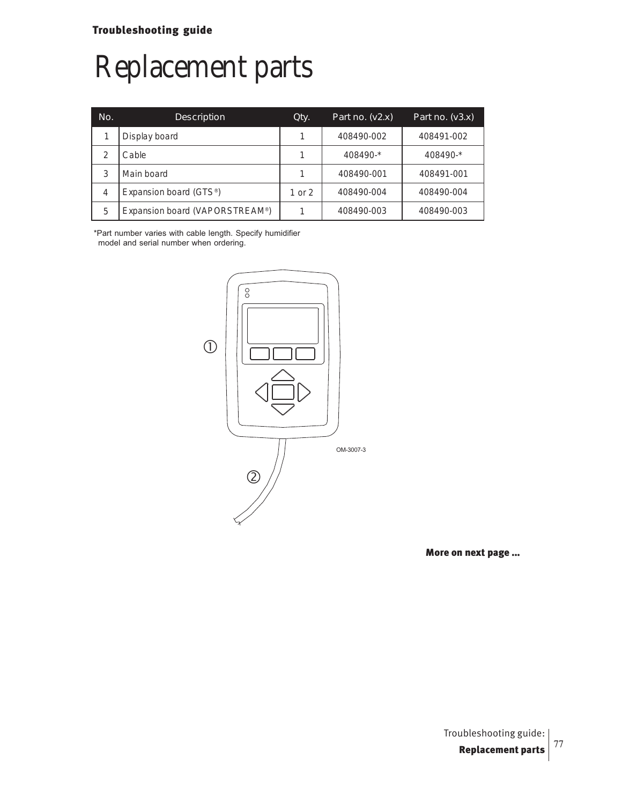# Replacement parts

| No.            | Description                         | Qty.   | Part no. $(v2.x)$ | Part no. $(v3.x)$ |
|----------------|-------------------------------------|--------|-------------------|-------------------|
|                | Display board                       |        | 408490-002        | 408491-002        |
|                | Cable                               |        | 408490-*          | 408490-*          |
| 3              | Main board                          |        | 408490-001        | 408491-001        |
| $\overline{4}$ | Expansion board (GTS <sup>®</sup> ) | 1 or 2 | 408490-004        | 408490-004        |
| 5              | Expansion board (VAPORSTREAM®)      |        | 408490-003        | 408490-003        |

\*Part number varies with cable length. Specify humidifier model and serial number when ordering.

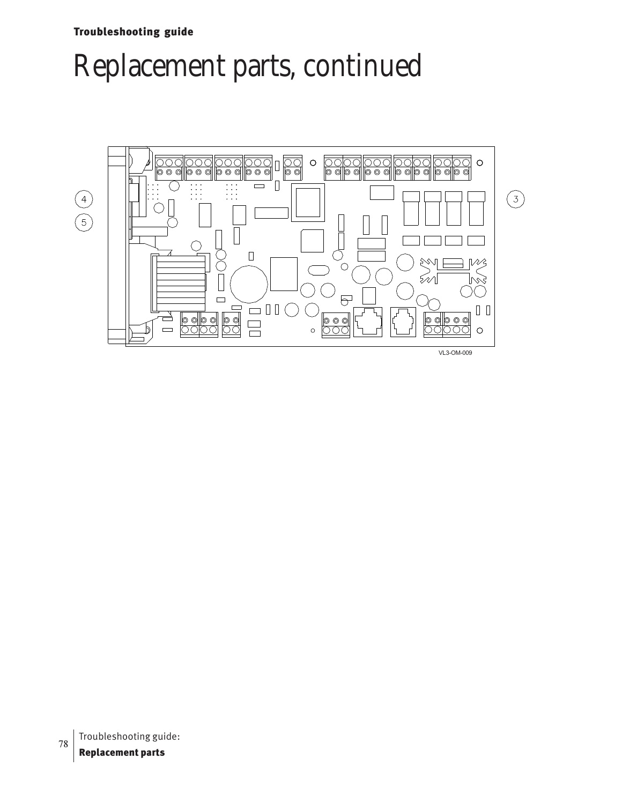Troubleshooting guide

## Replacement parts, continued

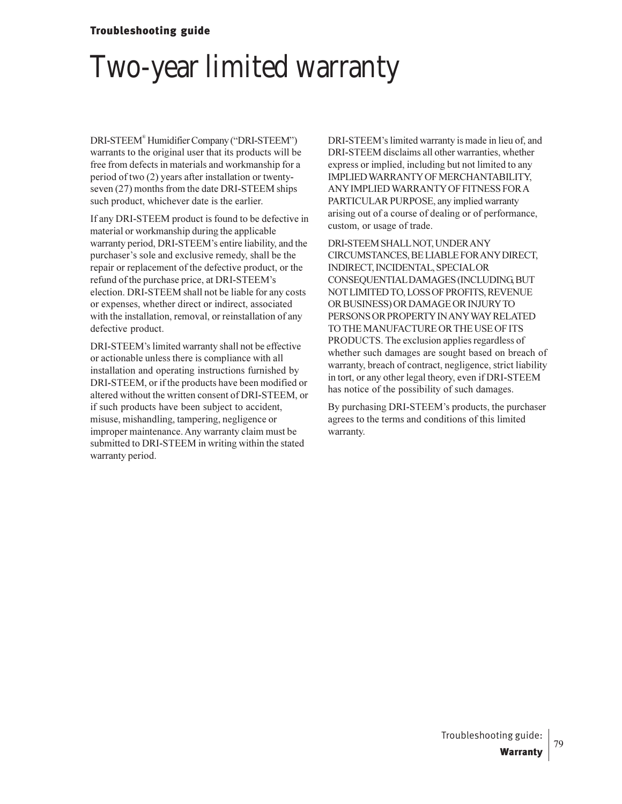### Troubleshooting guide

## Two-year limited warranty

DRI-STEEM® Humidifier Company ("DRI-STEEM") warrants to the original user that its products will be free from defects in materials and workmanship for a period of two (2) years after installation or twentyseven (27) months from the date DRI-STEEM ships such product, whichever date is the earlier.

If any DRI-STEEM product is found to be defective in material or workmanship during the applicable warranty period, DRI-STEEM's entire liability, and the purchaser's sole and exclusive remedy, shall be the repair or replacement of the defective product, or the refund of the purchase price, at DRI-STEEM's election. DRI-STEEM shall not be liable for any costs or expenses, whether direct or indirect, associated with the installation, removal, or reinstallation of any defective product.

DRI-STEEM's limited warranty shall not be effective or actionable unless there is compliance with all installation and operating instructions furnished by DRI-STEEM, or if the products have been modified or altered without the written consent of DRI-STEEM, or if such products have been subject to accident, misuse, mishandling, tampering, negligence or improper maintenance. Any warranty claim must be submitted to DRI-STEEM in writing within the stated warranty period.

DRI-STEEM's limited warranty is made in lieu of, and DRI-STEEM disclaims all other warranties, whether express or implied, including but not limited to any IMPLIED WARRANTY OF MERCHANTABILITY, ANY IMPLIED WARRANTY OF FITNESS FOR A PARTICULAR PURPOSE, any implied warranty arising out of a course of dealing or of performance, custom, or usage of trade.

DRI-STEEM SHALL NOT, UNDER ANY CIRCUMSTANCES, BE LIABLE FOR ANY DIRECT, INDIRECT, INCIDENTAL, SPECIAL OR CONSEQUENTIAL DAMAGES (INCLUDING, BUT NOT LIMITED TO, LOSS OF PROFITS, REVENUE OR BUSINESS) OR DAMAGE OR INJURY TO PERSONS OR PROPERTY IN ANY WAY RELATED TO THE MANUFACTURE OR THE USE OF ITS PRODUCTS. The exclusion applies regardless of whether such damages are sought based on breach of warranty, breach of contract, negligence, strict liability in tort, or any other legal theory, even if DRI-STEEM has notice of the possibility of such damages.

By purchasing DRI-STEEM's products, the purchaser agrees to the terms and conditions of this limited warranty.